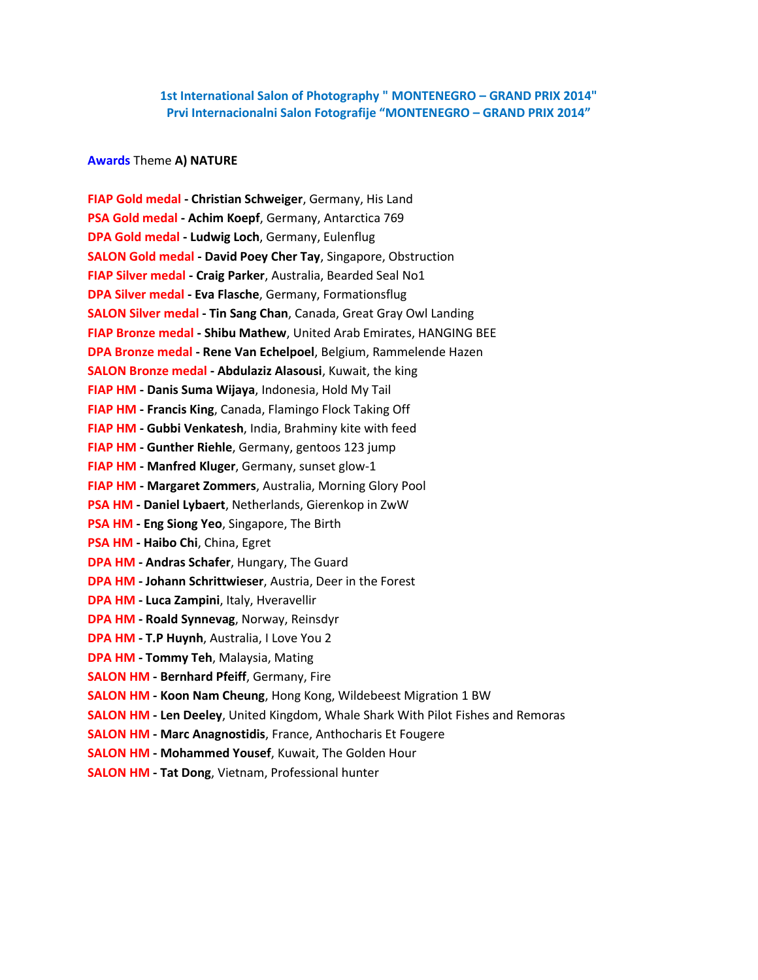# **1st International Salon of Photography " MONTENEGRO – GRAND PRIX 2014" Prvi Internacionalni Salon Fotografije "MONTENEGRO – GRAND PRIX 2014"**

#### **Awards** Theme **A) NATURE**

**FIAP Gold medal - Christian Schweiger**, Germany, His Land **PSA Gold medal - Achim Koepf**, Germany, Antarctica 769 **DPA Gold medal - Ludwig Loch**, Germany, Eulenflug **SALON Gold medal - David Poey Cher Tay**, Singapore, Obstruction **FIAP Silver medal - Craig Parker**, Australia, Bearded Seal No1 **DPA Silver medal - Eva Flasche**, Germany, Formationsflug **SALON Silver medal - Tin Sang Chan**, Canada, Great Gray Owl Landing **FIAP Bronze medal - Shibu Mathew**, United Arab Emirates, HANGING BEE **DPA Bronze medal - Rene Van Echelpoel**, Belgium, Rammelende Hazen **SALON Bronze medal - Abdulaziz Alasousi**, Kuwait, the king **FIAP HM - Danis Suma Wijaya**, Indonesia, Hold My Tail **FIAP HM - Francis King**, Canada, Flamingo Flock Taking Off **FIAP HM - Gubbi Venkatesh**, India, Brahminy kite with feed **FIAP HM - Gunther Riehle**, Germany, gentoos 123 jump **FIAP HM - Manfred Kluger**, Germany, sunset glow-1 **FIAP HM - Margaret Zommers**, Australia, Morning Glory Pool **PSA HM - Daniel Lybaert**, Netherlands, Gierenkop in ZwW **PSA HM - Eng Siong Yeo**, Singapore, The Birth **PSA HM - Haibo Chi**, China, Egret **DPA HM - Andras Schafer**, Hungary, The Guard **DPA HM - Johann Schrittwieser**, Austria, Deer in the Forest **DPA HM - Luca Zampini**, Italy, Hveravellir **DPA HM - Roald Synnevag**, Norway, Reinsdyr **DPA HM - T.P Huynh**, Australia, I Love You 2 **DPA HM - Tommy Teh**, Malaysia, Mating **SALON HM - Bernhard Pfeiff**, Germany, Fire **SALON HM - Koon Nam Cheung**, Hong Kong, Wildebeest Migration 1 BW **SALON HM - Len Deeley**, United Kingdom, Whale Shark With Pilot Fishes and Remoras **SALON HM - Marc Anagnostidis**, France, Anthocharis Et Fougere **SALON HM - Mohammed Yousef**, Kuwait, The Golden Hour **SALON HM - Tat Dong**, Vietnam, Professional hunter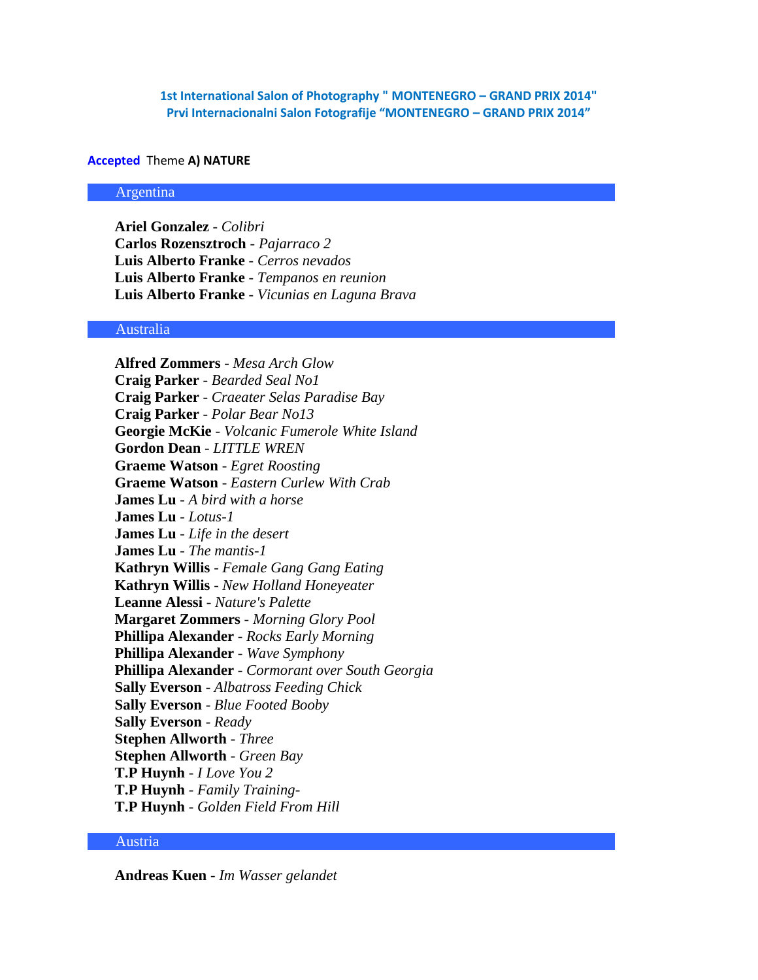**1st International Salon of Photography " MONTENEGRO – GRAND PRIX 2014" Prvi Internacionalni Salon Fotografije "MONTENEGRO – GRAND PRIX 2014"**

#### **Accepted** Theme **A) NATURE**

### Argentina

**Ariel Gonzalez** - *Colibri* **Carlos Rozensztroch** - *Pajarraco 2* **Luis Alberto Franke** - *Cerros nevados* **Luis Alberto Franke** - *Tempanos en reunion* **Luis Alberto Franke** - *Vicunias en Laguna Brava*

## Australia

**Alfred Zommers** - *Mesa Arch Glow* **Craig Parker** - *Bearded Seal No1* **Craig Parker** - *Craeater Selas Paradise Bay* **Craig Parker** - *Polar Bear No13* **Georgie McKie** - *Volcanic Fumerole White Island* **Gordon Dean** - *LITTLE WREN* **Graeme Watson** - *Egret Roosting* **Graeme Watson** - *Eastern Curlew With Crab* **James Lu** - *A bird with a horse* **James Lu** - *Lotus-1* **James Lu** - *Life in the desert* **James Lu** - *The mantis-1* **Kathryn Willis** - *Female Gang Gang Eating* **Kathryn Willis** - *New Holland Honeyeater* **Leanne Alessi** - *Nature's Palette* **Margaret Zommers** - *Morning Glory Pool* **Phillipa Alexander** - *Rocks Early Morning* **Phillipa Alexander** - *Wave Symphony* **Phillipa Alexander** - *Cormorant over South Georgia* **Sally Everson** - *Albatross Feeding Chick* **Sally Everson** - *Blue Footed Booby* **Sally Everson** - *Ready* **Stephen Allworth** - *Three* **Stephen Allworth** - *Green Bay* **T.P Huynh** - *I Love You 2* **T.P Huynh** - *Family Training-***T.P Huynh** - *Golden Field From Hill*

## Austria

**Andreas Kuen** - *Im Wasser gelandet*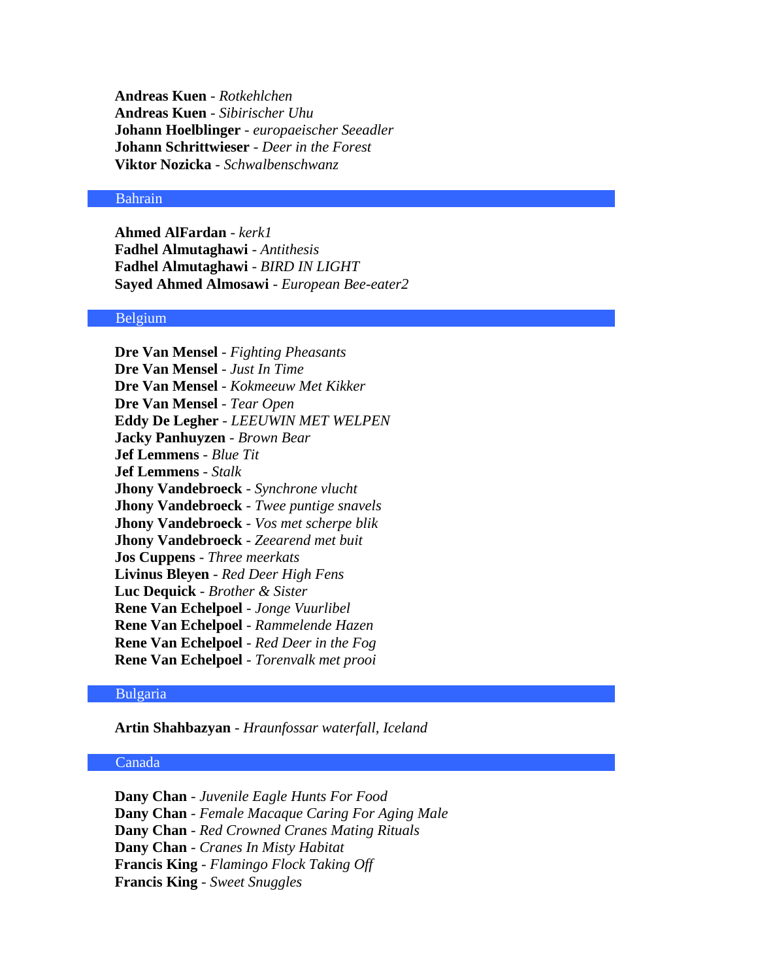**Andreas Kuen** - *Rotkehlchen* **Andreas Kuen** - *Sibirischer Uhu* **Johann Hoelblinger** - *europaeischer Seeadler* **Johann Schrittwieser** - *Deer in the Forest* **Viktor Nozicka** - *Schwalbenschwanz*

#### Bahrain

**Ahmed AlFardan** - *kerk1* **Fadhel Almutaghawi** - *Antithesis* **Fadhel Almutaghawi** - *BIRD IN LIGHT* **Sayed Ahmed Almosawi** - *European Bee-eater2*

## Belgium

**Dre Van Mensel** - *Fighting Pheasants* **Dre Van Mensel** - *Just In Time* **Dre Van Mensel** - *Kokmeeuw Met Kikker* **Dre Van Mensel** - *Tear Open* **Eddy De Legher** - *LEEUWIN MET WELPEN* **Jacky Panhuyzen** - *Brown Bear* **Jef Lemmens** - *Blue Tit* **Jef Lemmens** - *Stalk* **Jhony Vandebroeck** - *Synchrone vlucht* **Jhony Vandebroeck** - *Twee puntige snavels* **Jhony Vandebroeck** - *Vos met scherpe blik* **Jhony Vandebroeck** - *Zeearend met buit* **Jos Cuppens** - *Three meerkats* **Livinus Bleyen** - *Red Deer High Fens* **Luc Dequick** - *Brother & Sister* **Rene Van Echelpoel** - *Jonge Vuurlibel* **Rene Van Echelpoel** - *Rammelende Hazen* **Rene Van Echelpoel** - *Red Deer in the Fog* **Rene Van Echelpoel** - *Torenvalk met prooi*

### Bulgaria

**Artin Shahbazyan** - *Hraunfossar waterfall, Iceland*

# Canada

**Dany Chan** - *Juvenile Eagle Hunts For Food* **Dany Chan** - *Female Macaque Caring For Aging Male* **Dany Chan** - *Red Crowned Cranes Mating Rituals* **Dany Chan** - *Cranes In Misty Habitat* **Francis King** - *Flamingo Flock Taking Off* **Francis King** - *Sweet Snuggles*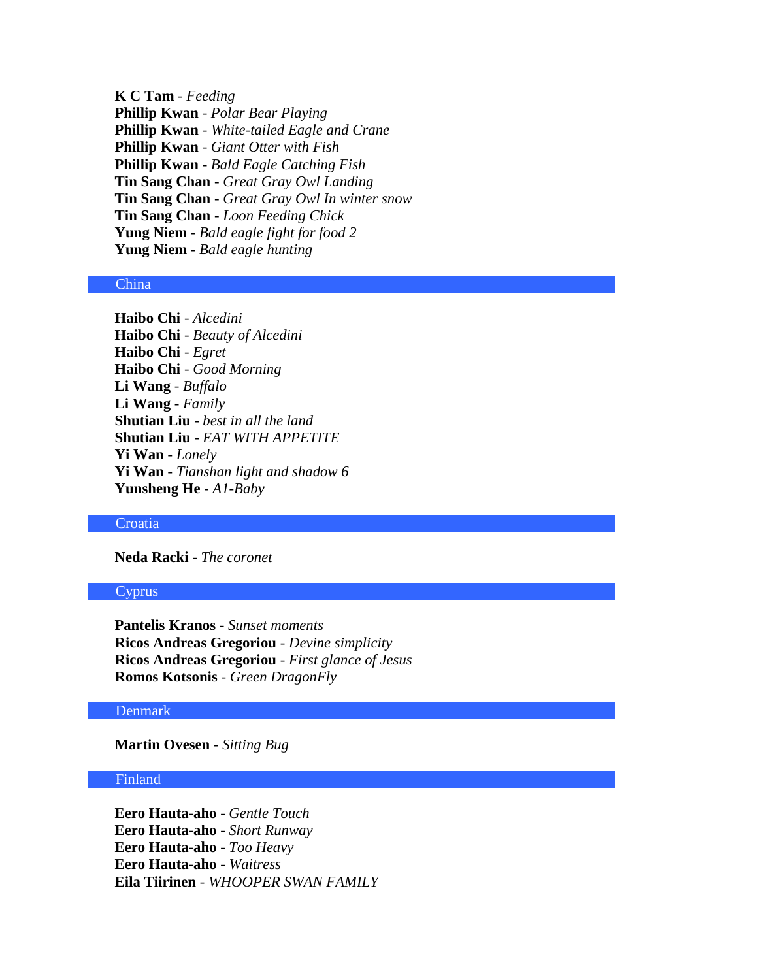**K C Tam** - *Feeding* **Phillip Kwan** - *Polar Bear Playing* **Phillip Kwan** - *White-tailed Eagle and Crane* **Phillip Kwan** - *Giant Otter with Fish* **Phillip Kwan** - *Bald Eagle Catching Fish* **Tin Sang Chan** - *Great Gray Owl Landing* **Tin Sang Chan** - *Great Gray Owl In winter snow* **Tin Sang Chan** - *Loon Feeding Chick* **Yung Niem** - *Bald eagle fight for food 2* **Yung Niem** - *Bald eagle hunting*

### China

**Haibo Chi** - *Alcedini* **Haibo Chi** - *Beauty of Alcedini* **Haibo Chi** - *Egret* **Haibo Chi** - *Good Morning* **Li Wang** - *Buffalo* **Li Wang** - *Family* **Shutian Liu** - *best in all the land* **Shutian Liu** - *EAT WITH APPETITE* **Yi Wan** - *Lonely* **Yi Wan** - *Tianshan light and shadow 6* **Yunsheng He** - *A1-Baby*

# **Croatia**

**Neda Racki** - *The coronet*

#### Cyprus

**Pantelis Kranos** - *Sunset moments* **Ricos Andreas Gregoriou** - *Devine simplicity* **Ricos Andreas Gregoriou** - *First glance of Jesus* **Romos Kotsonis** - *Green DragonFly*

## Denmark

**Martin Ovesen** - *Sitting Bug*

## Finland

**Eero Hauta-aho** - *Gentle Touch* **Eero Hauta-aho** - *Short Runway* **Eero Hauta-aho** - *Too Heavy* **Eero Hauta-aho** - *Waitress* **Eila Tiirinen** - *WHOOPER SWAN FAMILY*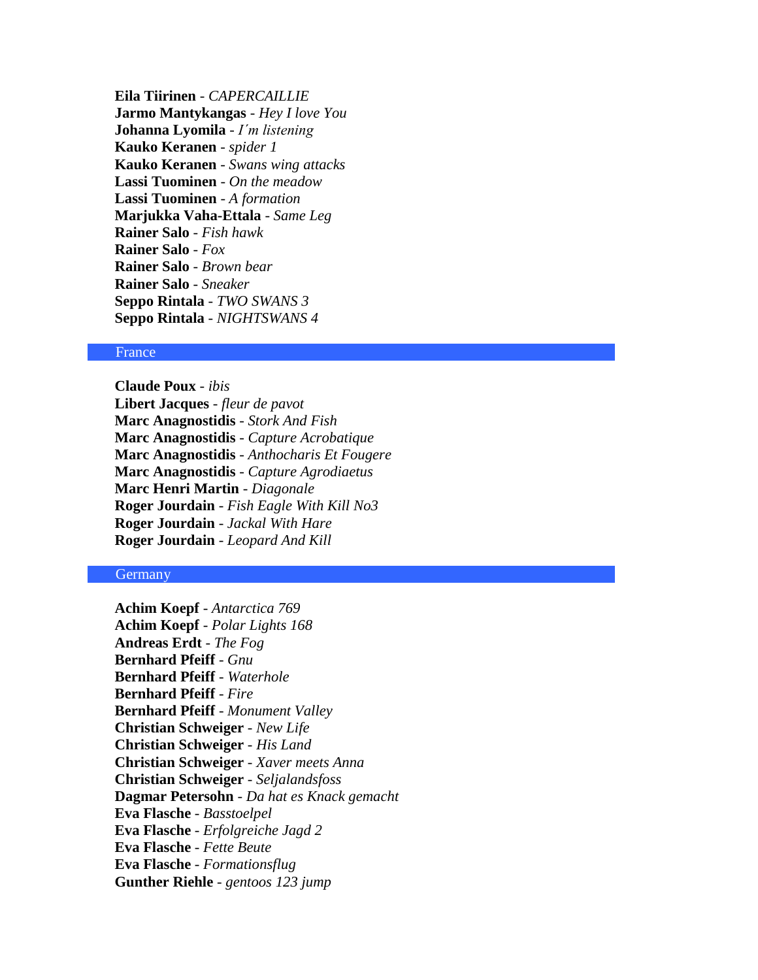**Eila Tiirinen** - *CAPERCAILLIE* **Jarmo Mantykangas** - *Hey I love You* **Johanna Lyomila** - *I´m listening* **Kauko Keranen** - *spider 1* **Kauko Keranen** - *Swans wing attacks* **Lassi Tuominen** - *On the meadow* **Lassi Tuominen** - *A formation* **Marjukka Vaha-Ettala** - *Same Leg* **Rainer Salo** - *Fish hawk* **Rainer Salo** - *Fox* **Rainer Salo** - *Brown bear* **Rainer Salo** - *Sneaker* **Seppo Rintala** - *TWO SWANS 3* **Seppo Rintala** - *NIGHTSWANS 4*

#### France

**Claude Poux** - *ibis* **Libert Jacques** - *fleur de pavot* **Marc Anagnostidis** - *Stork And Fish* **Marc Anagnostidis** - *Capture Acrobatique* **Marc Anagnostidis** - *Anthocharis Et Fougere* **Marc Anagnostidis** - *Capture Agrodiaetus* **Marc Henri Martin** - *Diagonale* **Roger Jourdain** - *Fish Eagle With Kill No3* **Roger Jourdain** - *Jackal With Hare* **Roger Jourdain** - *Leopard And Kill*

## **Germany**

**Achim Koepf** - *Antarctica 769* **Achim Koepf** - *Polar Lights 168* **Andreas Erdt** - *The Fog* **Bernhard Pfeiff** - *Gnu* **Bernhard Pfeiff** - *Waterhole* **Bernhard Pfeiff** - *Fire* **Bernhard Pfeiff** - *Monument Valley* **Christian Schweiger** - *New Life* **Christian Schweiger** - *His Land* **Christian Schweiger** - *Xaver meets Anna* **Christian Schweiger** - *Seljalandsfoss* **Dagmar Petersohn** - *Da hat es Knack gemacht* **Eva Flasche** - *Basstoelpel* **Eva Flasche** - *Erfolgreiche Jagd 2* **Eva Flasche** - *Fette Beute* **Eva Flasche** - *Formationsflug* **Gunther Riehle** - *gentoos 123 jump*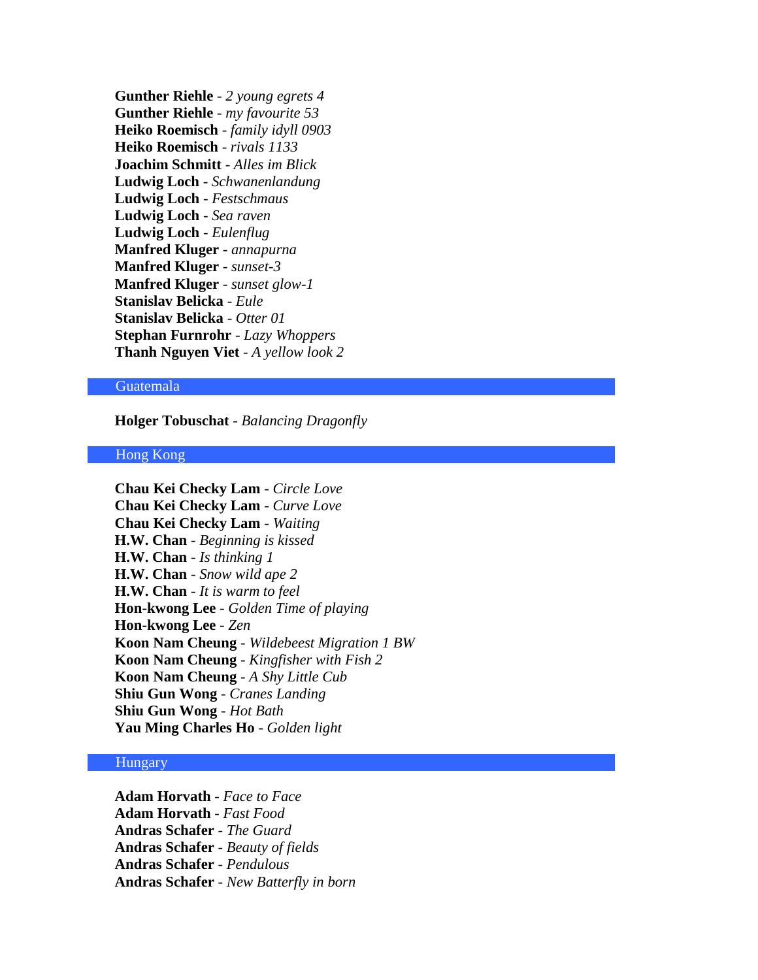**Gunther Riehle** - *2 young egrets 4* **Gunther Riehle** - *my favourite 53* **Heiko Roemisch** - *family idyll 0903* **Heiko Roemisch** - *rivals 1133* **Joachim Schmitt** - *Alles im Blick* **Ludwig Loch** - *Schwanenlandung* **Ludwig Loch** - *Festschmaus* **Ludwig Loch** - *Sea raven* **Ludwig Loch** - *Eulenflug* **Manfred Kluger** - *annapurna* **Manfred Kluger** - *sunset-3* **Manfred Kluger** - *sunset glow-1* **Stanislav Belicka** - *Eule* **Stanislav Belicka** - *Otter 01* **Stephan Furnrohr** - *Lazy Whoppers* **Thanh Nguyen Viet** - *A yellow look 2*

## **Guatemala**

**Holger Tobuschat** - *Balancing Dragonfly*

# Hong Kong

**Chau Kei Checky Lam** - *Circle Love* **Chau Kei Checky Lam** - *Curve Love* **Chau Kei Checky Lam** - *Waiting* **H.W. Chan** - *Beginning is kissed* **H.W. Chan** - *Is thinking 1* **H.W. Chan** - *Snow wild ape 2* **H.W. Chan** - *It is warm to feel* **Hon-kwong Lee** - *Golden Time of playing* **Hon-kwong Lee** - *Zen* **Koon Nam Cheung** - *Wildebeest Migration 1 BW* **Koon Nam Cheung** - *Kingfisher with Fish 2* **Koon Nam Cheung** - *A Shy Little Cub* **Shiu Gun Wong** - *Cranes Landing* **Shiu Gun Wong** - *Hot Bath* **Yau Ming Charles Ho** - *Golden light*

# Hungary

**Adam Horvath** - *Face to Face* **Adam Horvath** - *Fast Food* **Andras Schafer** - *The Guard* **Andras Schafer** - *Beauty of fields* **Andras Schafer** - *Pendulous* **Andras Schafer** - *New Batterfly in born*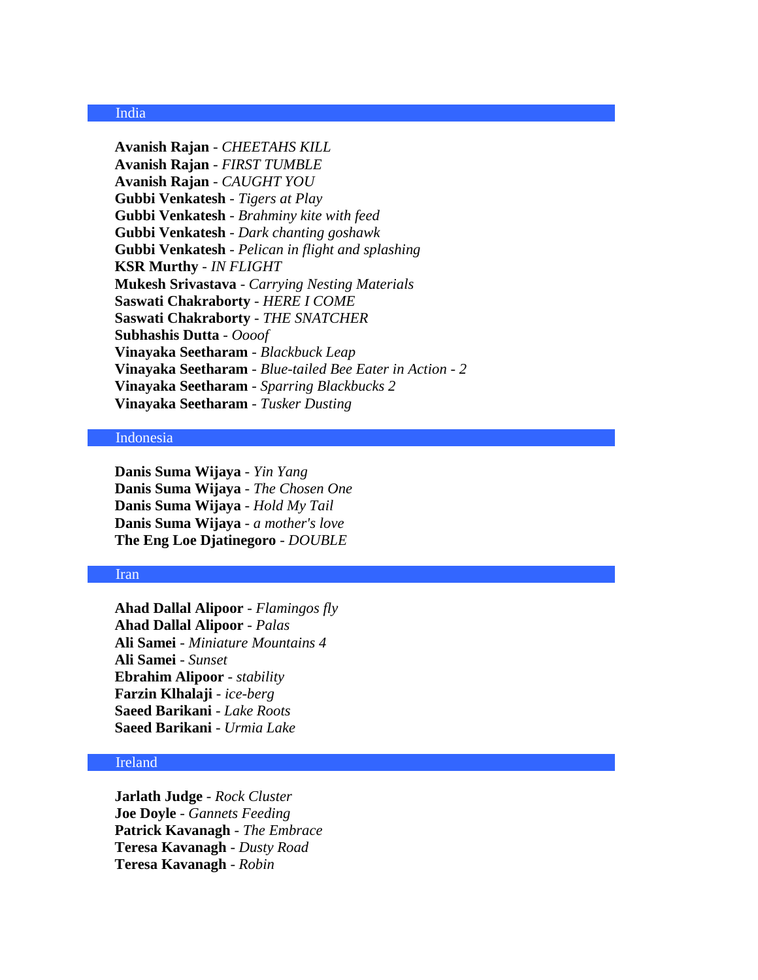# India

**Avanish Rajan** - *CHEETAHS KILL* **Avanish Rajan** - *FIRST TUMBLE* **Avanish Rajan** - *CAUGHT YOU* **Gubbi Venkatesh** - *Tigers at Play* **Gubbi Venkatesh** - *Brahminy kite with feed* **Gubbi Venkatesh** - *Dark chanting goshawk* **Gubbi Venkatesh** - *Pelican in flight and splashing* **KSR Murthy** - *IN FLIGHT* **Mukesh Srivastava** - *Carrying Nesting Materials* **Saswati Chakraborty** - *HERE I COME* **Saswati Chakraborty** - *THE SNATCHER* **Subhashis Dutta** - *Oooof* **Vinayaka Seetharam** - *Blackbuck Leap* **Vinayaka Seetharam** - *Blue-tailed Bee Eater in Action - 2* **Vinayaka Seetharam** - *Sparring Blackbucks 2* **Vinayaka Seetharam** - *Tusker Dusting*

# Indonesia

**Danis Suma Wijaya** - *Yin Yang* **Danis Suma Wijaya** - *The Chosen One* **Danis Suma Wijaya** - *Hold My Tail* **Danis Suma Wijaya** - *a mother's love* **The Eng Loe Djatinegoro** - *DOUBLE*

## Iran

**Ahad Dallal Alipoor** - *Flamingos fly* **Ahad Dallal Alipoor** - *Palas* **Ali Samei** - *Miniature Mountains 4* **Ali Samei** - *Sunset* **Ebrahim Alipoor** - *stability* **Farzin Klhalaji** - *ice-berg* **Saeed Barikani** - *Lake Roots* **Saeed Barikani** - *Urmia Lake*

# Ireland

**Jarlath Judge** - *Rock Cluster* **Joe Doyle** - *Gannets Feeding* **Patrick Kavanagh** - *The Embrace* **Teresa Kavanagh** - *Dusty Road* **Teresa Kavanagh** - *Robin*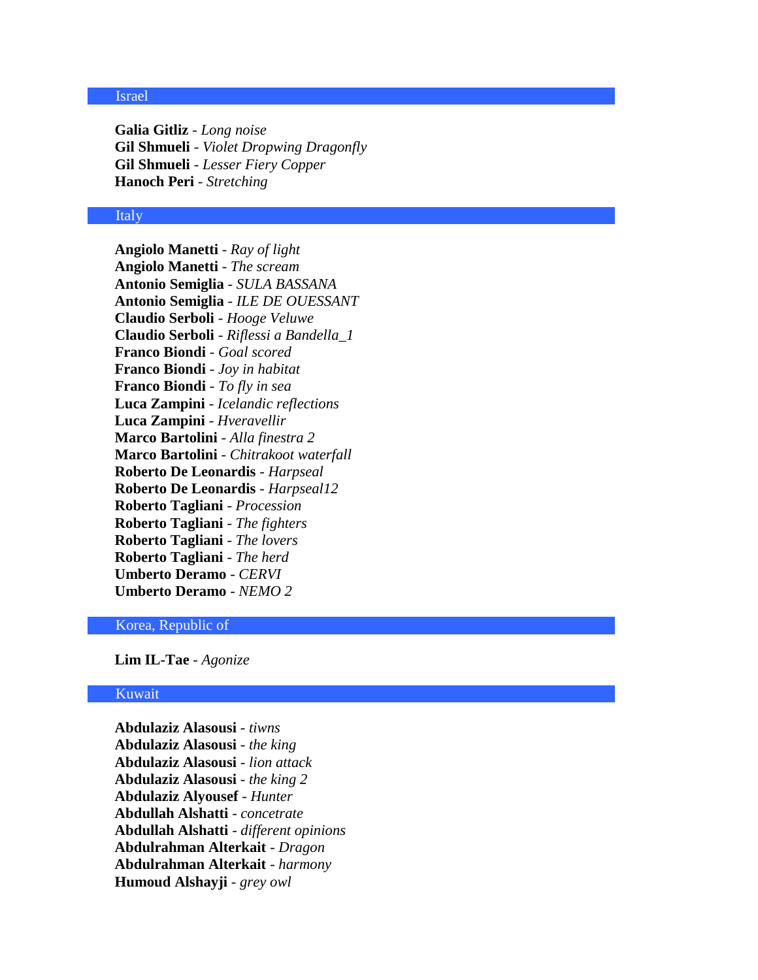# Israel

**Galia Gitliz** - *Long noise* **Gil Shmueli** - *Violet Dropwing Dragonfly* **Gil Shmueli** - *Lesser Fiery Copper* **Hanoch Peri** - *Stretching*

## Italy

**Angiolo Manetti** - *Ray of light* **Angiolo Manetti** - *The scream* **Antonio Semiglia** - *SULA BASSANA* **Antonio Semiglia** - *ILE DE OUESSANT* **Claudio Serboli** - *Hooge Veluwe* **Claudio Serboli** - *Riflessi a Bandella\_1* **Franco Biondi** - *Goal scored* **Franco Biondi** - *Joy in habitat* **Franco Biondi** - *To fly in sea* **Luca Zampini** - *Icelandic reflections* **Luca Zampini** - *Hveravellir* **Marco Bartolini** - *Alla finestra 2* **Marco Bartolini** - *Chitrakoot waterfall* **Roberto De Leonardis** - *Harpseal* **Roberto De Leonardis** - *Harpseal12* **Roberto Tagliani** - *Procession* **Roberto Tagliani** - *The fighters* **Roberto Tagliani** - *The lovers* **Roberto Tagliani** - *The herd* **Umberto Deramo** - *CERVI* **Umberto Deramo** - *NEMO 2*

# Korea, Republic of

**Lim IL-Tae** - *Agonize*

### Kuwait

**Abdulaziz Alasousi** - *tiwns* **Abdulaziz Alasousi** - *the king* **Abdulaziz Alasousi** - *lion attack* **Abdulaziz Alasousi** - *the king 2* **Abdulaziz Alyousef** - *Hunter* **Abdullah Alshatti** - *concetrate* **Abdullah Alshatti** - *different opinions* **Abdulrahman Alterkait** - *Dragon* **Abdulrahman Alterkait** - *harmony* **Humoud Alshayji** - *grey owl*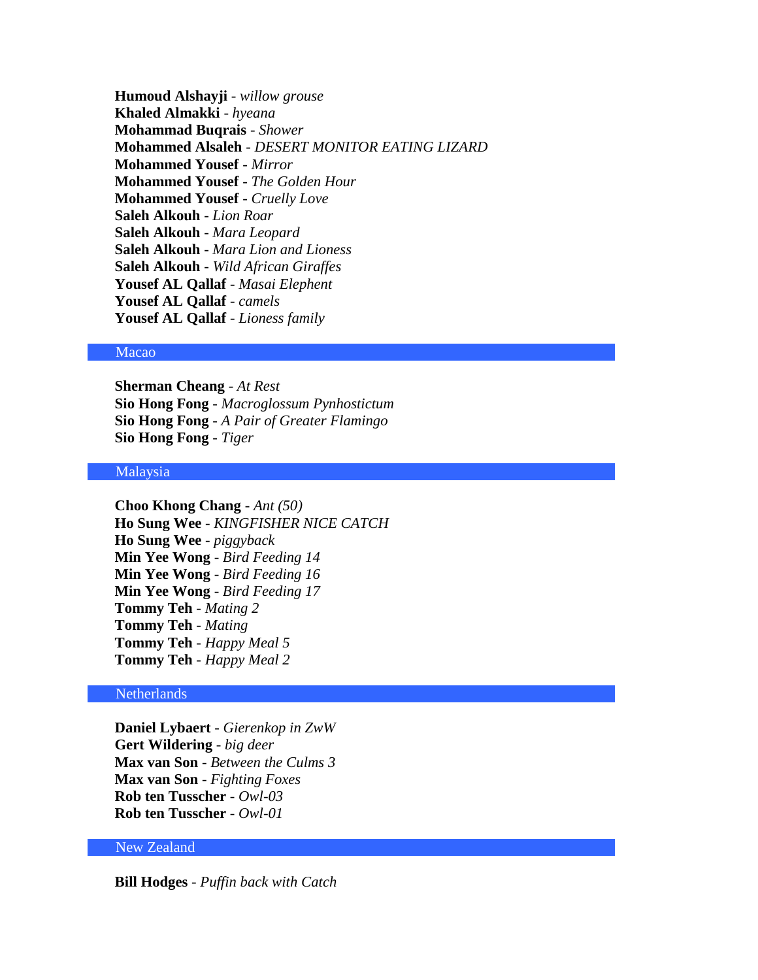**Humoud Alshayji** - *willow grouse* **Khaled Almakki** - *hyeana* **Mohammad Buqrais** - *Shower* **Mohammed Alsaleh** - *DESERT MONITOR EATING LIZARD* **Mohammed Yousef** - *Mirror* **Mohammed Yousef** - *The Golden Hour* **Mohammed Yousef** - *Cruelly Love* **Saleh Alkouh** - *Lion Roar* **Saleh Alkouh** - *Mara Leopard* **Saleh Alkouh** - *Mara Lion and Lioness* **Saleh Alkouh** - *Wild African Giraffes* **Yousef AL Qallaf** - *Masai Elephent* **Yousef AL Qallaf** - *camels* **Yousef AL Qallaf** - *Lioness family*

## Macao

**Sherman Cheang** - *At Rest* **Sio Hong Fong** - *Macroglossum Pynhostictum* **Sio Hong Fong** - *A Pair of Greater Flamingo* **Sio Hong Fong** - *Tiger*

# Malaysia

**Choo Khong Chang** - *Ant (50)* **Ho Sung Wee** - *KINGFISHER NICE CATCH* **Ho Sung Wee** - *piggyback* **Min Yee Wong** - *Bird Feeding 14* **Min Yee Wong** - *Bird Feeding 16* **Min Yee Wong** - *Bird Feeding 17* **Tommy Teh** - *Mating 2* **Tommy Teh** - *Mating* **Tommy Teh** - *Happy Meal 5* **Tommy Teh** - *Happy Meal 2*

# Netherlands

**Daniel Lybaert** - *Gierenkop in ZwW* **Gert Wildering** - *big deer* **Max van Son** - *Between the Culms 3* **Max van Son** - *Fighting Foxes* **Rob ten Tusscher** - *Owl-03* **Rob ten Tusscher** - *Owl-01*

# New Zealand

**Bill Hodges** - *Puffin back with Catch*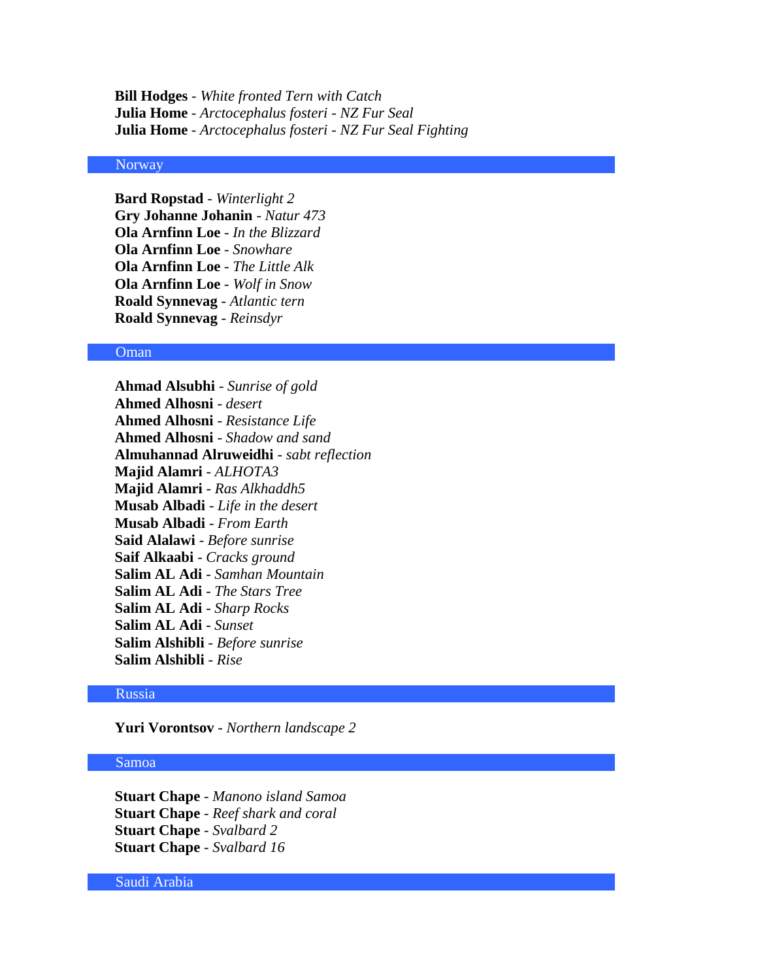**Bill Hodges** - *White fronted Tern with Catch* **Julia Home** - *Arctocephalus fosteri - NZ Fur Seal* **Julia Home** - *Arctocephalus fosteri - NZ Fur Seal Fighting*

# Norway

**Bard Ropstad** - *Winterlight 2* **Gry Johanne Johanin** - *Natur 473* **Ola Arnfinn Loe** - *In the Blizzard* **Ola Arnfinn Loe** - *Snowhare* **Ola Arnfinn Loe** - *The Little Alk* **Ola Arnfinn Loe** - *Wolf in Snow* **Roald Synnevag** - *Atlantic tern* **Roald Synnevag** - *Reinsdyr*

### Oman

**Ahmad Alsubhi** - *Sunrise of gold* **Ahmed Alhosni** - *desert* **Ahmed Alhosni** - *Resistance Life* **Ahmed Alhosni** - *Shadow and sand* **Almuhannad Alruweidhi** - *sabt reflection* **Majid Alamri** - *ALHOTA3* **Majid Alamri** - *Ras Alkhaddh5* **Musab Albadi** - *Life in the desert* **Musab Albadi** - *From Earth* **Said Alalawi** - *Before sunrise* **Saif Alkaabi** - *Cracks ground* **Salim AL Adi** - *Samhan Mountain* **Salim AL Adi** - *The Stars Tree* **Salim AL Adi** - *Sharp Rocks* **Salim AL Adi** - *Sunset* **Salim Alshibli** - *Before sunrise* **Salim Alshibli** - *Rise*

### Russia

**Yuri Vorontsov** - *Northern landscape 2*

# Samoa

**Stuart Chape** - *Manono island Samoa* **Stuart Chape** - *Reef shark and coral* **Stuart Chape** - *Svalbard 2* **Stuart Chape** - *Svalbard 16*

Saudi Arabia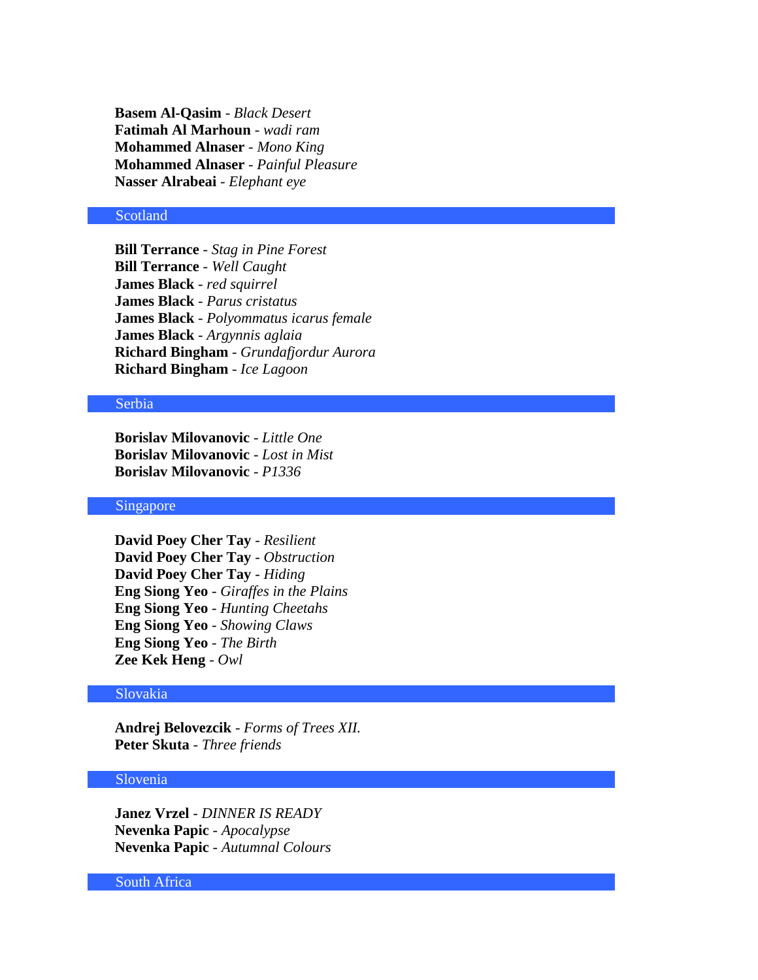**Basem Al-Qasim** - *Black Desert* **Fatimah Al Marhoun** - *wadi ram* **Mohammed Alnaser** - *Mono King* **Mohammed Alnaser** - *Painful Pleasure* **Nasser Alrabeai** - *Elephant eye*

# **Scotland**

**Bill Terrance** - *Stag in Pine Forest* **Bill Terrance** - *Well Caught* **James Black** - *red squirrel* **James Black** - *Parus cristatus* **James Black** - *Polyommatus icarus female* **James Black** - *Argynnis aglaia* **Richard Bingham** - *Grundafjordur Aurora* **Richard Bingham** - *Ice Lagoon*

# Serbia

**Borislav Milovanovic** - *Little One* **Borislav Milovanovic** - *Lost in Mist* **Borislav Milovanovic** - *P1336*

## Singapore

**David Poey Cher Tay** - *Resilient* **David Poey Cher Tay** - *Obstruction* **David Poey Cher Tay** - *Hiding* **Eng Siong Yeo** - *Giraffes in the Plains* **Eng Siong Yeo** - *Hunting Cheetahs* **Eng Siong Yeo** - *Showing Claws* **Eng Siong Yeo** - *The Birth* **Zee Kek Heng** - *Owl*

# Slovakia

**Andrej Belovezcik** - *Forms of Trees XII.* **Peter Skuta** - *Three friends*

# Slovenia

**Janez Vrzel** - *DINNER IS READY* **Nevenka Papic** - *Apocalypse* **Nevenka Papic** - *Autumnal Colours*

South Africa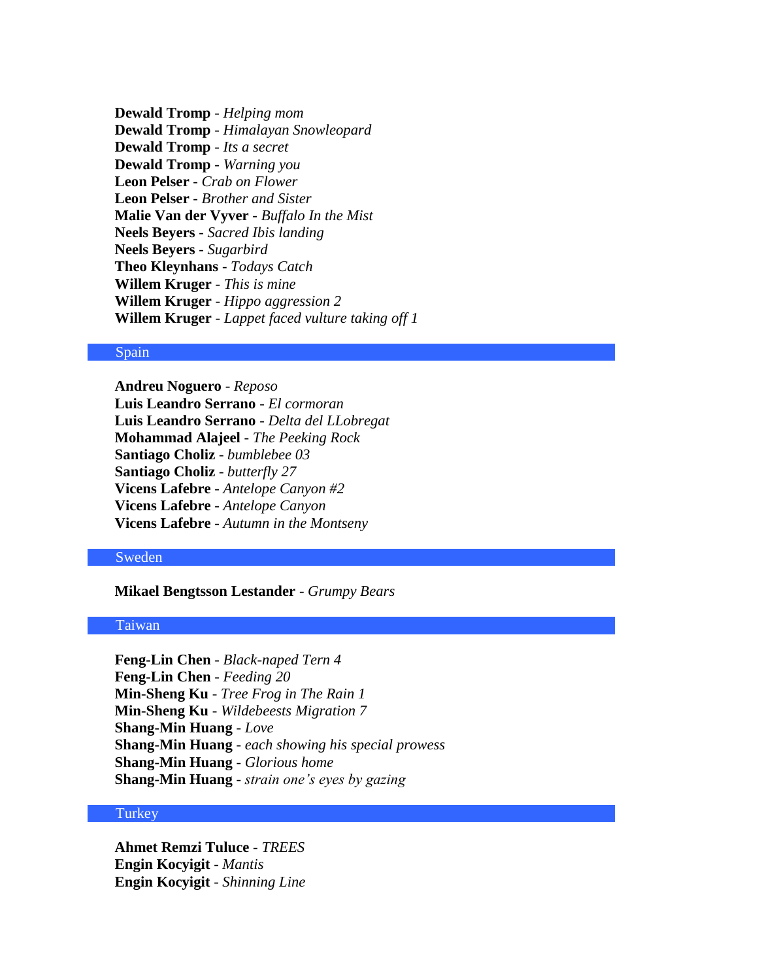**Dewald Tromp** - *Helping mom* **Dewald Tromp** - *Himalayan Snowleopard* **Dewald Tromp** - *Its a secret* **Dewald Tromp** - *Warning you* **Leon Pelser** - *Crab on Flower* **Leon Pelser** - *Brother and Sister* **Malie Van der Vyver** - *Buffalo In the Mist* **Neels Beyers** - *Sacred Ibis landing* **Neels Beyers** - *Sugarbird* **Theo Kleynhans** - *Todays Catch* **Willem Kruger** - *This is mine* **Willem Kruger** - *Hippo aggression 2* **Willem Kruger** - *Lappet faced vulture taking off 1*

#### Spain

**Andreu Noguero** - *Reposo* **Luis Leandro Serrano** - *El cormoran* **Luis Leandro Serrano** - *Delta del LLobregat* **Mohammad Alajeel** - *The Peeking Rock* **Santiago Choliz** - *bumblebee 03* **Santiago Choliz** - *butterfly 27* **Vicens Lafebre** - *Antelope Canyon #2* **Vicens Lafebre** - *Antelope Canyon* **Vicens Lafebre** - *Autumn in the Montseny*

# Sweden

**Mikael Bengtsson Lestander** - *Grumpy Bears*

# Taiwan

**Feng-Lin Chen** - *Black-naped Tern 4* **Feng-Lin Chen** - *Feeding 20* **Min-Sheng Ku** - *Tree Frog in The Rain 1* **Min-Sheng Ku** - *Wildebeests Migration 7* **Shang-Min Huang** - *Love* **Shang-Min Huang** - *each showing his special prowess* **Shang-Min Huang** - *Glorious home* **Shang-Min Huang** - *strain one's eyes by gazing*

# **Turkey**

**Ahmet Remzi Tuluce** - *TREES* **Engin Kocyigit** - *Mantis* **Engin Kocyigit** - *Shinning Line*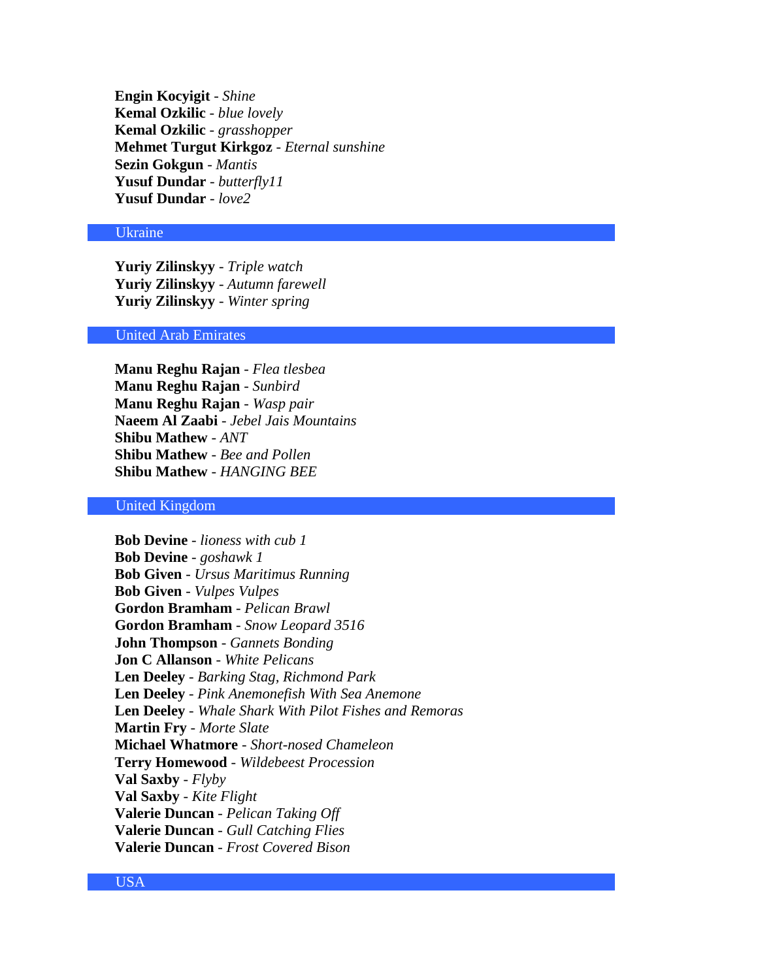**Engin Kocyigit** - *Shine* **Kemal Ozkilic** - *blue lovely* **Kemal Ozkilic** - *grasshopper* **Mehmet Turgut Kirkgoz** - *Eternal sunshine* **Sezin Gokgun** - *Mantis* **Yusuf Dundar** - *butterfly11* **Yusuf Dundar** - *love2*

## Ukraine

**Yuriy Zilinskyy** - *Triple watch* **Yuriy Zilinskyy** - *Autumn farewell* **Yuriy Zilinskyy** - *Winter spring*

# United Arab Emirates

**Manu Reghu Rajan** - *Flea tlesbea* **Manu Reghu Rajan** - *Sunbird* **Manu Reghu Rajan** - *Wasp pair* **Naeem Al Zaabi** - *Jebel Jais Mountains* **Shibu Mathew** - *ANT* **Shibu Mathew** - *Bee and Pollen* **Shibu Mathew** - *HANGING BEE*

## United Kingdom

**Bob Devine** - *lioness with cub 1* **Bob Devine** - *goshawk 1* **Bob Given** - *Ursus Maritimus Running* **Bob Given** - *Vulpes Vulpes* **Gordon Bramham** - *Pelican Brawl* **Gordon Bramham** - *Snow Leopard 3516* **John Thompson** - *Gannets Bonding* **Jon C Allanson** - *White Pelicans* **Len Deeley** - *Barking Stag, Richmond Park* **Len Deeley** - *Pink Anemonefish With Sea Anemone* **Len Deeley** - *Whale Shark With Pilot Fishes and Remoras* **Martin Fry** - *Morte Slate* **Michael Whatmore** - *Short-nosed Chameleon* **Terry Homewood** - *Wildebeest Procession* **Val Saxby** - *Flyby* **Val Saxby** - *Kite Flight* **Valerie Duncan** - *Pelican Taking Off* **Valerie Duncan** - *Gull Catching Flies* **Valerie Duncan** - *Frost Covered Bison*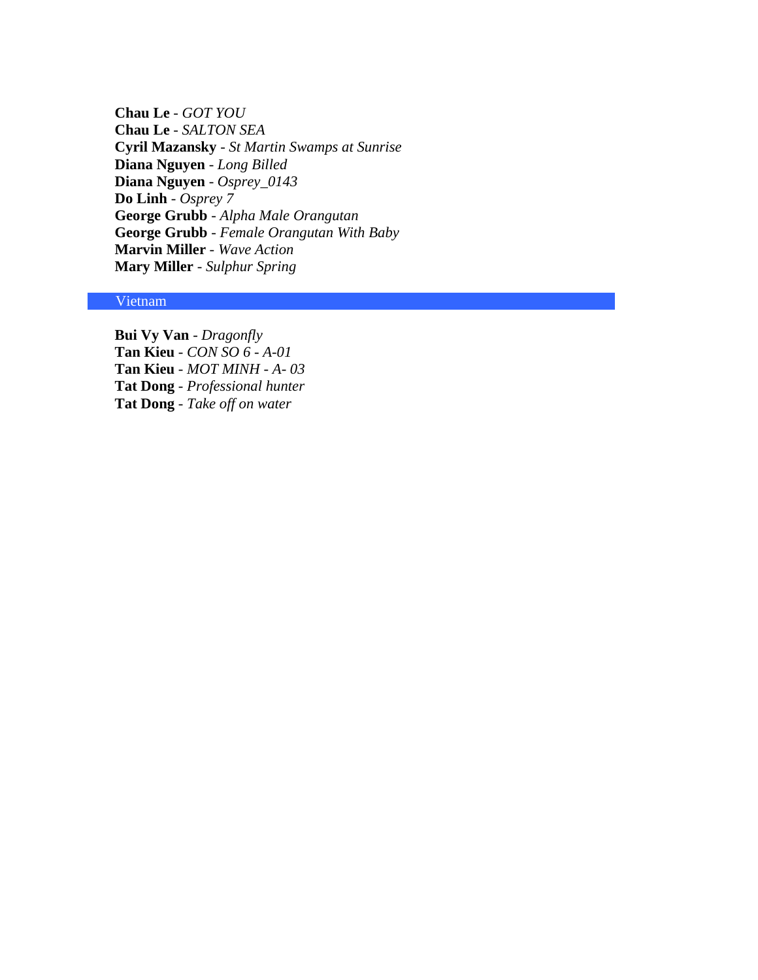**Chau Le** - *GOT YOU* **Chau Le** - *SALTON SEA* **Cyril Mazansky** - *St Martin Swamps at Sunrise* **Diana Nguyen** - *Long Billed* **Diana Nguyen** - *Osprey\_0143* **Do Linh** - *Osprey 7* **George Grubb** - *Alpha Male Orangutan* **George Grubb** - *Female Orangutan With Baby* **Marvin Miller** - *Wave Action* **Mary Miller** - *Sulphur Spring*

# Vietnam

**Bui Vy Van** - *Dragonfly* **Tan Kieu** - *CON SO 6 - A-01* **Tan Kieu** - *MOT MINH - A- 03* **Tat Dong** - *Professional hunter* **Tat Dong** - *Take off on water*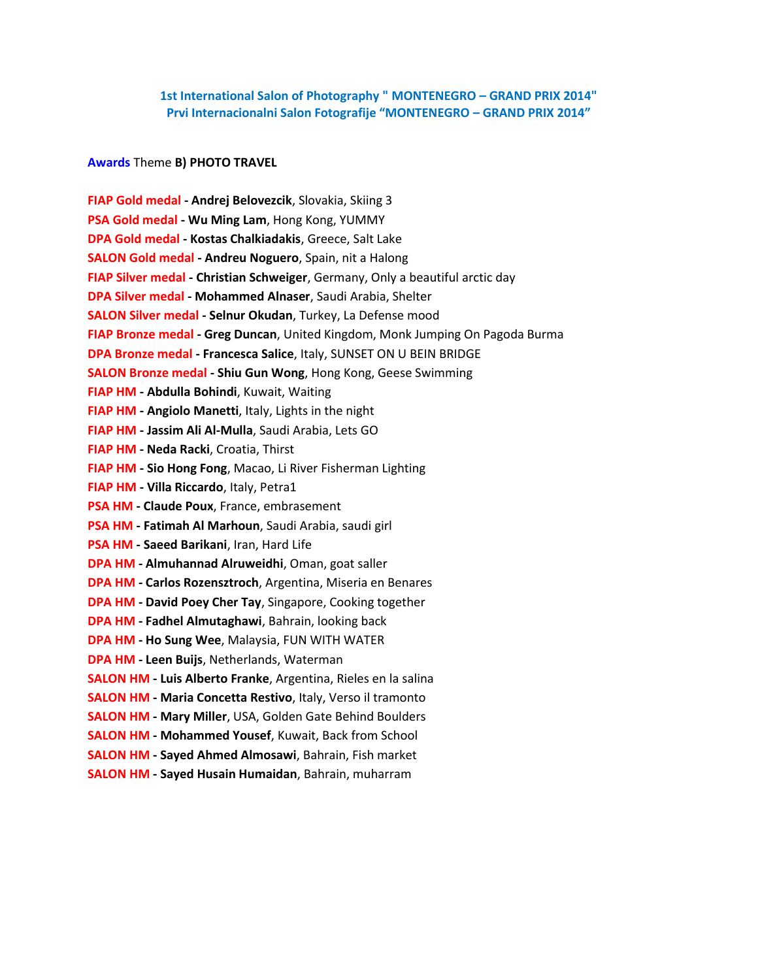# **1st International Salon of Photography " MONTENEGRO – GRAND PRIX 2014" Prvi Internacionalni Salon Fotografije "MONTENEGRO – GRAND PRIX 2014"**

## **Awards** Theme **B) PHOTO TRAVEL**

**FIAP Gold medal - Andrej Belovezcik**, Slovakia, Skiing 3 **PSA Gold medal - Wu Ming Lam**, Hong Kong, YUMMY **DPA Gold medal - Kostas Chalkiadakis**, Greece, Salt Lake **SALON Gold medal - Andreu Noguero**, Spain, nit a Halong **FIAP Silver medal - Christian Schweiger**, Germany, Only a beautiful arctic day **DPA Silver medal - Mohammed Alnaser**, Saudi Arabia, Shelter **SALON Silver medal - Selnur Okudan**, Turkey, La Defense mood **FIAP Bronze medal - Greg Duncan**, United Kingdom, Monk Jumping On Pagoda Burma **DPA Bronze medal - Francesca Salice**, Italy, SUNSET ON U BEIN BRIDGE **SALON Bronze medal - Shiu Gun Wong**, Hong Kong, Geese Swimming **FIAP HM - Abdulla Bohindi**, Kuwait, Waiting **FIAP HM - Angiolo Manetti**, Italy, Lights in the night **FIAP HM - Jassim Ali Al-Mulla**, Saudi Arabia, Lets GO **FIAP HM - Neda Racki**, Croatia, Thirst **FIAP HM - Sio Hong Fong**, Macao, Li River Fisherman Lighting **FIAP HM - Villa Riccardo**, Italy, Petra1 **PSA HM - Claude Poux**, France, embrasement **PSA HM - Fatimah Al Marhoun**, Saudi Arabia, saudi girl **PSA HM - Saeed Barikani**, Iran, Hard Life **DPA HM - Almuhannad Alruweidhi**, Oman, goat saller **DPA HM - Carlos Rozensztroch**, Argentina, Miseria en Benares **DPA HM - David Poey Cher Tay**, Singapore, Cooking together **DPA HM - Fadhel Almutaghawi**, Bahrain, looking back **DPA HM - Ho Sung Wee**, Malaysia, FUN WITH WATER **DPA HM - Leen Buijs**, Netherlands, Waterman **SALON HM - Luis Alberto Franke**, Argentina, Rieles en la salina **SALON HM - Maria Concetta Restivo**, Italy, Verso il tramonto **SALON HM - Mary Miller**, USA, Golden Gate Behind Boulders **SALON HM - Mohammed Yousef**, Kuwait, Back from School **SALON HM - Sayed Ahmed Almosawi**, Bahrain, Fish market **SALON HM - Sayed Husain Humaidan**, Bahrain, muharram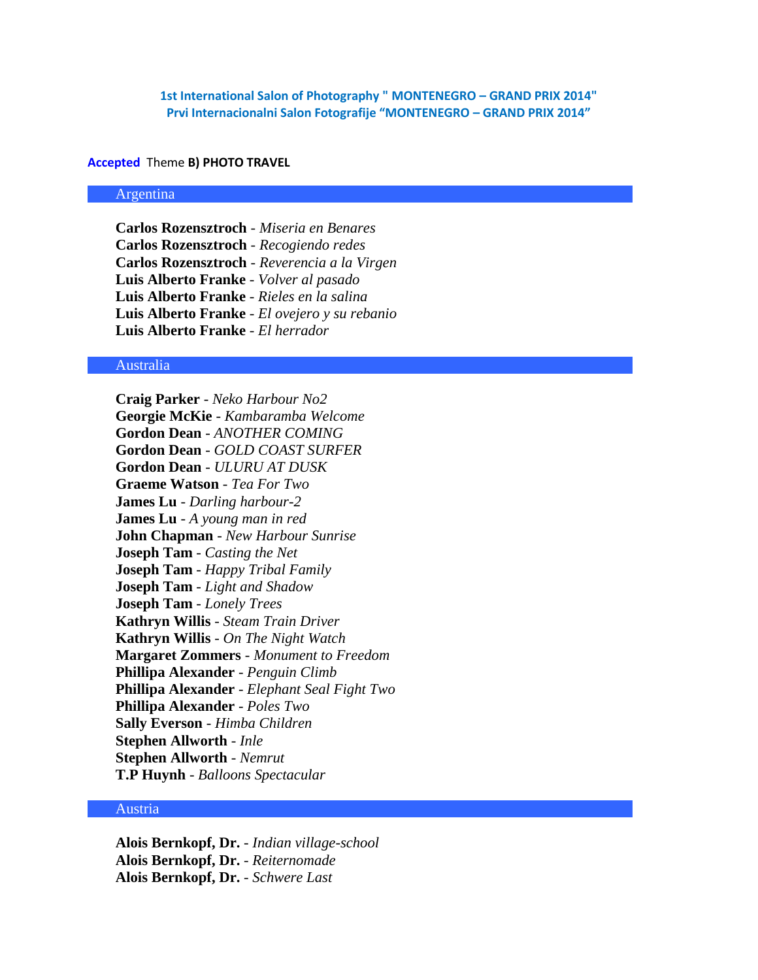**1st International Salon of Photography " MONTENEGRO – GRAND PRIX 2014" Prvi Internacionalni Salon Fotografije "MONTENEGRO – GRAND PRIX 2014"**

#### **Accepted** Theme **B) PHOTO TRAVEL**

### Argentina

**Carlos Rozensztroch** - *Miseria en Benares* **Carlos Rozensztroch** - *Recogiendo redes* **Carlos Rozensztroch** - *Reverencia a la Virgen* **Luis Alberto Franke** - *Volver al pasado* **Luis Alberto Franke** - *Rieles en la salina* **Luis Alberto Franke** - *El ovejero y su rebanio* **Luis Alberto Franke** - *El herrador*

## Australia

**Craig Parker** - *Neko Harbour No2* **Georgie McKie** - *Kambaramba Welcome* **Gordon Dean** - *ANOTHER COMING* **Gordon Dean** - *GOLD COAST SURFER* **Gordon Dean** - *ULURU AT DUSK* **Graeme Watson** - *Tea For Two* **James Lu** - *Darling harbour-2* **James Lu** - *A young man in red* **John Chapman** - *New Harbour Sunrise* **Joseph Tam** - *Casting the Net* **Joseph Tam** - *Happy Tribal Family* **Joseph Tam** - *Light and Shadow* **Joseph Tam** - *Lonely Trees* **Kathryn Willis** - *Steam Train Driver* **Kathryn Willis** - *On The Night Watch* **Margaret Zommers** - *Monument to Freedom* **Phillipa Alexander** - *Penguin Climb* **Phillipa Alexander** - *Elephant Seal Fight Two* **Phillipa Alexander** - *Poles Two* **Sally Everson** - *Himba Children* **Stephen Allworth** - *Inle* **Stephen Allworth** - *Nemrut* **T.P Huynh** - *Balloons Spectacular*

## Austria

**Alois Bernkopf, Dr.** - *Indian village-school* **Alois Bernkopf, Dr.** - *Reiternomade* **Alois Bernkopf, Dr.** - *Schwere Last*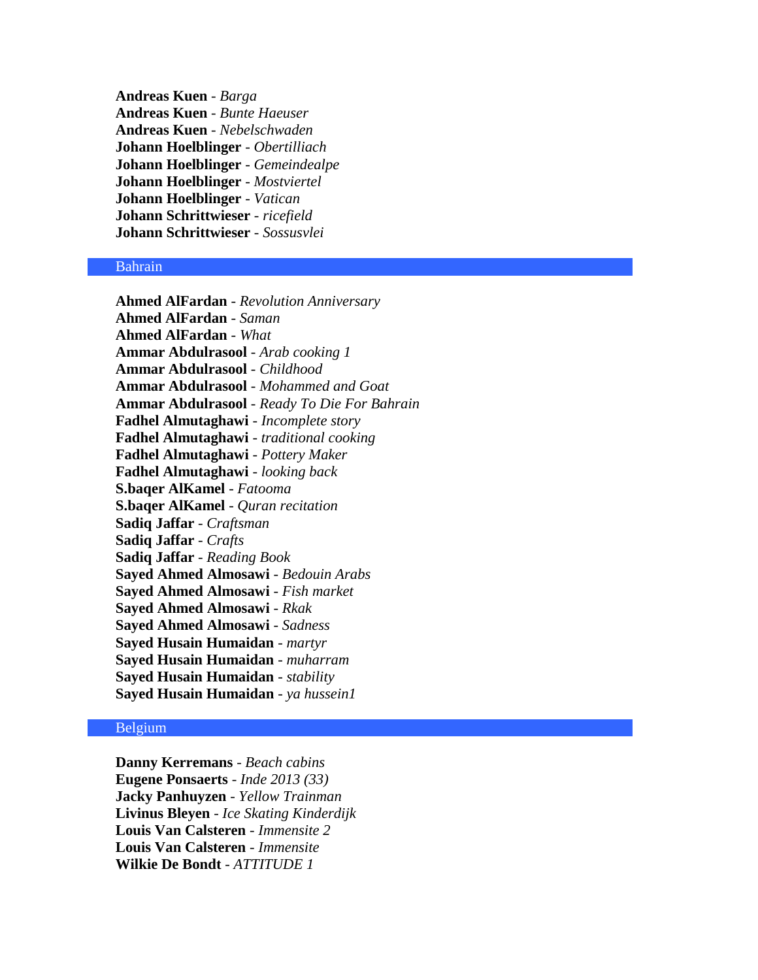**Andreas Kuen** - *Barga* **Andreas Kuen** - *Bunte Haeuser* **Andreas Kuen** - *Nebelschwaden* **Johann Hoelblinger** - *Obertilliach* **Johann Hoelblinger** - *Gemeindealpe* **Johann Hoelblinger** - *Mostviertel* **Johann Hoelblinger** - *Vatican* **Johann Schrittwieser** - *ricefield* **Johann Schrittwieser** - *Sossusvlei*

## Bahrain

**Ahmed AlFardan** - *Revolution Anniversary* **Ahmed AlFardan** - *Saman* **Ahmed AlFardan** - *What* **Ammar Abdulrasool** - *Arab cooking 1* **Ammar Abdulrasool** - *Childhood* **Ammar Abdulrasool** - *Mohammed and Goat* **Ammar Abdulrasool** - *Ready To Die For Bahrain* **Fadhel Almutaghawi** - *Incomplete story* **Fadhel Almutaghawi** - *traditional cooking* **Fadhel Almutaghawi** - *Pottery Maker* **Fadhel Almutaghawi** - *looking back* **S.baqer AlKamel** - *Fatooma* **S.baqer AlKamel** - *Quran recitation* **Sadiq Jaffar** - *Craftsman* **Sadiq Jaffar** - *Crafts* **Sadiq Jaffar** - *Reading Book* **Sayed Ahmed Almosawi** - *Bedouin Arabs* **Sayed Ahmed Almosawi** - *Fish market* **Sayed Ahmed Almosawi** - *Rkak* **Sayed Ahmed Almosawi** - *Sadness* **Sayed Husain Humaidan** - *martyr* **Sayed Husain Humaidan** - *muharram* **Sayed Husain Humaidan** - *stability* **Sayed Husain Humaidan** - *ya hussein1*

#### Belgium

**Danny Kerremans** - *Beach cabins* **Eugene Ponsaerts** - *Inde 2013 (33)* **Jacky Panhuyzen** - *Yellow Trainman* **Livinus Bleyen** - *Ice Skating Kinderdijk* **Louis Van Calsteren** - *Immensite 2* **Louis Van Calsteren** - *Immensite* **Wilkie De Bondt** - *ATTITUDE 1*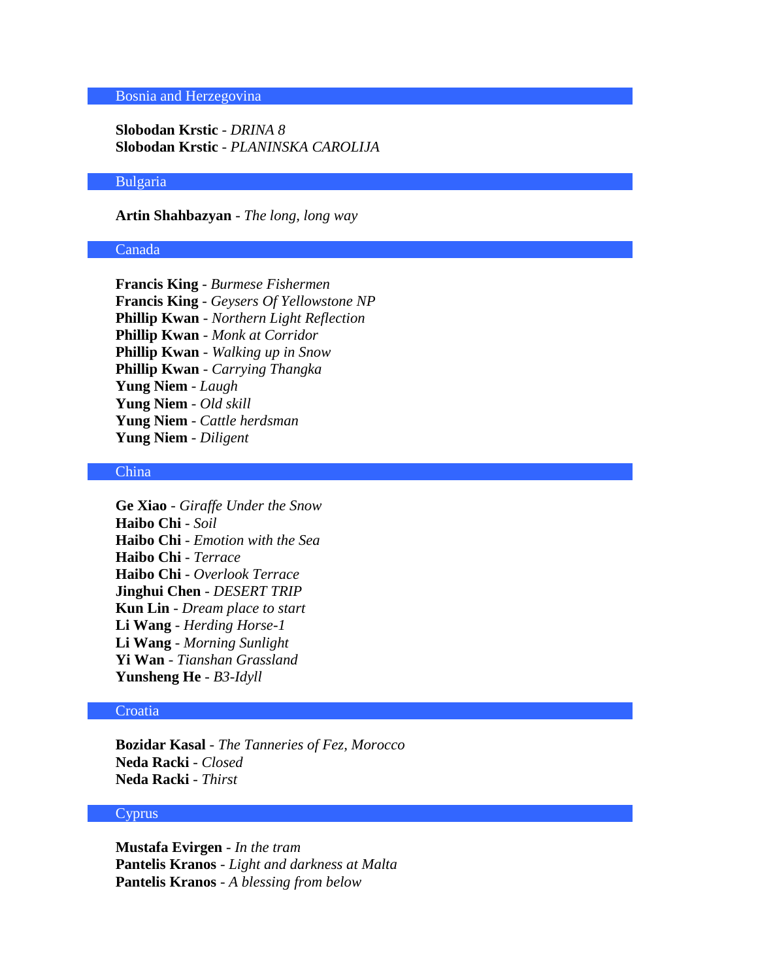# Bosnia and Herzegovina

**Slobodan Krstic** - *DRINA 8* **Slobodan Krstic** - *PLANINSKA CAROLIJA*

### Bulgaria

**Artin Shahbazyan** - *The long, long way*

## Canada

**Francis King** - *Burmese Fishermen* **Francis King** - *Geysers Of Yellowstone NP* **Phillip Kwan** - *Northern Light Reflection* **Phillip Kwan** - *Monk at Corridor* **Phillip Kwan** - *Walking up in Snow* **Phillip Kwan** - *Carrying Thangka* **Yung Niem** - *Laugh* **Yung Niem** - *Old skill* **Yung Niem** - *Cattle herdsman* **Yung Niem** - *Diligent*

## China

**Ge Xiao** - *Giraffe Under the Snow* **Haibo Chi** - *Soil* **Haibo Chi** - *Emotion with the Sea* **Haibo Chi** - *Terrace* **Haibo Chi** - *Overlook Terrace* **Jinghui Chen** - *DESERT TRIP* **Kun Lin** - *Dream place to start* **Li Wang** - *Herding Horse-1* **Li Wang** - *Morning Sunlight* **Yi Wan** - *Tianshan Grassland* **Yunsheng He** - *B3-Idyll*

## **Croatia**

**Bozidar Kasal** - *The Tanneries of Fez, Morocco* **Neda Racki** - *Closed* **Neda Racki** - *Thirst*

#### **Cyprus**

**Mustafa Evirgen** - *In the tram* **Pantelis Kranos** - *Light and darkness at Malta* **Pantelis Kranos** - *A blessing from below*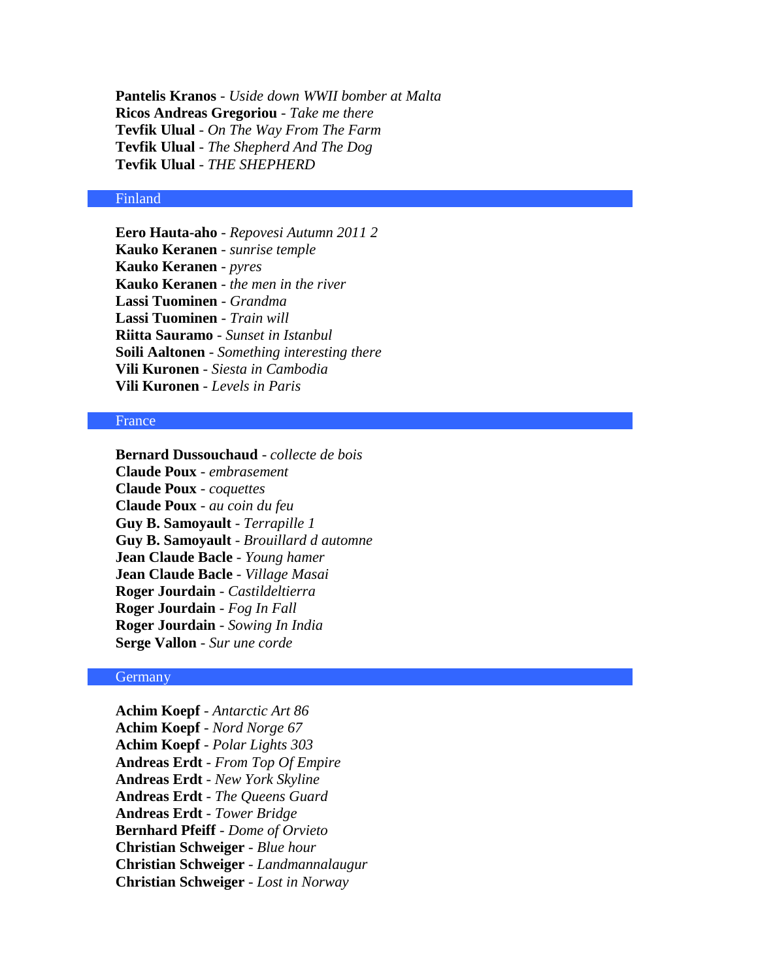**Pantelis Kranos** - *Uside down WWII bomber at Malta* **Ricos Andreas Gregoriou** - *Take me there* **Tevfik Ulual** - *On The Way From The Farm* **Tevfik Ulual** - *The Shepherd And The Dog* **Tevfik Ulual** - *THE SHEPHERD*

## Finland

**Eero Hauta-aho** - *Repovesi Autumn 2011 2* **Kauko Keranen** - *sunrise temple* **Kauko Keranen** - *pyres* **Kauko Keranen** - *the men in the river* **Lassi Tuominen** - *Grandma* **Lassi Tuominen** - *Train will* **Riitta Sauramo** - *Sunset in Istanbul* **Soili Aaltonen** - *Something interesting there* **Vili Kuronen** - *Siesta in Cambodia* **Vili Kuronen** - *Levels in Paris*

## France

**Bernard Dussouchaud** - *collecte de bois* **Claude Poux** - *embrasement* **Claude Poux** - *coquettes* **Claude Poux** - *au coin du feu* **Guy B. Samoyault** - *Terrapille 1* **Guy B. Samoyault** - *Brouillard d automne* **Jean Claude Bacle** - *Young hamer* **Jean Claude Bacle** - *Village Masai* **Roger Jourdain** - *Castildeltierra* **Roger Jourdain** - *Fog In Fall* **Roger Jourdain** - *Sowing In India* **Serge Vallon** - *Sur une corde*

# **Germany**

**Achim Koepf** - *Antarctic Art 86* **Achim Koepf** - *Nord Norge 67* **Achim Koepf** - *Polar Lights 303* **Andreas Erdt** - *From Top Of Empire* **Andreas Erdt** - *New York Skyline* **Andreas Erdt** - *The Queens Guard* **Andreas Erdt** - *Tower Bridge* **Bernhard Pfeiff** - *Dome of Orvieto* **Christian Schweiger** - *Blue hour* **Christian Schweiger** - *Landmannalaugur* **Christian Schweiger** - *Lost in Norway*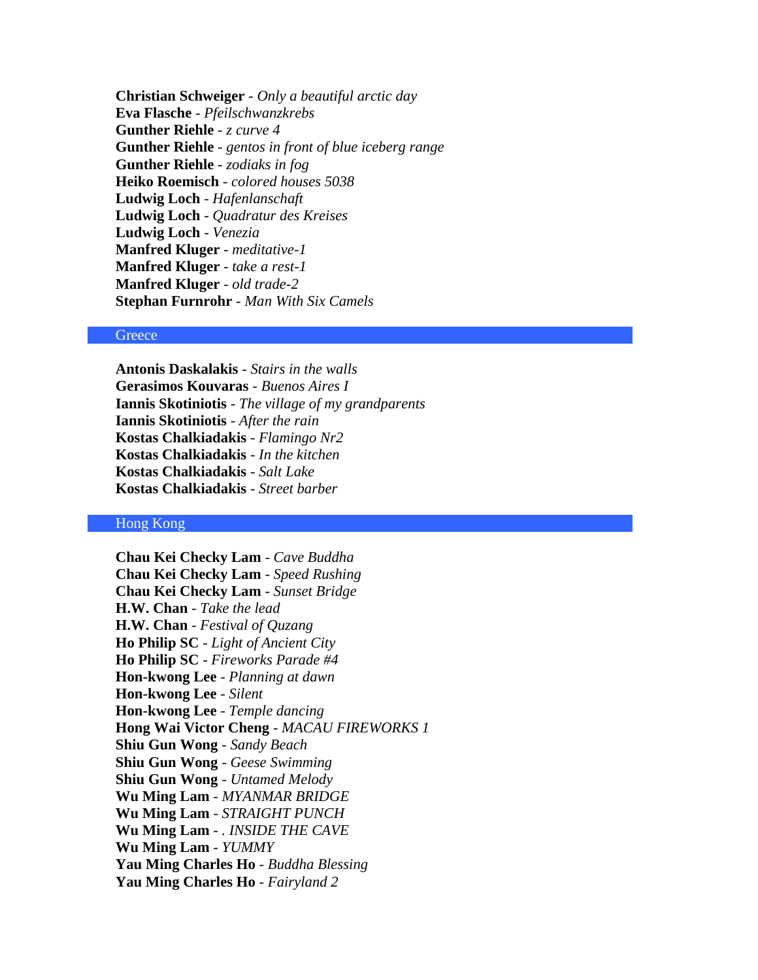**Christian Schweiger** - *Only a beautiful arctic day* **Eva Flasche** - *Pfeilschwanzkrebs* **Gunther Riehle** - *z curve 4* **Gunther Riehle** - *gentos in front of blue iceberg range* **Gunther Riehle** - *zodiaks in fog* **Heiko Roemisch** - *colored houses 5038* **Ludwig Loch** - *Hafenlanschaft* **Ludwig Loch** - *Quadratur des Kreises* **Ludwig Loch** - *Venezia* **Manfred Kluger** - *meditative-1* **Manfred Kluger** - *take a rest-1* **Manfred Kluger** - *old trade-2* **Stephan Furnrohr** - *Man With Six Camels*

# **Greece**

**Antonis Daskalakis** - *Stairs in the walls* **Gerasimos Kouvaras** - *Buenos Aires I* **Iannis Skotiniotis** - *The village of my grandparents* **Iannis Skotiniotis** - *After the rain* **Kostas Chalkiadakis** - *Flamingo Nr2* **Kostas Chalkiadakis** - *In the kitchen* **Kostas Chalkiadakis** - *Salt Lake* **Kostas Chalkiadakis** - *Street barber*

## Hong Kong

**Chau Kei Checky Lam** - *Cave Buddha* **Chau Kei Checky Lam** - *Speed Rushing* **Chau Kei Checky Lam** - *Sunset Bridge* **H.W. Chan** - *Take the lead* **H.W. Chan** - *Festival of Quzang* **Ho Philip SC** - *Light of Ancient City* **Ho Philip SC** - *Fireworks Parade #4* **Hon-kwong Lee** - *Planning at dawn* **Hon-kwong Lee** - *Silent* **Hon-kwong Lee** - *Temple dancing* **Hong Wai Victor Cheng** - *MACAU FIREWORKS 1* **Shiu Gun Wong** - *Sandy Beach* **Shiu Gun Wong** - *Geese Swimming* **Shiu Gun Wong** - *Untamed Melody* **Wu Ming Lam** - *MYANMAR BRIDGE* **Wu Ming Lam** - *STRAIGHT PUNCH* **Wu Ming Lam** - *. INSIDE THE CAVE* **Wu Ming Lam** - *YUMMY* **Yau Ming Charles Ho** - *Buddha Blessing* **Yau Ming Charles Ho** - *Fairyland 2*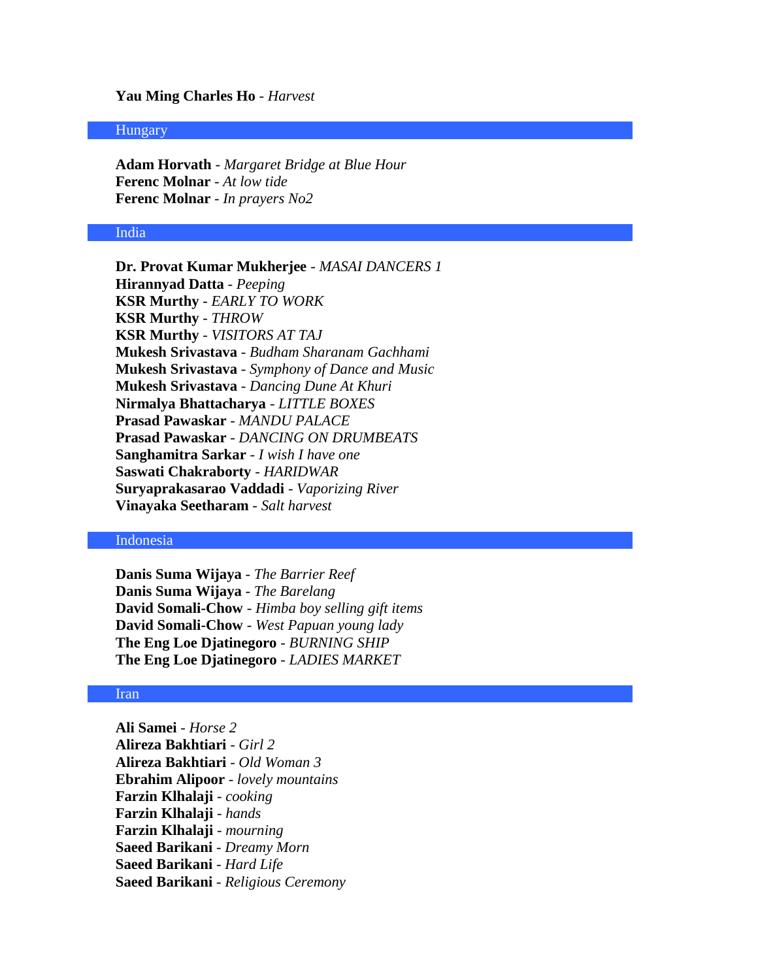### **Yau Ming Charles Ho** - *Harvest*

#### Hungary

**Adam Horvath** - *Margaret Bridge at Blue Hour* **Ferenc Molnar** - *At low tide* **Ferenc Molnar** - *In prayers No2*

## India

**Dr. Provat Kumar Mukherjee** - *MASAI DANCERS 1* **Hirannyad Datta** - *Peeping* **KSR Murthy** - *EARLY TO WORK* **KSR Murthy** - *THROW* **KSR Murthy** - *VISITORS AT TAJ* **Mukesh Srivastava** - *Budham Sharanam Gachhami* **Mukesh Srivastava** - *Symphony of Dance and Music* **Mukesh Srivastava** - *Dancing Dune At Khuri* **Nirmalya Bhattacharya** - *LITTLE BOXES* **Prasad Pawaskar** - *MANDU PALACE* **Prasad Pawaskar** - *DANCING ON DRUMBEATS* **Sanghamitra Sarkar** - *I wish I have one* **Saswati Chakraborty** - *HARIDWAR* **Suryaprakasarao Vaddadi** - *Vaporizing River* **Vinayaka Seetharam** - *Salt harvest*

# Indonesia

**Danis Suma Wijaya** - *The Barrier Reef* **Danis Suma Wijaya** - *The Barelang* **David Somali-Chow** - *Himba boy selling gift items* **David Somali-Chow** - *West Papuan young lady* **The Eng Loe Djatinegoro** - *BURNING SHIP* **The Eng Loe Djatinegoro** - *LADIES MARKET*

# Iran

**Ali Samei** - *Horse 2* **Alireza Bakhtiari** - *Girl 2* **Alireza Bakhtiari** - *Old Woman 3* **Ebrahim Alipoor** - *lovely mountains* **Farzin Klhalaji** - *cooking* **Farzin Klhalaji** - *hands* **Farzin Klhalaji** - *mourning* **Saeed Barikani** - *Dreamy Morn* **Saeed Barikani** - *Hard Life* **Saeed Barikani** - *Religious Ceremony*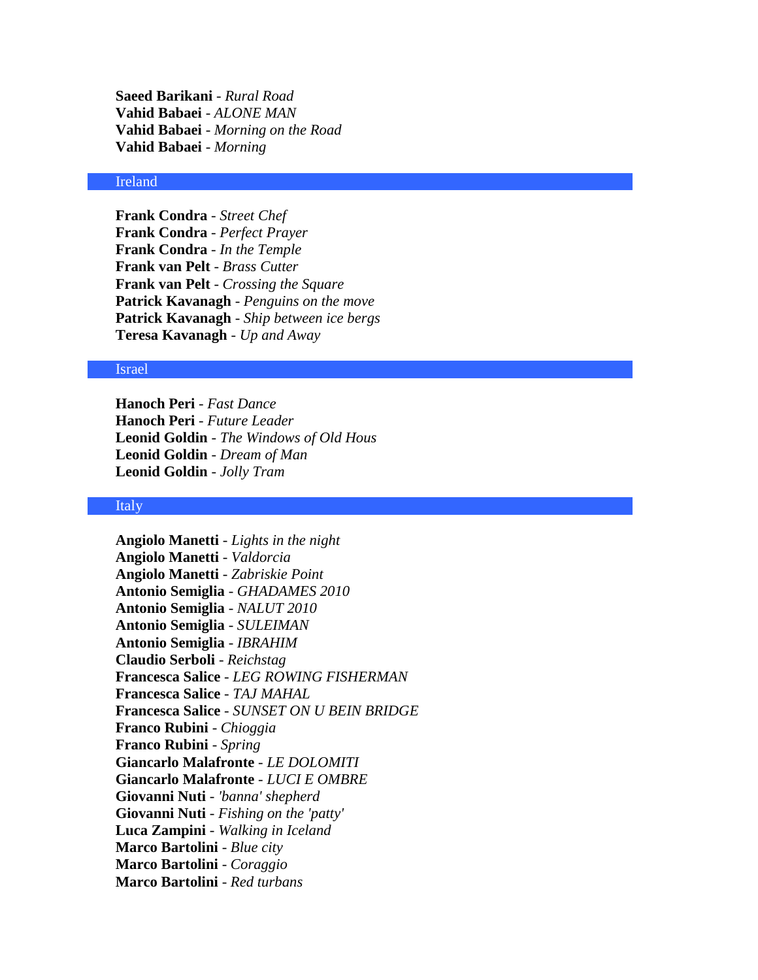**Saeed Barikani** - *Rural Road* **Vahid Babaei** - *ALONE MAN* **Vahid Babaei** - *Morning on the Road* **Vahid Babaei** - *Morning*

### Ireland

**Frank Condra** - *Street Chef* **Frank Condra** - *Perfect Prayer* **Frank Condra** - *In the Temple* **Frank van Pelt** - *Brass Cutter* **Frank van Pelt** - *Crossing the Square* **Patrick Kavanagh** - *Penguins on the move* **Patrick Kavanagh** - *Ship between ice bergs* **Teresa Kavanagh** - *Up and Away*

## Israel

**Hanoch Peri** - *Fast Dance* **Hanoch Peri** - *Future Leader* **Leonid Goldin** - *The Windows of Old Hous* **Leonid Goldin** - *Dream of Man* **Leonid Goldin** - *Jolly Tram*

### Italy

**Angiolo Manetti** - *Lights in the night* **Angiolo Manetti** - *Valdorcia* **Angiolo Manetti** - *Zabriskie Point* **Antonio Semiglia** - *GHADAMES 2010* **Antonio Semiglia** - *NALUT 2010* **Antonio Semiglia** - *SULEIMAN* **Antonio Semiglia** - *IBRAHIM* **Claudio Serboli** - *Reichstag* **Francesca Salice** - *LEG ROWING FISHERMAN* **Francesca Salice** - *TAJ MAHAL* **Francesca Salice** - *SUNSET ON U BEIN BRIDGE* **Franco Rubini** - *Chioggia* **Franco Rubini** - *Spring* **Giancarlo Malafronte** - *LE DOLOMITI* **Giancarlo Malafronte** - *LUCI E OMBRE* **Giovanni Nuti** - *'banna' shepherd* **Giovanni Nuti** - *Fishing on the 'patty'* **Luca Zampini** - *Walking in Iceland* **Marco Bartolini** - *Blue city* **Marco Bartolini** - *Coraggio* **Marco Bartolini** - *Red turbans*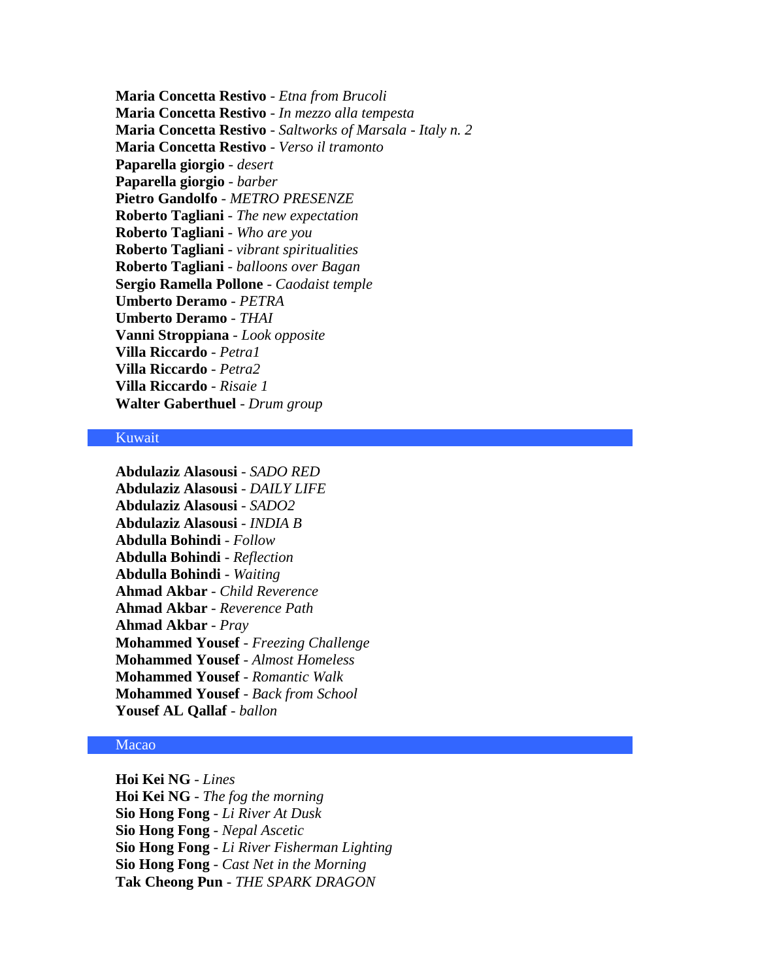**Maria Concetta Restivo** - *Etna from Brucoli* **Maria Concetta Restivo** - *In mezzo alla tempesta* **Maria Concetta Restivo** - *Saltworks of Marsala - Italy n. 2* **Maria Concetta Restivo** - *Verso il tramonto* **Paparella giorgio** - *desert* **Paparella giorgio** - *barber* **Pietro Gandolfo** - *METRO PRESENZE* **Roberto Tagliani** - *The new expectation* **Roberto Tagliani** - *Who are you* **Roberto Tagliani** - *vibrant spiritualities* **Roberto Tagliani** - *balloons over Bagan* **Sergio Ramella Pollone** - *Caodaist temple* **Umberto Deramo** - *PETRA* **Umberto Deramo** - *THAI* **Vanni Stroppiana** - *Look opposite* **Villa Riccardo** - *Petra1* **Villa Riccardo** - *Petra2* **Villa Riccardo** - *Risaie 1* **Walter Gaberthuel** - *Drum group*

# Kuwait

**Abdulaziz Alasousi** - *SADO RED* **Abdulaziz Alasousi** - *DAILY LIFE* **Abdulaziz Alasousi** - *SADO2* **Abdulaziz Alasousi** - *INDIA B* **Abdulla Bohindi** - *Follow* **Abdulla Bohindi** - *Reflection* **Abdulla Bohindi** - *Waiting* **Ahmad Akbar** - *Child Reverence* **Ahmad Akbar** - *Reverence Path* **Ahmad Akbar** - *Pray* **Mohammed Yousef** - *Freezing Challenge* **Mohammed Yousef** - *Almost Homeless* **Mohammed Yousef** - *Romantic Walk* **Mohammed Yousef** - *Back from School* **Yousef AL Qallaf** - *ballon*

# Macao

**Hoi Kei NG** - *Lines* **Hoi Kei NG** - *The fog the morning* **Sio Hong Fong** - *Li River At Dusk* **Sio Hong Fong** - *Nepal Ascetic* **Sio Hong Fong** - *Li River Fisherman Lighting* **Sio Hong Fong** - *Cast Net in the Morning* **Tak Cheong Pun** - *THE SPARK DRAGON*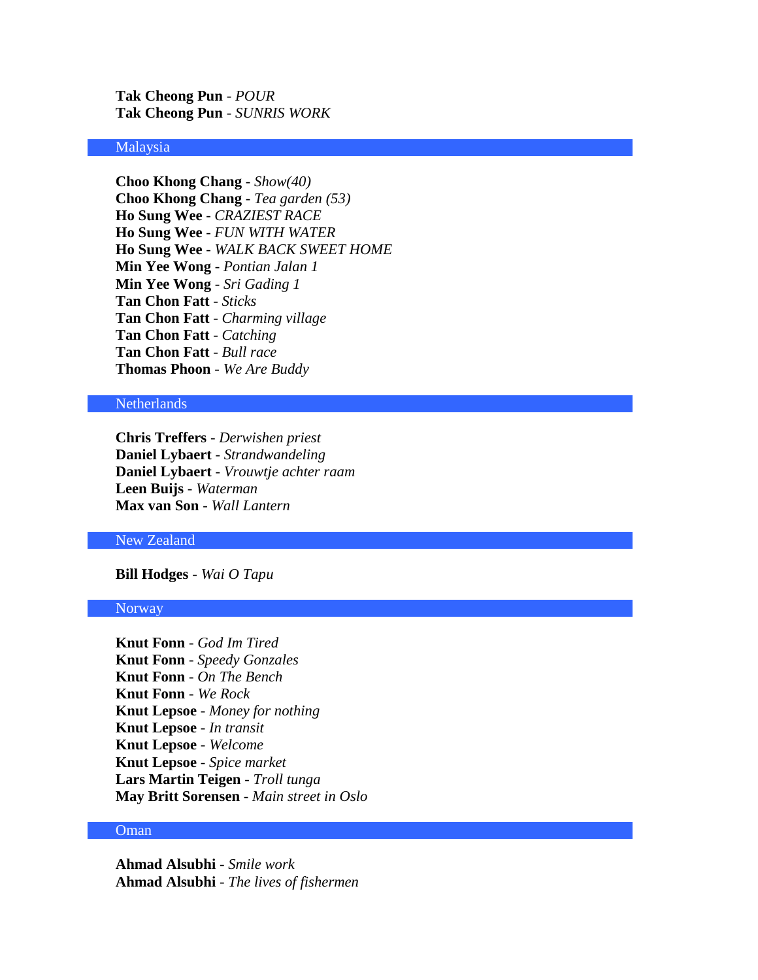**Tak Cheong Pun** - *POUR* **Tak Cheong Pun** - *SUNRIS WORK*

### Malaysia

**Choo Khong Chang** - *Show(40)* **Choo Khong Chang** - *Tea garden (53)* **Ho Sung Wee** - *CRAZIEST RACE* **Ho Sung Wee** - *FUN WITH WATER* **Ho Sung Wee** - *WALK BACK SWEET HOME* **Min Yee Wong** - *Pontian Jalan 1* **Min Yee Wong** - *Sri Gading 1* **Tan Chon Fatt** - *Sticks* **Tan Chon Fatt** - *Charming village* **Tan Chon Fatt** - *Catching* **Tan Chon Fatt** - *Bull race* **Thomas Phoon** - *We Are Buddy*

# Netherlands

**Chris Treffers** - *Derwishen priest* **Daniel Lybaert** - *Strandwandeling* **Daniel Lybaert** - *Vrouwtje achter raam* **Leen Buijs** - *Waterman* **Max van Son** - *Wall Lantern*

### New Zealand

**Bill Hodges** - *Wai O Tapu*

## **Norway**

**Knut Fonn** - *God Im Tired* **Knut Fonn** - *Speedy Gonzales* **Knut Fonn** - *On The Bench* **Knut Fonn** - *We Rock* **Knut Lepsoe** - *Money for nothing* **Knut Lepsoe** - *In transit* **Knut Lepsoe** - *Welcome* **Knut Lepsoe** - *Spice market* **Lars Martin Teigen** - *Troll tunga* **May Britt Sorensen** - *Main street in Oslo*

## Oman

**Ahmad Alsubhi** - *Smile work* **Ahmad Alsubhi** - *The lives of fishermen*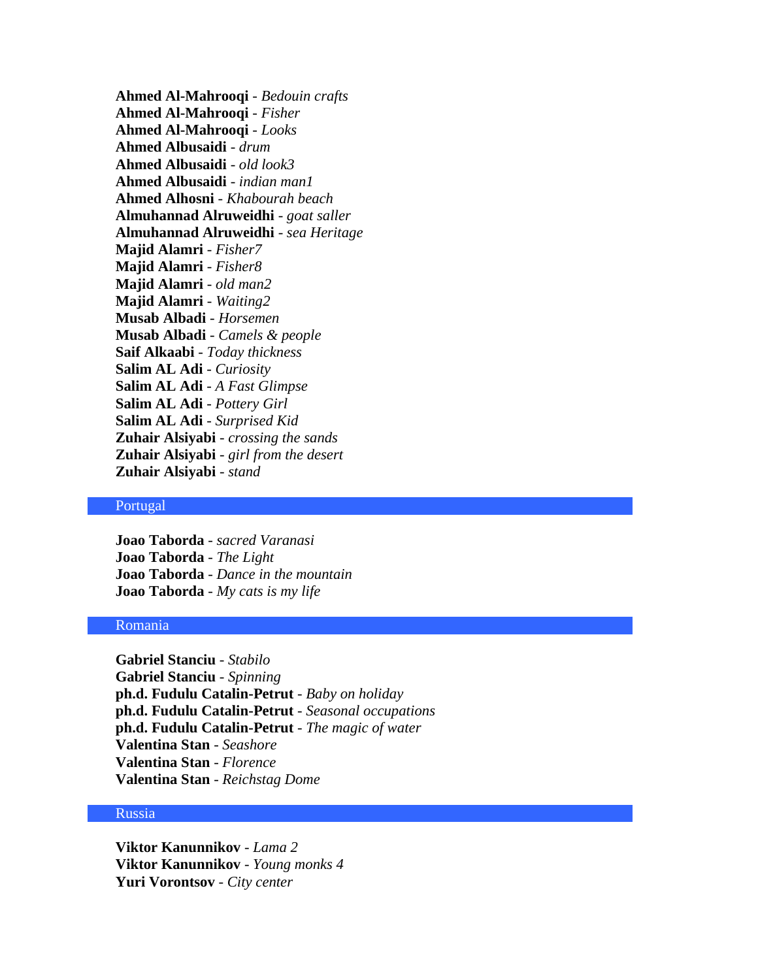**Ahmed Al-Mahrooqi** - *Bedouin crafts* **Ahmed Al-Mahrooqi** - *Fisher* **Ahmed Al-Mahrooqi** - *Looks* **Ahmed Albusaidi** - *drum* **Ahmed Albusaidi** - *old look3* **Ahmed Albusaidi** - *indian man1* **Ahmed Alhosni** - *Khabourah beach* **Almuhannad Alruweidhi** - *goat saller* **Almuhannad Alruweidhi** - *sea Heritage* **Majid Alamri** - *Fisher7* **Majid Alamri** - *Fisher8* **Majid Alamri** - *old man2* **Majid Alamri** - *Waiting2* **Musab Albadi** - *Horsemen* **Musab Albadi** - *Camels & people* **Saif Alkaabi** - *Today thickness* **Salim AL Adi** - *Curiosity* **Salim AL Adi** - *A Fast Glimpse* **Salim AL Adi** - *Pottery Girl* **Salim AL Adi** - *Surprised Kid* **Zuhair Alsiyabi** - *crossing the sands* **Zuhair Alsiyabi** - *girl from the desert* **Zuhair Alsiyabi** - *stand*

#### Portugal

**Joao Taborda** - *sacred Varanasi* **Joao Taborda** - *The Light* **Joao Taborda** - *Dance in the mountain* **Joao Taborda** - *My cats is my life*

# Romania

**Gabriel Stanciu** - *Stabilo* **Gabriel Stanciu** - *Spinning* **ph.d. Fudulu Catalin-Petrut** - *Baby on holiday* **ph.d. Fudulu Catalin-Petrut** - *Seasonal occupations* **ph.d. Fudulu Catalin-Petrut** - *The magic of water* **Valentina Stan** - *Seashore* **Valentina Stan** - *Florence* **Valentina Stan** - *Reichstag Dome*

### Russia

**Viktor Kanunnikov** - *Lama 2* **Viktor Kanunnikov** - *Young monks 4* **Yuri Vorontsov** - *City center*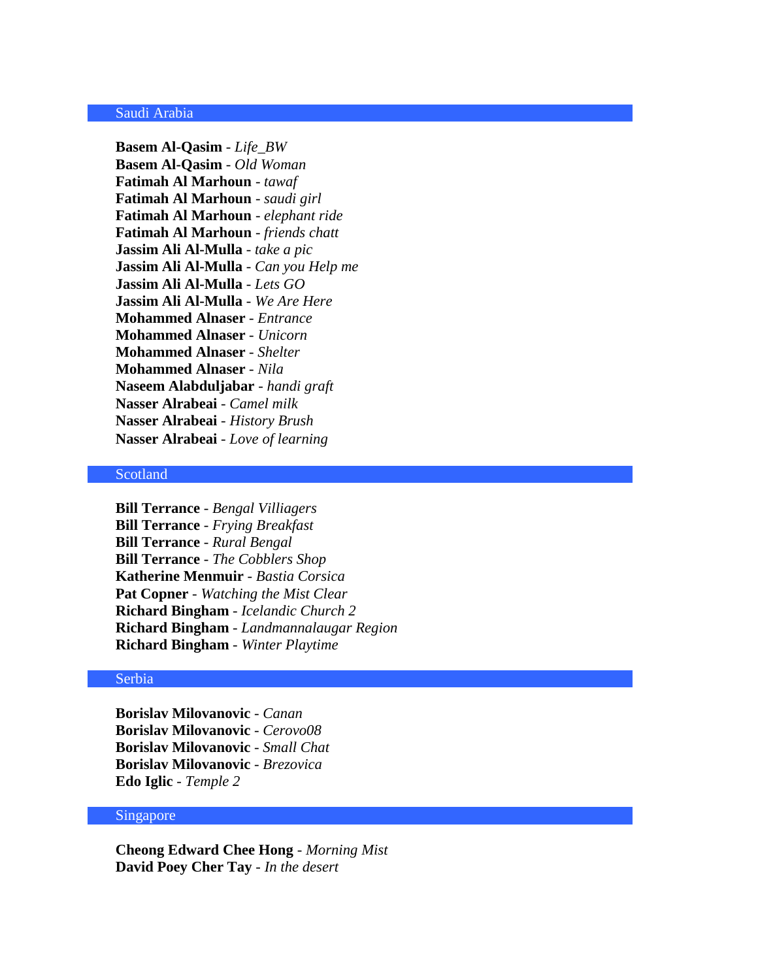### Saudi Arabia

**Basem Al-Qasim** - *Life\_BW* **Basem Al-Qasim** - *Old Woman* **Fatimah Al Marhoun** - *tawaf* **Fatimah Al Marhoun** - *saudi girl* **Fatimah Al Marhoun** - *elephant ride* **Fatimah Al Marhoun** - *friends chatt* **Jassim Ali Al-Mulla** - *take a pic* **Jassim Ali Al-Mulla** - *Can you Help me* **Jassim Ali Al-Mulla** - *Lets GO* **Jassim Ali Al-Mulla** - *We Are Here* **Mohammed Alnaser** - *Entrance* **Mohammed Alnaser** - *Unicorn* **Mohammed Alnaser** - *Shelter* **Mohammed Alnaser** - *Nila* **Naseem Alabduljabar** - *handi graft* **Nasser Alrabeai** - *Camel milk* **Nasser Alrabeai** - *History Brush* **Nasser Alrabeai** - *Love of learning* 

## Scotland

**Bill Terrance** - *Bengal Villiagers* **Bill Terrance** - *Frying Breakfast* **Bill Terrance** - *Rural Bengal* **Bill Terrance** - *The Cobblers Shop* **Katherine Menmuir** - *Bastia Corsica* **Pat Copner** - *Watching the Mist Clear* **Richard Bingham** - *Icelandic Church 2* **Richard Bingham** - *Landmannalaugar Region* **Richard Bingham** - *Winter Playtime*

#### Serbia

**Borislav Milovanovic** - *Canan* **Borislav Milovanovic** - *Cerovo08* **Borislav Milovanovic** - *Small Chat* **Borislav Milovanovic** - *Brezovica* **Edo Iglic** - *Temple 2*

# Singapore

**Cheong Edward Chee Hong** - *Morning Mist* **David Poey Cher Tay** - *In the desert*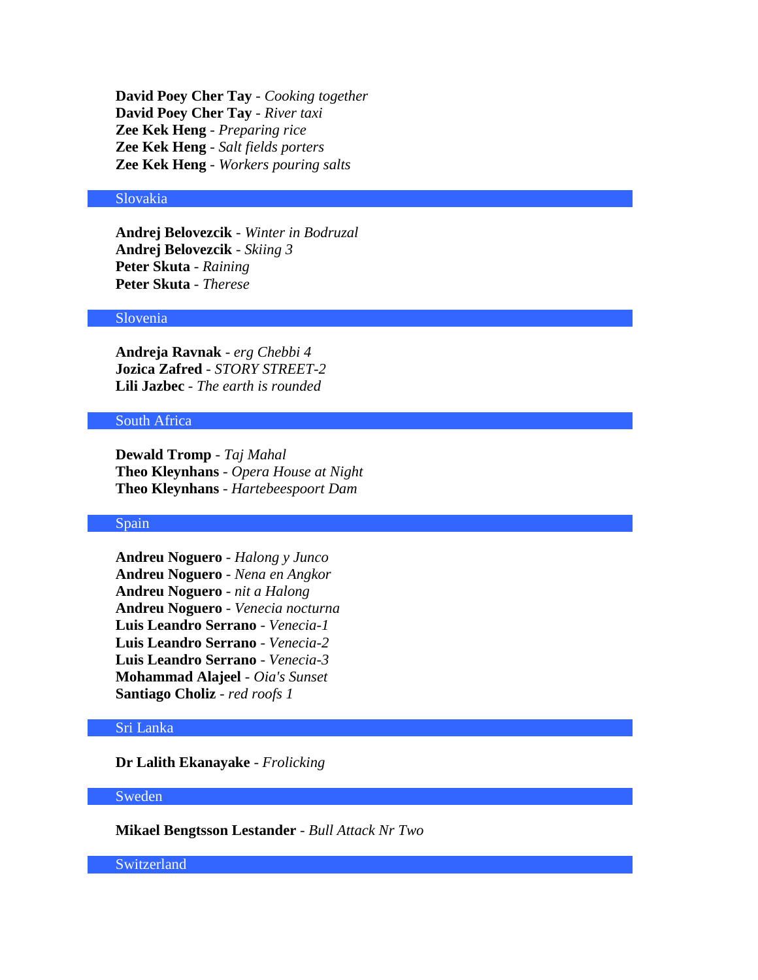**David Poey Cher Tay** - *Cooking together* **David Poey Cher Tay** - *River taxi* **Zee Kek Heng** - *Preparing rice* **Zee Kek Heng** - *Salt fields porters* **Zee Kek Heng** - *Workers pouring salts*

# Slovakia

**Andrej Belovezcik** - *Winter in Bodruzal* **Andrej Belovezcik** - *Skiing 3* **Peter Skuta** - *Raining* **Peter Skuta** - *Therese*

## Slovenia

**Andreja Ravnak** - *erg Chebbi 4* **Jozica Zafred** - *STORY STREET-2* **Lili Jazbec** - *The earth is rounded*

#### South Africa

**Dewald Tromp** - *Taj Mahal* **Theo Kleynhans** - *Opera House at Night* **Theo Kleynhans** - *Hartebeespoort Dam*

# Spain

**Andreu Noguero** - *Halong y Junco* **Andreu Noguero** - *Nena en Angkor* **Andreu Noguero** - *nit a Halong* **Andreu Noguero** - *Venecia nocturna* **Luis Leandro Serrano** - *Venecia-1* **Luis Leandro Serrano** - *Venecia-2* **Luis Leandro Serrano** - *Venecia-3* **Mohammad Alajeel** - *Oia's Sunset* **Santiago Choliz** - *red roofs 1*

# Sri Lanka

**Dr Lalith Ekanayake** - *Frolicking*

## Sweden

**Mikael Bengtsson Lestander** - *Bull Attack Nr Two*

Switzerland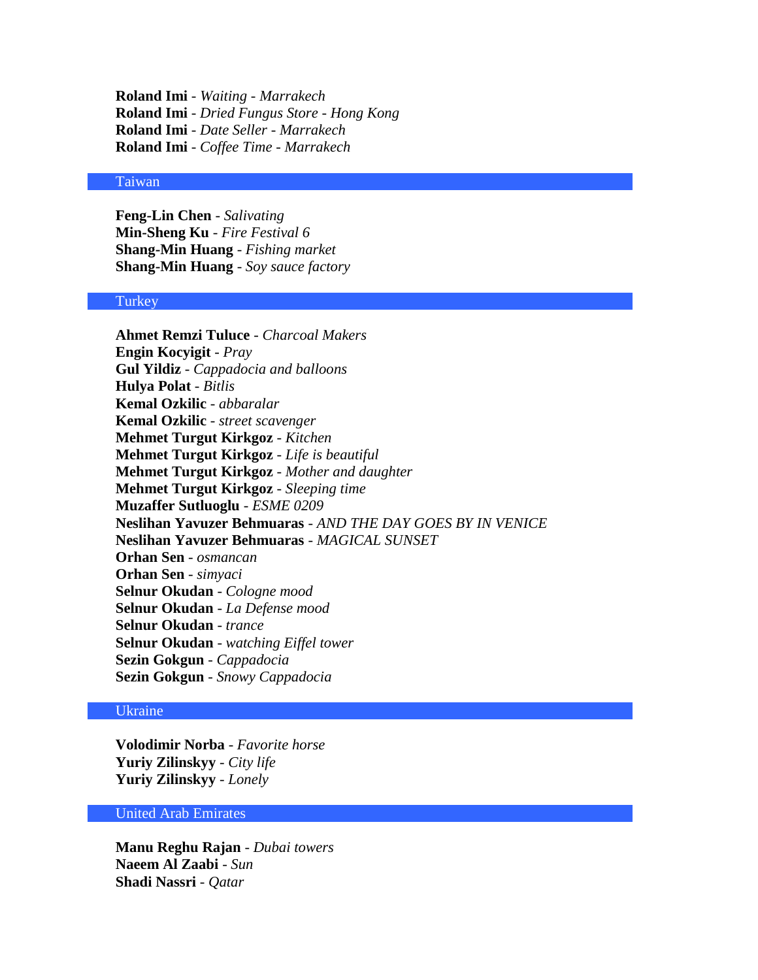**Roland Imi** - *Waiting - Marrakech* **Roland Imi** - *Dried Fungus Store - Hong Kong* **Roland Imi** - *Date Seller - Marrakech* **Roland Imi** - *Coffee Time - Marrakech*

## Taiwan

**Feng-Lin Chen** - *Salivating* **Min-Sheng Ku** - *Fire Festival 6* **Shang-Min Huang** - *Fishing market* **Shang-Min Huang** - *Soy sauce factory*

## **Turkey**

**Ahmet Remzi Tuluce** - *Charcoal Makers* **Engin Kocyigit** - *Pray* **Gul Yildiz** - *Cappadocia and balloons* **Hulya Polat** - *Bitlis* **Kemal Ozkilic** - *abbaralar* **Kemal Ozkilic** - *street scavenger* **Mehmet Turgut Kirkgoz** - *Kitchen* **Mehmet Turgut Kirkgoz** - *Life is beautiful* **Mehmet Turgut Kirkgoz** - *Mother and daughter* **Mehmet Turgut Kirkgoz** - *Sleeping time* **Muzaffer Sutluoglu** - *ESME 0209* **Neslihan Yavuzer Behmuaras** - *AND THE DAY GOES BY IN VENICE* **Neslihan Yavuzer Behmuaras** - *MAGICAL SUNSET* **Orhan Sen** - *osmancan* **Orhan Sen** - *simyaci* **Selnur Okudan** - *Cologne mood* **Selnur Okudan** - *La Defense mood* **Selnur Okudan** - *trance* **Selnur Okudan** - *watching Eiffel tower* **Sezin Gokgun** - *Cappadocia* **Sezin Gokgun** - *Snowy Cappadocia*

# Ukraine

**Volodimir Norba** - *Favorite horse* **Yuriy Zilinskyy** - *City life* **Yuriy Zilinskyy** - *Lonely*

# United Arab Emirates

**Manu Reghu Rajan** - *Dubai towers* **Naeem Al Zaabi** - *Sun* **Shadi Nassri** - *Qatar*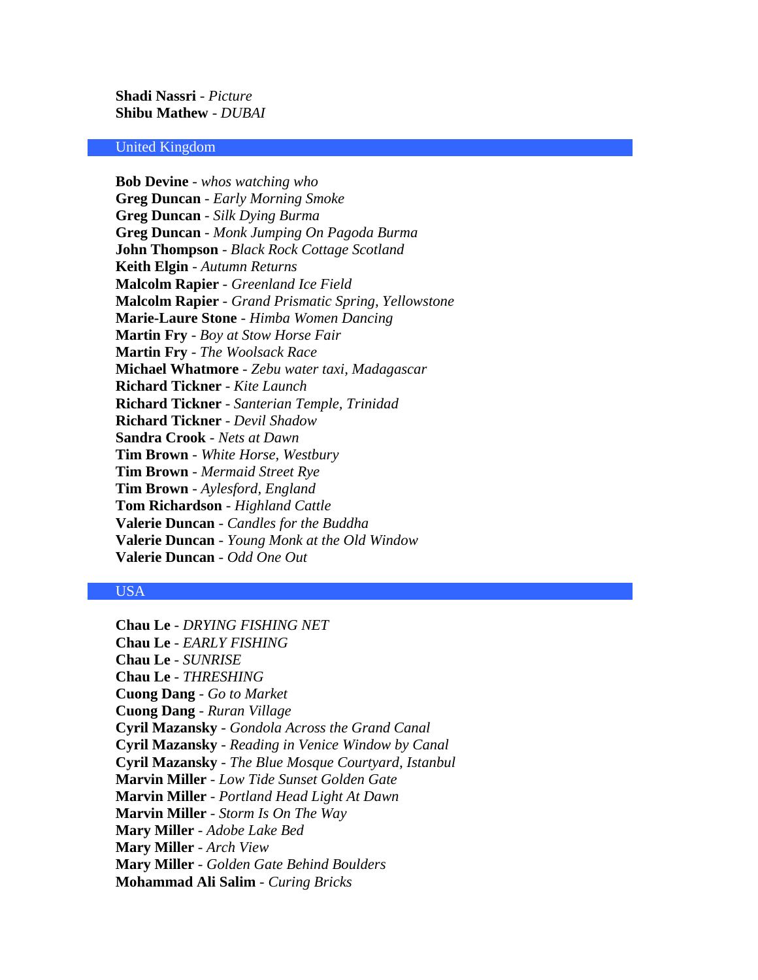**Shadi Nassri** - *Picture* **Shibu Mathew** - *DUBAI*

## United Kingdom

**Bob Devine** - *whos watching who* **Greg Duncan** - *Early Morning Smoke* **Greg Duncan** - *Silk Dying Burma* **Greg Duncan** - *Monk Jumping On Pagoda Burma* **John Thompson** - *Black Rock Cottage Scotland* **Keith Elgin** - *Autumn Returns* **Malcolm Rapier** - *Greenland Ice Field* **Malcolm Rapier** - *Grand Prismatic Spring, Yellowstone* **Marie-Laure Stone** - *Himba Women Dancing* **Martin Fry** - *Boy at Stow Horse Fair* **Martin Fry** - *The Woolsack Race* **Michael Whatmore** - *Zebu water taxi, Madagascar* **Richard Tickner** - *Kite Launch* **Richard Tickner** - *Santerian Temple, Trinidad* **Richard Tickner** - *Devil Shadow* **Sandra Crook** - *Nets at Dawn* **Tim Brown** - *White Horse, Westbury* **Tim Brown** - *Mermaid Street Rye* **Tim Brown** - *Aylesford, England* **Tom Richardson** - *Highland Cattle* **Valerie Duncan** - *Candles for the Buddha* **Valerie Duncan** - *Young Monk at the Old Window* **Valerie Duncan** - *Odd One Out*

## USA

**Chau Le** - *DRYING FISHING NET* **Chau Le** - *EARLY FISHING* **Chau Le** - *SUNRISE* **Chau Le** - *THRESHING* **Cuong Dang** - *Go to Market* **Cuong Dang** - *Ruran Village* **Cyril Mazansky** - *Gondola Across the Grand Canal* **Cyril Mazansky** - *Reading in Venice Window by Canal* **Cyril Mazansky** - *The Blue Mosque Courtyard, Istanbul* **Marvin Miller** - *Low Tide Sunset Golden Gate* **Marvin Miller** - *Portland Head Light At Dawn* **Marvin Miller** - *Storm Is On The Way* **Mary Miller** - *Adobe Lake Bed* **Mary Miller** - *Arch View* **Mary Miller** - *Golden Gate Behind Boulders* **Mohammad Ali Salim** - *Curing Bricks*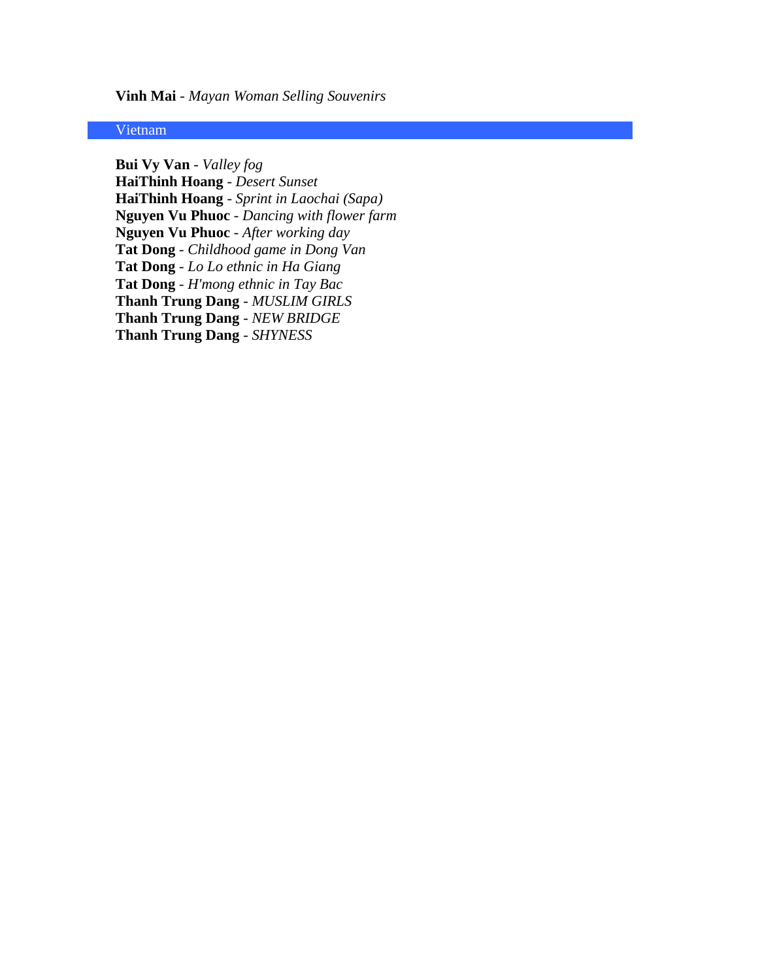**Vinh Mai** - *Mayan Woman Selling Souvenirs*

# Vietnam

**Bui Vy Van** - *Valley fog* **HaiThinh Hoang** - *Desert Sunset* **HaiThinh Hoang** - *Sprint in Laochai (Sapa)* **Nguyen Vu Phuoc** - *Dancing with flower farm* **Nguyen Vu Phuoc** - *After working day* **Tat Dong** - *Childhood game in Dong Van* **Tat Dong** - *Lo Lo ethnic in Ha Giang* **Tat Dong** - *H'mong ethnic in Tay Bac* **Thanh Trung Dang** - *MUSLIM GIRLS* **Thanh Trung Dang** - *NEW BRIDGE* **Thanh Trung Dang** - *SHYNESS*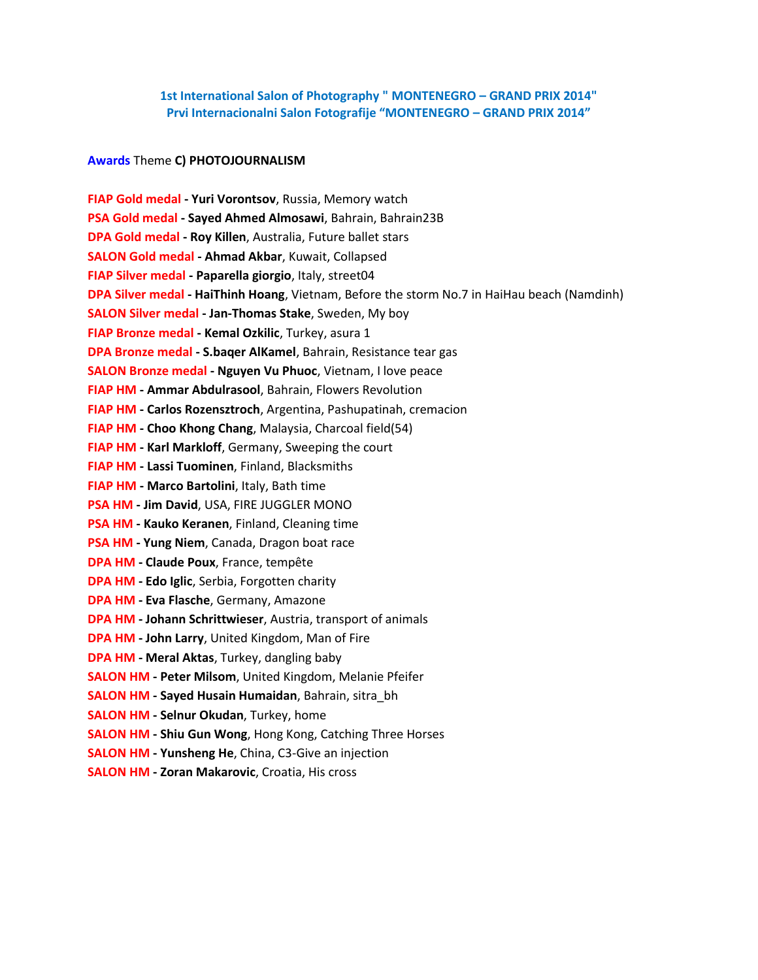# **1st International Salon of Photography " MONTENEGRO – GRAND PRIX 2014" Prvi Internacionalni Salon Fotografije "MONTENEGRO – GRAND PRIX 2014"**

## **Awards** Theme **C) PHOTOJOURNALISM**

**FIAP Gold medal - Yuri Vorontsov**, Russia, Memory watch **PSA Gold medal - Sayed Ahmed Almosawi**, Bahrain, Bahrain23B **DPA Gold medal - Roy Killen**, Australia, Future ballet stars **SALON Gold medal - Ahmad Akbar**, Kuwait, Collapsed **FIAP Silver medal - Paparella giorgio**, Italy, street04 **DPA Silver medal - HaiThinh Hoang**, Vietnam, Before the storm No.7 in HaiHau beach (Namdinh) **SALON Silver medal - Jan-Thomas Stake**, Sweden, My boy **FIAP Bronze medal - Kemal Ozkilic**, Turkey, asura 1 **DPA Bronze medal - S.baqer AlKamel**, Bahrain, Resistance tear gas **SALON Bronze medal - Nguyen Vu Phuoc**, Vietnam, I love peace **FIAP HM - Ammar Abdulrasool**, Bahrain, Flowers Revolution **FIAP HM - Carlos Rozensztroch**, Argentina, Pashupatinah, cremacion **FIAP HM - Choo Khong Chang**, Malaysia, Charcoal field(54) **FIAP HM - Karl Markloff**, Germany, Sweeping the court **FIAP HM - Lassi Tuominen**, Finland, Blacksmiths **FIAP HM - Marco Bartolini**, Italy, Bath time **PSA HM - Jim David**, USA, FIRE JUGGLER MONO **PSA HM - Kauko Keranen**, Finland, Cleaning time **PSA HM - Yung Niem**, Canada, Dragon boat race **DPA HM - Claude Poux**, France, tempête **DPA HM - Edo Iglic**, Serbia, Forgotten charity **DPA HM - Eva Flasche**, Germany, Amazone **DPA HM - Johann Schrittwieser**, Austria, transport of animals **DPA HM - John Larry**, United Kingdom, Man of Fire **DPA HM - Meral Aktas**, Turkey, dangling baby **SALON HM - Peter Milsom**, United Kingdom, Melanie Pfeifer **SALON HM - Sayed Husain Humaidan**, Bahrain, sitra\_bh **SALON HM - Selnur Okudan**, Turkey, home **SALON HM - Shiu Gun Wong**, Hong Kong, Catching Three Horses **SALON HM - Yunsheng He**, China, C3-Give an injection **SALON HM - Zoran Makarovic**, Croatia, His cross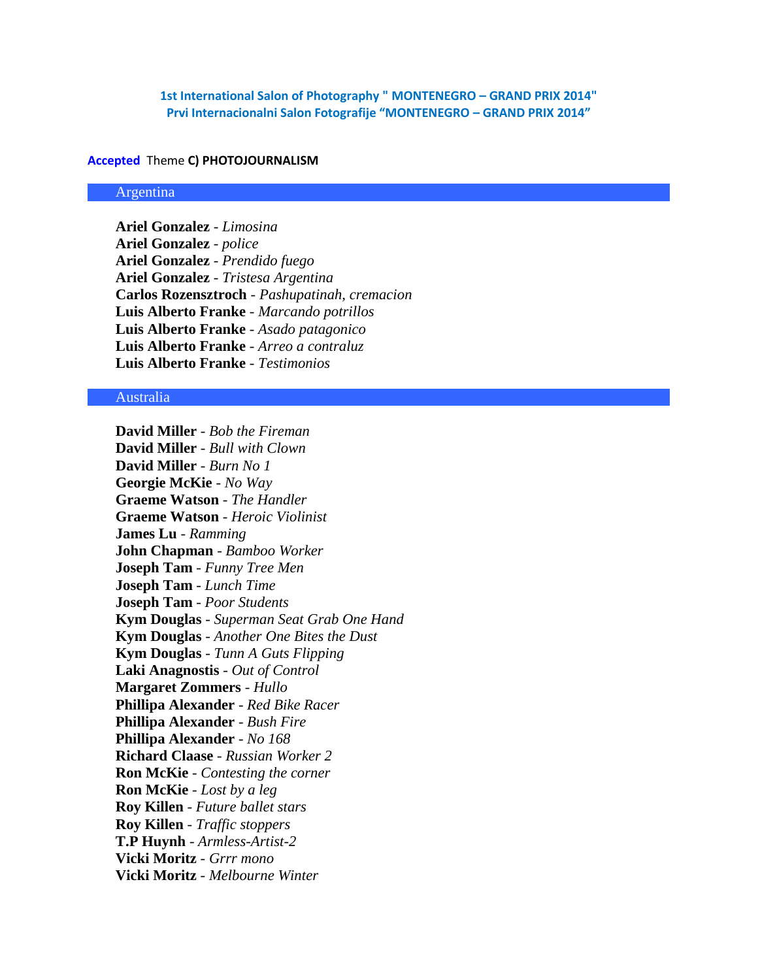**1st International Salon of Photography " MONTENEGRO – GRAND PRIX 2014" Prvi Internacionalni Salon Fotografije "MONTENEGRO – GRAND PRIX 2014"**

#### **Accepted** Theme **C) PHOTOJOURNALISM**

### Argentina

**Ariel Gonzalez** - *Limosina* **Ariel Gonzalez** - *police* **Ariel Gonzalez** - *Prendido fuego* **Ariel Gonzalez** - *Tristesa Argentina* **Carlos Rozensztroch** - *Pashupatinah, cremacion* **Luis Alberto Franke** - *Marcando potrillos* **Luis Alberto Franke** - *Asado patagonico* **Luis Alberto Franke** - *Arreo a contraluz* **Luis Alberto Franke** - *Testimonios*

# Australia

**David Miller** - *Bob the Fireman* **David Miller** - *Bull with Clown* **David Miller** - *Burn No 1* **Georgie McKie** - *No Way* **Graeme Watson** - *The Handler* **Graeme Watson** - *Heroic Violinist* **James Lu** - *Ramming* **John Chapman** - *Bamboo Worker* **Joseph Tam** - *Funny Tree Men* **Joseph Tam** - *Lunch Time* **Joseph Tam** - *Poor Students* **Kym Douglas** - *Superman Seat Grab One Hand* **Kym Douglas** - *Another One Bites the Dust* **Kym Douglas** - *Tunn A Guts Flipping* **Laki Anagnostis** - *Out of Control* **Margaret Zommers** - *Hullo* **Phillipa Alexander** - *Red Bike Racer* **Phillipa Alexander** - *Bush Fire* **Phillipa Alexander** - *No 168* **Richard Claase** - *Russian Worker 2* **Ron McKie** - *Contesting the corner* **Ron McKie** - *Lost by a leg* **Roy Killen** - *Future ballet stars* **Roy Killen** - *Traffic stoppers* **T.P Huynh** - *Armless-Artist-2* **Vicki Moritz** - *Grrr mono* **Vicki Moritz** - *Melbourne Winter*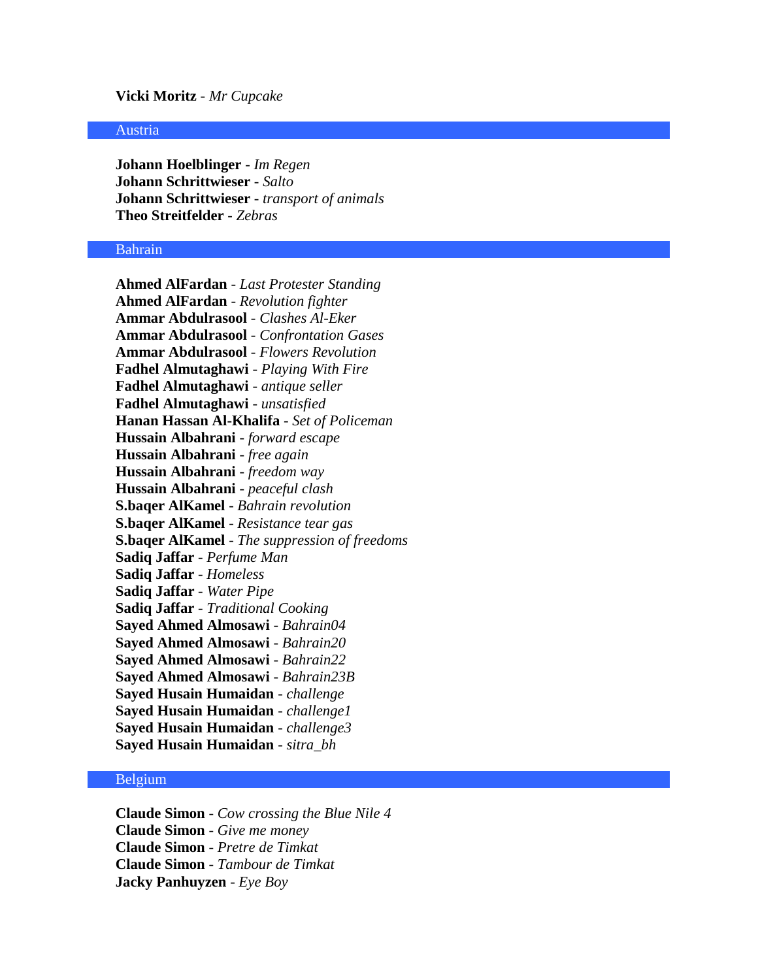#### **Vicki Moritz** - *Mr Cupcake*

### Austria

**Johann Hoelblinger** - *Im Regen* **Johann Schrittwieser** - *Salto* **Johann Schrittwieser** - *transport of animals* **Theo Streitfelder** - *Zebras*

## Bahrain

**Ahmed AlFardan** - *Last Protester Standing* **Ahmed AlFardan** - *Revolution fighter* **Ammar Abdulrasool** - *Clashes Al-Eker* **Ammar Abdulrasool** - *Confrontation Gases* **Ammar Abdulrasool** - *Flowers Revolution* **Fadhel Almutaghawi** - *Playing With Fire* **Fadhel Almutaghawi** - *antique seller* **Fadhel Almutaghawi** - *unsatisfied* **Hanan Hassan Al-Khalifa** - *Set of Policeman* **Hussain Albahrani** - *forward escape* **Hussain Albahrani** - *free again* **Hussain Albahrani** - *freedom way* **Hussain Albahrani** - *peaceful clash* **S.baqer AlKamel** - *Bahrain revolution* **S.baqer AlKamel** - *Resistance tear gas* **S.baqer AlKamel** - *The suppression of freedoms* **Sadiq Jaffar** - *Perfume Man* **Sadiq Jaffar** - *Homeless* **Sadiq Jaffar** - *Water Pipe* **Sadiq Jaffar** - *Traditional Cooking* **Sayed Ahmed Almosawi** - *Bahrain04* **Sayed Ahmed Almosawi** - *Bahrain20* **Sayed Ahmed Almosawi** - *Bahrain22* **Sayed Ahmed Almosawi** - *Bahrain23B* **Sayed Husain Humaidan** - *challenge* **Sayed Husain Humaidan** - *challenge1* **Sayed Husain Humaidan** - *challenge3* **Sayed Husain Humaidan** - *sitra\_bh*

## Belgium

**Claude Simon** - *Cow crossing the Blue Nile 4* **Claude Simon** - *Give me money* **Claude Simon** - *Pretre de Timkat* **Claude Simon** - *Tambour de Timkat* **Jacky Panhuyzen** - *Eye Boy*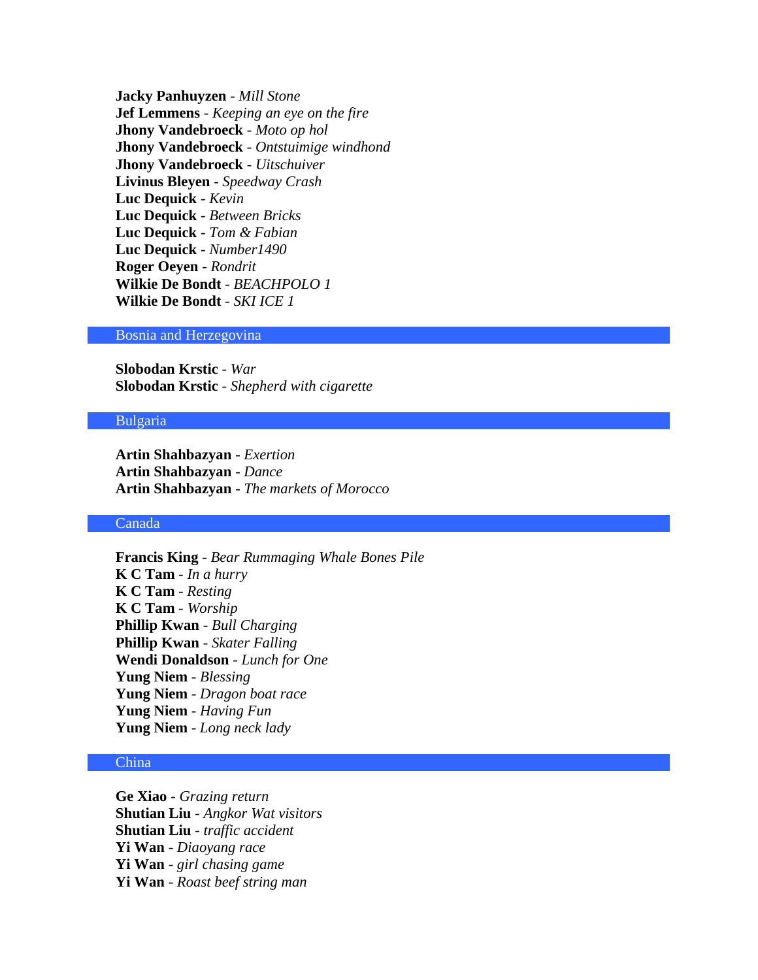**Jacky Panhuyzen** - *Mill Stone* **Jef Lemmens** - *Keeping an eye on the fire* **Jhony Vandebroeck** - *Moto op hol* **Jhony Vandebroeck** - *Ontstuimige windhond* **Jhony Vandebroeck** - *Uitschuiver* **Livinus Bleyen** - *Speedway Crash* **Luc Dequick** - *Kevin* **Luc Dequick** - *Between Bricks* **Luc Dequick** - *Tom & Fabian* **Luc Dequick** - *Number1490* **Roger Oeyen** - *Rondrit* **Wilkie De Bondt** - *BEACHPOLO 1* **Wilkie De Bondt** - *SKI ICE 1*

#### Bosnia and Herzegovina

**Slobodan Krstic** - *War* **Slobodan Krstic** - *Shepherd with cigarette*

### Bulgaria

**Artin Shahbazyan** - *Exertion* **Artin Shahbazyan** - *Dance* **Artin Shahbazyan** - *The markets of Morocco*

## Canada

**Francis King** - *Bear Rummaging Whale Bones Pile* **K C Tam** - *In a hurry* **K C Tam** - *Resting* **K C Tam** - *Worship* **Phillip Kwan** - *Bull Charging* **Phillip Kwan** - *Skater Falling* **Wendi Donaldson** - *Lunch for One* **Yung Niem** - *Blessing* **Yung Niem** - *Dragon boat race* **Yung Niem** - *Having Fun* **Yung Niem** - *Long neck lady*

# China

**Ge Xiao** - *Grazing return* **Shutian Liu** - *Angkor Wat visitors* **Shutian Liu** - *traffic accident* **Yi Wan** - *Diaoyang race* **Yi Wan** - *girl chasing game* **Yi Wan** - *Roast beef string man*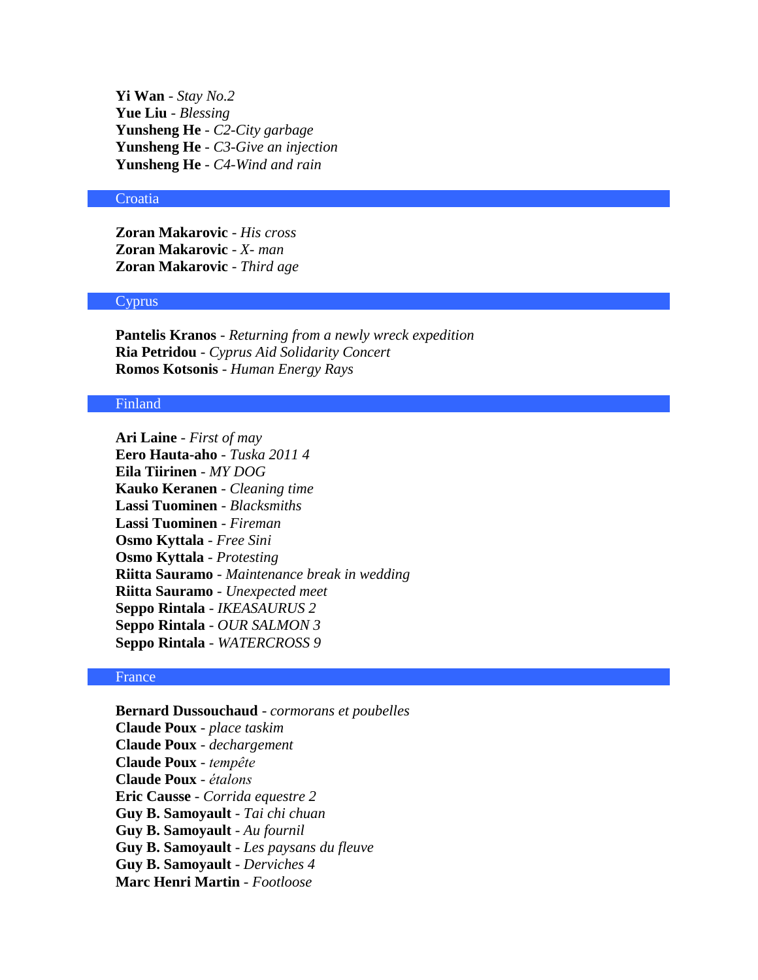**Yi Wan** - *Stay No.2* **Yue Liu** - *Blessing* **Yunsheng He** - *C2-City garbage* **Yunsheng He** - *C3-Give an injection* **Yunsheng He** - *C4-Wind and rain*

#### **Croatia**

**Zoran Makarovic** - *His cross* **Zoran Makarovic** - *X- man* **Zoran Makarovic** - *Third age*

### Cyprus

**Pantelis Kranos** - *Returning from a newly wreck expedition* **Ria Petridou** - *Cyprus Aid Solidarity Concert* **Romos Kotsonis** - *Human Energy Rays*

# Finland

**Ari Laine** - *First of may* **Eero Hauta-aho** - *Tuska 2011 4* **Eila Tiirinen** - *MY DOG* **Kauko Keranen** - *Cleaning time* **Lassi Tuominen** - *Blacksmiths* **Lassi Tuominen** - *Fireman* **Osmo Kyttala** - *Free Sini* **Osmo Kyttala** - *Protesting* **Riitta Sauramo** - *Maintenance break in wedding* **Riitta Sauramo** - *Unexpected meet* **Seppo Rintala** - *IKEASAURUS 2* **Seppo Rintala** - *OUR SALMON 3* **Seppo Rintala** - *WATERCROSS 9*

## France

**Bernard Dussouchaud** - *cormorans et poubelles* **Claude Poux** - *place taskim* **Claude Poux** - *dechargement* **Claude Poux** - *tempête* **Claude Poux** - *étalons* **Eric Causse** - *Corrida equestre 2* **Guy B. Samoyault** - *Tai chi chuan* **Guy B. Samoyault** - *Au fournil* **Guy B. Samoyault** - *Les paysans du fleuve* **Guy B. Samoyault** - *Derviches 4* **Marc Henri Martin** - *Footloose*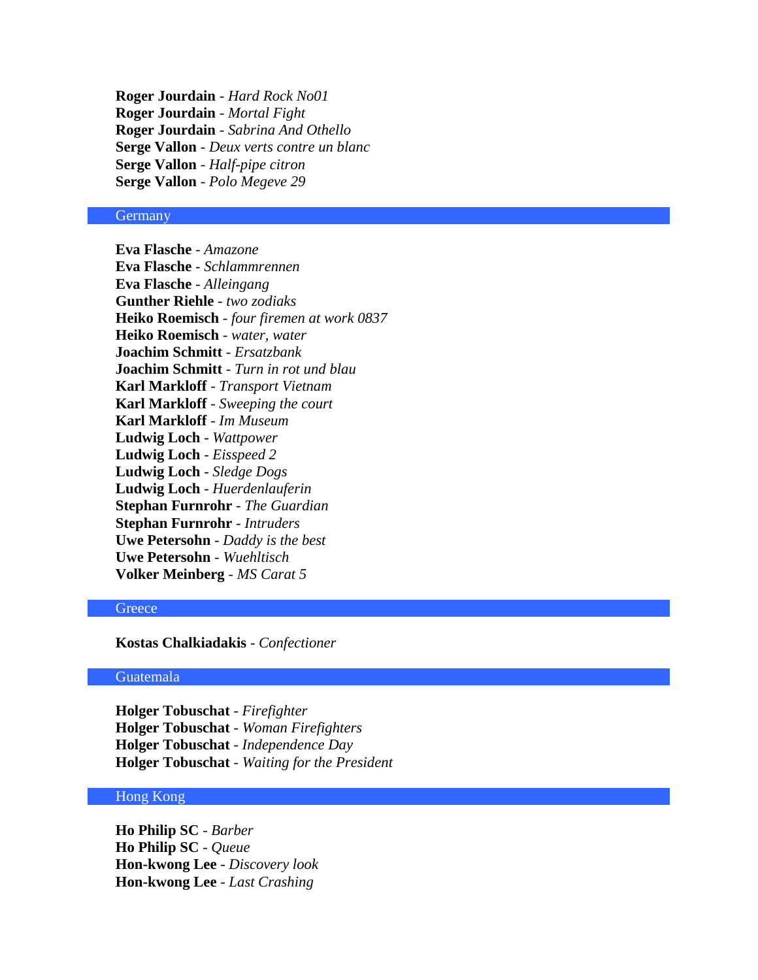**Roger Jourdain** - *Hard Rock No01* **Roger Jourdain** - *Mortal Fight* **Roger Jourdain** - *Sabrina And Othello* **Serge Vallon** - *Deux verts contre un blanc* **Serge Vallon** - *Half-pipe citron* **Serge Vallon** - *Polo Megeve 29*

# **Germany**

**Eva Flasche** - *Amazone* **Eva Flasche** - *Schlammrennen* **Eva Flasche** - *Alleingang* **Gunther Riehle** - *two zodiaks* **Heiko Roemisch** - *four firemen at work 0837* **Heiko Roemisch** - *water, water* **Joachim Schmitt** - *Ersatzbank* **Joachim Schmitt** - *Turn in rot und blau* **Karl Markloff** - *Transport Vietnam* **Karl Markloff** - *Sweeping the court* **Karl Markloff** - *Im Museum* **Ludwig Loch** - *Wattpower* **Ludwig Loch** - *Eisspeed 2* **Ludwig Loch** - *Sledge Dogs* **Ludwig Loch** - *Huerdenlauferin* **Stephan Furnrohr** - *The Guardian* **Stephan Furnrohr** - *Intruders* **Uwe Petersohn** - *Daddy is the best* **Uwe Petersohn** - *Wuehltisch* **Volker Meinberg** - *MS Carat 5*

## **Greece**

**Kostas Chalkiadakis** - *Confectioner*

### Guatemala

**Holger Tobuschat** - *Firefighter* **Holger Tobuschat** - *Woman Firefighters* **Holger Tobuschat** - *Independence Day* **Holger Tobuschat** - *Waiting for the President*

# Hong Kong

**Ho Philip SC** - *Barber* **Ho Philip SC** - *Queue* **Hon-kwong Lee** - *Discovery look* **Hon-kwong Lee** - *Last Crashing*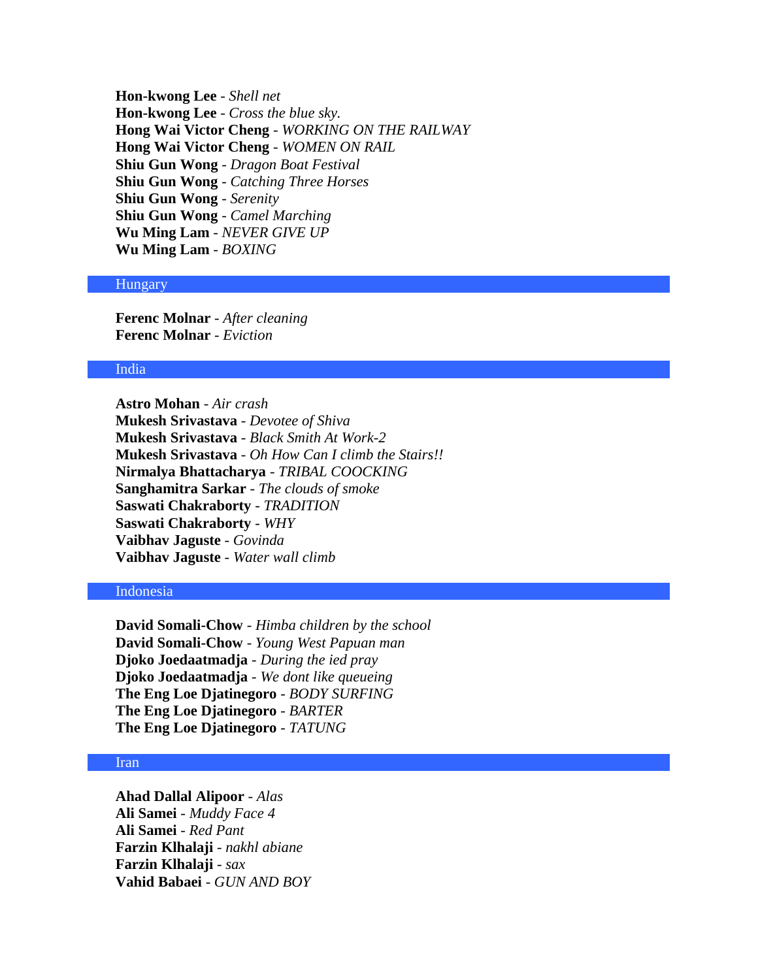**Hon-kwong Lee** - *Shell net* **Hon-kwong Lee** - *Cross the blue sky.* **Hong Wai Victor Cheng** - *WORKING ON THE RAILWAY* **Hong Wai Victor Cheng** - *WOMEN ON RAIL* **Shiu Gun Wong** - *Dragon Boat Festival* **Shiu Gun Wong** - *Catching Three Horses* **Shiu Gun Wong** - *Serenity* **Shiu Gun Wong** - *Camel Marching* **Wu Ming Lam** - *NEVER GIVE UP* **Wu Ming Lam** - *BOXING*

#### Hungary

**Ferenc Molnar** - *After cleaning* **Ferenc Molnar** - *Eviction*

#### India

**Astro Mohan** - *Air crash* **Mukesh Srivastava** - *Devotee of Shiva* **Mukesh Srivastava** - *Black Smith At Work-2* **Mukesh Srivastava** - *Oh How Can I climb the Stairs!!* **Nirmalya Bhattacharya** - *TRIBAL COOCKING* **Sanghamitra Sarkar** - *The clouds of smoke* **Saswati Chakraborty** - *TRADITION* **Saswati Chakraborty** - *WHY* **Vaibhav Jaguste** - *Govinda* **Vaibhav Jaguste** - *Water wall climb*

# Indonesia

**David Somali-Chow** - *Himba children by the school* **David Somali-Chow** - *Young West Papuan man* **Djoko Joedaatmadja** - *During the ied pray* **Djoko Joedaatmadja** - *We dont like queueing* **The Eng Loe Djatinegoro** - *BODY SURFING* **The Eng Loe Djatinegoro** - *BARTER* **The Eng Loe Djatinegoro** - *TATUNG*

### Iran

**Ahad Dallal Alipoor** - *Alas* **Ali Samei** - *Muddy Face 4* **Ali Samei** - *Red Pant* **Farzin Klhalaji** - *nakhl abiane* **Farzin Klhalaji** - *sax* **Vahid Babaei** - *GUN AND BOY*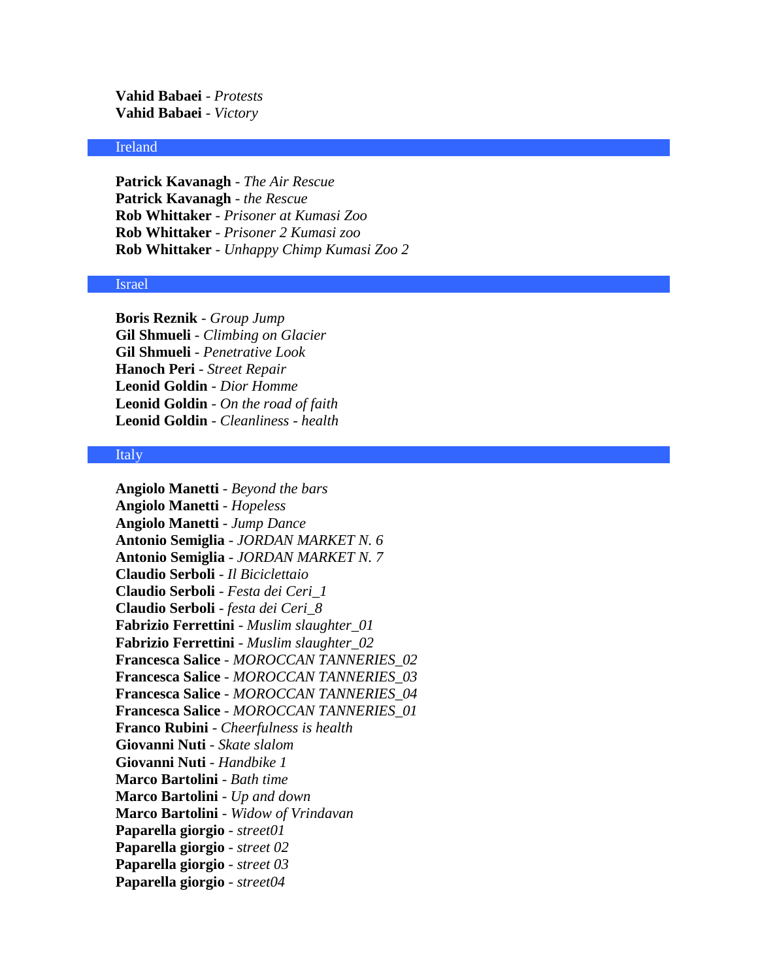**Vahid Babaei** - *Protests* **Vahid Babaei** - *Victory*

# Ireland

**Patrick Kavanagh** - *The Air Rescue* **Patrick Kavanagh** - *the Rescue* **Rob Whittaker** - *Prisoner at Kumasi Zoo* **Rob Whittaker** - *Prisoner 2 Kumasi zoo* **Rob Whittaker** - *Unhappy Chimp Kumasi Zoo 2*

#### Israel

**Boris Reznik** - *Group Jump* **Gil Shmueli** - *Climbing on Glacier* **Gil Shmueli** - *Penetrative Look* **Hanoch Peri** - *Street Repair* **Leonid Goldin** - *Dior Homme* **Leonid Goldin** - *On the road of faith* **Leonid Goldin** - *Cleanliness - health*

# Italy

**Angiolo Manetti** - *Beyond the bars* **Angiolo Manetti** - *Hopeless* **Angiolo Manetti** - *Jump Dance* **Antonio Semiglia** - *JORDAN MARKET N. 6* **Antonio Semiglia** - *JORDAN MARKET N. 7* **Claudio Serboli** - *Il Biciclettaio* **Claudio Serboli** - *Festa dei Ceri\_1* **Claudio Serboli** - *festa dei Ceri\_8* **Fabrizio Ferrettini** - *Muslim slaughter\_01* **Fabrizio Ferrettini** - *Muslim slaughter\_02* **Francesca Salice** - *MOROCCAN TANNERIES\_02* **Francesca Salice** - *MOROCCAN TANNERIES\_03* **Francesca Salice** - *MOROCCAN TANNERIES\_04* **Francesca Salice** - *MOROCCAN TANNERIES\_01* **Franco Rubini** - *Cheerfulness is health* **Giovanni Nuti** - *Skate slalom* **Giovanni Nuti** - *Handbike 1* **Marco Bartolini** - *Bath time* **Marco Bartolini** - *Up and down* **Marco Bartolini** - *Widow of Vrindavan* **Paparella giorgio** - *street01* **Paparella giorgio** - *street 02* **Paparella giorgio** - *street 03* **Paparella giorgio** - *street04*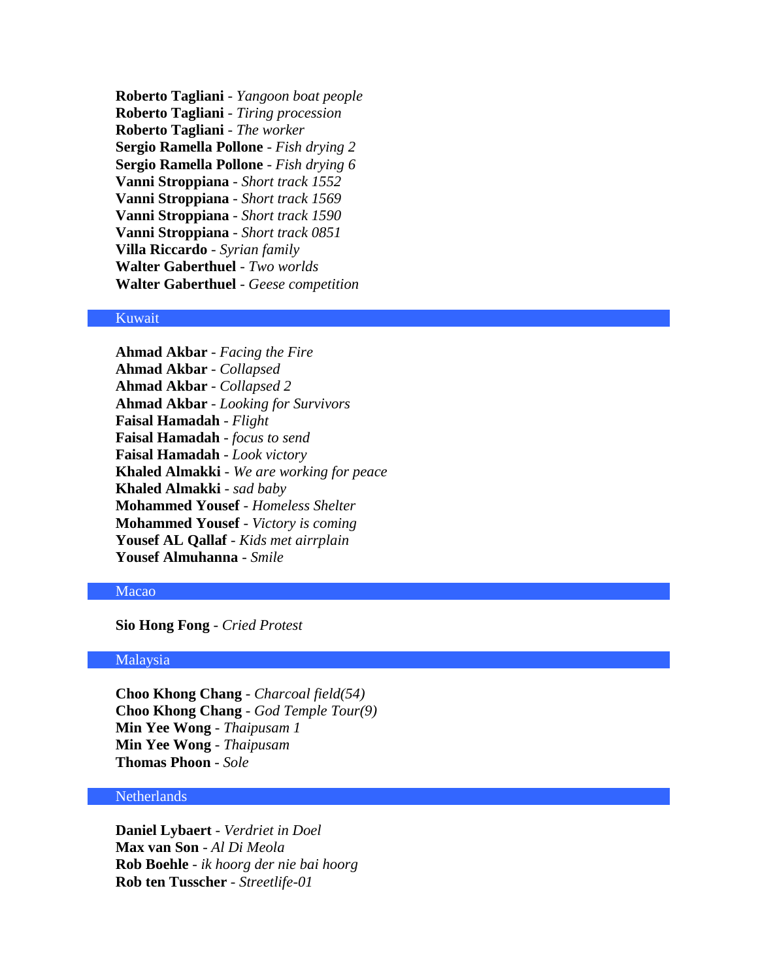**Roberto Tagliani** - *Yangoon boat people* **Roberto Tagliani** - *Tiring procession* **Roberto Tagliani** - *The worker* **Sergio Ramella Pollone** - *Fish drying 2* **Sergio Ramella Pollone** - *Fish drying 6* **Vanni Stroppiana** - *Short track 1552* **Vanni Stroppiana** - *Short track 1569* **Vanni Stroppiana** - *Short track 1590* **Vanni Stroppiana** - *Short track 0851* **Villa Riccardo** - *Syrian family* **Walter Gaberthuel** - *Two worlds* **Walter Gaberthuel** - *Geese competition*

# Kuwait

**Ahmad Akbar** - *Facing the Fire* **Ahmad Akbar** - *Collapsed* **Ahmad Akbar** - *Collapsed 2* **Ahmad Akbar** - *Looking for Survivors* **Faisal Hamadah** - *Flight* **Faisal Hamadah** - *focus to send* **Faisal Hamadah** - *Look victory* **Khaled Almakki** - *We are working for peace* **Khaled Almakki** - *sad baby* **Mohammed Yousef** - *Homeless Shelter* **Mohammed Yousef** - *Victory is coming* **Yousef AL Qallaf** - *Kids met airrplain* **Yousef Almuhanna** - *Smile*

### Macao

**Sio Hong Fong** - *Cried Protest*

### Malaysia

**Choo Khong Chang** - *Charcoal field(54)* **Choo Khong Chang** - *God Temple Tour(9)* **Min Yee Wong** - *Thaipusam 1* **Min Yee Wong** - *Thaipusam* **Thomas Phoon** - *Sole*

# **Netherlands**

**Daniel Lybaert** - *Verdriet in Doel* **Max van Son** - *Al Di Meola* **Rob Boehle** - *ik hoorg der nie bai hoorg* **Rob ten Tusscher** - *Streetlife-01*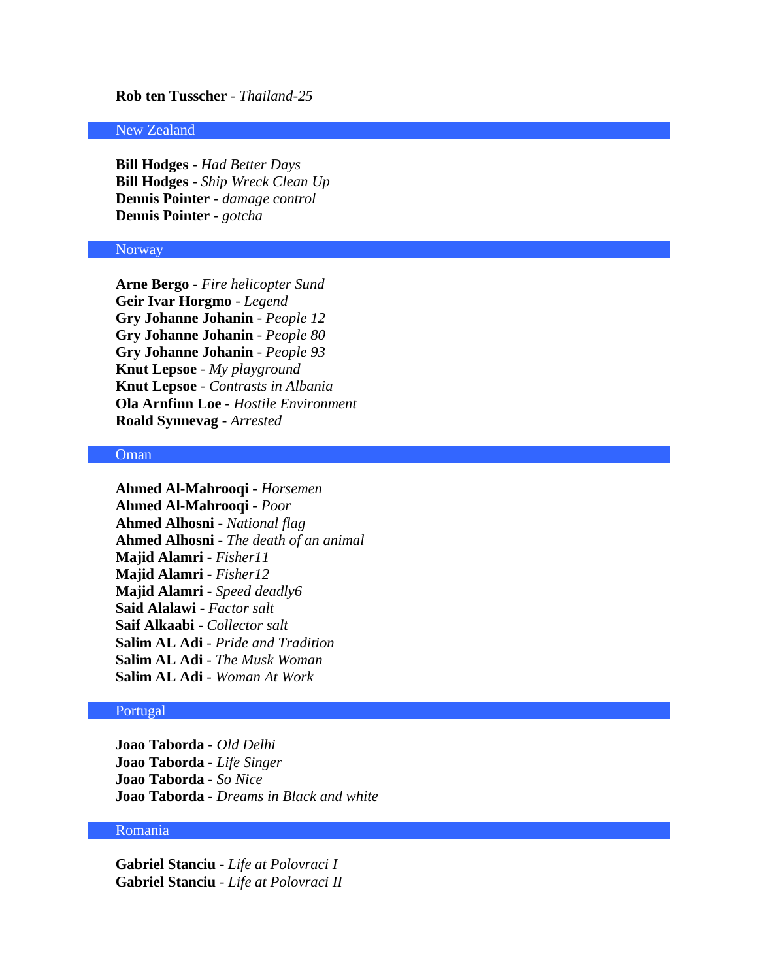### **Rob ten Tusscher** - *Thailand-25*

### New Zealand

**Bill Hodges** - *Had Better Days* **Bill Hodges** - *Ship Wreck Clean Up* **Dennis Pointer** - *damage control* **Dennis Pointer** - *gotcha*

#### Norway

**Arne Bergo** - *Fire helicopter Sund* **Geir Ivar Horgmo** - *Legend* **Gry Johanne Johanin** - *People 12* **Gry Johanne Johanin** - *People 80* **Gry Johanne Johanin** - *People 93* **Knut Lepsoe** - *My playground* **Knut Lepsoe** - *Contrasts in Albania* **Ola Arnfinn Loe** - *Hostile Environment* **Roald Synnevag** - *Arrested*

### Oman

**Ahmed Al-Mahrooqi** - *Horsemen* **Ahmed Al-Mahrooqi** - *Poor* **Ahmed Alhosni** - *National flag* **Ahmed Alhosni** - *The death of an animal* **Majid Alamri** - *Fisher11* **Majid Alamri** - *Fisher12* **Majid Alamri** - *Speed deadly6* **Said Alalawi** - *Factor salt* **Saif Alkaabi** - *Collector salt* **Salim AL Adi** - *Pride and Tradition* **Salim AL Adi** - *The Musk Woman* **Salim AL Adi** - *Woman At Work*

## Portugal

**Joao Taborda** - *Old Delhi* **Joao Taborda** - *Life Singer* **Joao Taborda** - *So Nice* **Joao Taborda** - *Dreams in Black and white*

# Romania

**Gabriel Stanciu** - *Life at Polovraci I* **Gabriel Stanciu** - *Life at Polovraci II*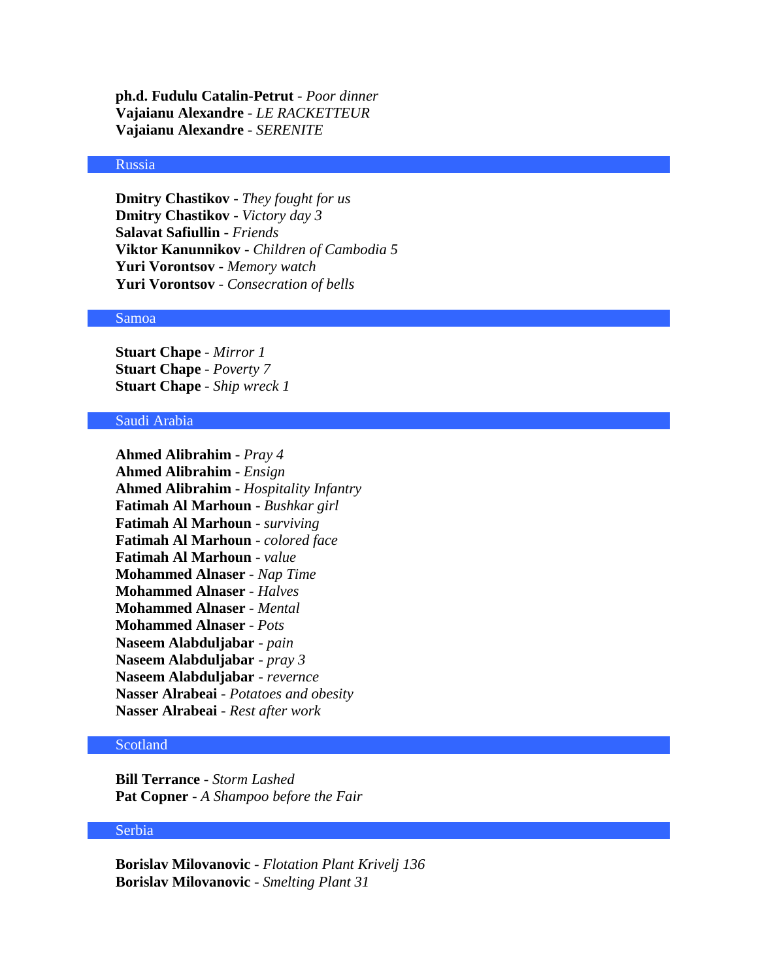**ph.d. Fudulu Catalin-Petrut** - *Poor dinner* **Vajaianu Alexandre** - *LE RACKETTEUR* **Vajaianu Alexandre** - *SERENITE*

# Russia

**Dmitry Chastikov** - *They fought for us* **Dmitry Chastikov** - *Victory day 3* **Salavat Safiullin** - *Friends* **Viktor Kanunnikov** - *Children of Cambodia 5* **Yuri Vorontsov** - *Memory watch* **Yuri Vorontsov** - *Consecration of bells*

# Samoa

**Stuart Chape** - *Mirror 1* **Stuart Chape** - *Poverty 7* **Stuart Chape** - *Ship wreck 1*

# Saudi Arabia

**Ahmed Alibrahim** - *Pray 4* **Ahmed Alibrahim** - *Ensign* **Ahmed Alibrahim** - *Hospitality Infantry* **Fatimah Al Marhoun** - *Bushkar girl* **Fatimah Al Marhoun** - *surviving* **Fatimah Al Marhoun** - *colored face* **Fatimah Al Marhoun** - *value* **Mohammed Alnaser** - *Nap Time* **Mohammed Alnaser** - *Halves* **Mohammed Alnaser** - *Mental* **Mohammed Alnaser** - *Pots* **Naseem Alabduljabar** - *pain* **Naseem Alabduljabar** - *pray 3* **Naseem Alabduljabar** - *revernce* **Nasser Alrabeai** - *Potatoes and obesity* **Nasser Alrabeai** - *Rest after work*

# Scotland

**Bill Terrance** - *Storm Lashed* **Pat Copner** - *A Shampoo before the Fair*

# Serbia

**Borislav Milovanovic** - *Flotation Plant Krivelj 136* **Borislav Milovanovic** - *Smelting Plant 31*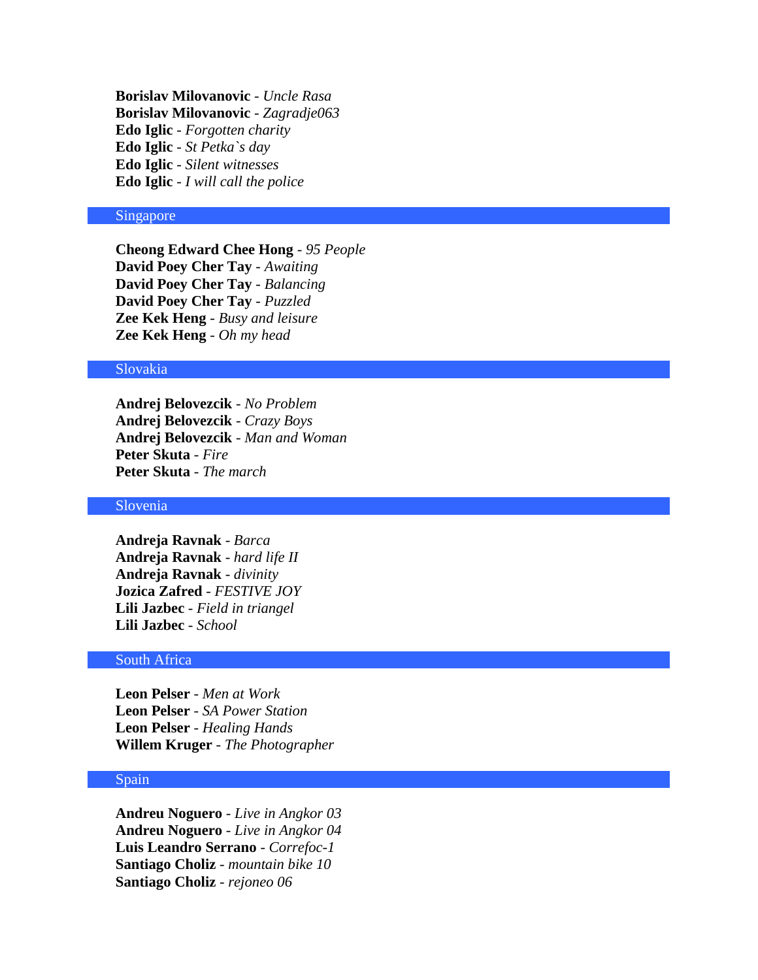**Borislav Milovanovic** - *Uncle Rasa* **Borislav Milovanovic** - *Zagradje063* **Edo Iglic** - *Forgotten charity* **Edo Iglic** - *St Petka`s day* **Edo Iglic** - *Silent witnesses* **Edo Iglic** - *I will call the police*

### Singapore

**Cheong Edward Chee Hong** - *95 People* **David Poey Cher Tay** - *Awaiting* **David Poey Cher Tay** - *Balancing* **David Poey Cher Tay** - *Puzzled* **Zee Kek Heng** - *Busy and leisure* **Zee Kek Heng** - *Oh my head*

# Slovakia

**Andrej Belovezcik** - *No Problem* **Andrej Belovezcik** - *Crazy Boys* **Andrej Belovezcik** - *Man and Woman* **Peter Skuta** - *Fire* **Peter Skuta** - *The march*

### Slovenia

**Andreja Ravnak** - *Barca* **Andreja Ravnak** - *hard life II* **Andreja Ravnak** - *divinity* **Jozica Zafred** - *FESTIVE JOY* **Lili Jazbec** - *Field in triangel* **Lili Jazbec** - *School*

#### South Africa

**Leon Pelser** - *Men at Work* **Leon Pelser** - *SA Power Station* **Leon Pelser** - *Healing Hands* **Willem Kruger** - *The Photographer*

### Spain

**Andreu Noguero** - *Live in Angkor 03* **Andreu Noguero** - *Live in Angkor 04* **Luis Leandro Serrano** - *Correfoc-1* **Santiago Choliz** - *mountain bike 10* **Santiago Choliz** - *rejoneo 06*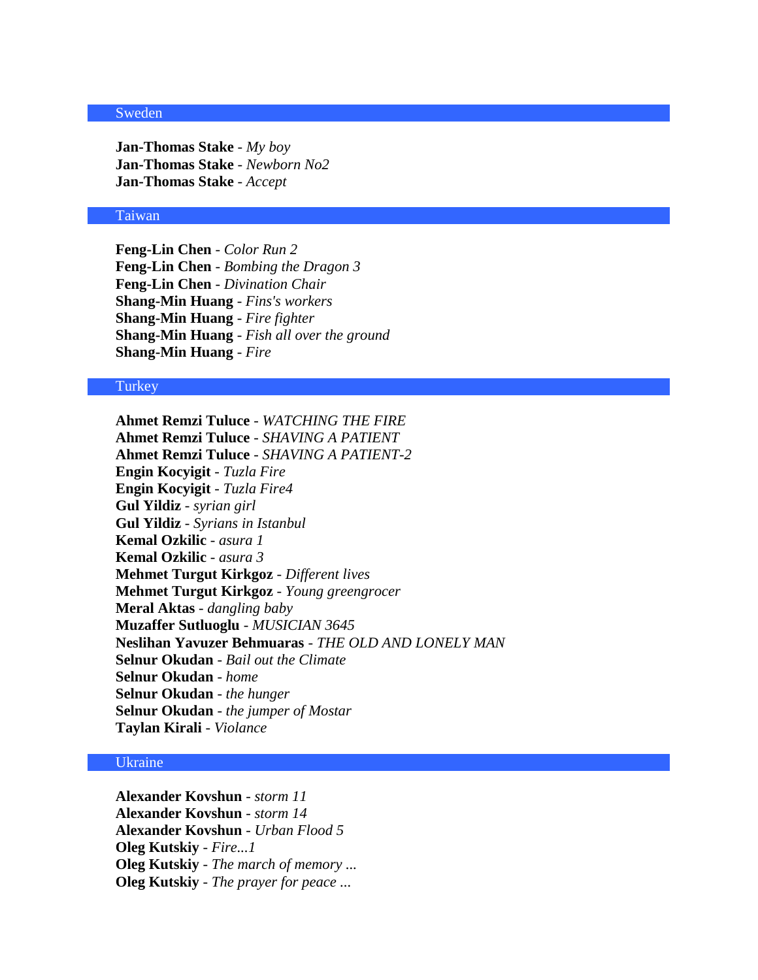## Sweden

**Jan-Thomas Stake** - *My boy* **Jan-Thomas Stake** - *Newborn No2* **Jan-Thomas Stake** - *Accept*

# Taiwan

**Feng-Lin Chen** - *Color Run 2* **Feng-Lin Chen** - *Bombing the Dragon 3* **Feng-Lin Chen** - *Divination Chair* **Shang-Min Huang** - *Fins's workers* **Shang-Min Huang** - *Fire fighter* **Shang-Min Huang** - *Fish all over the ground* **Shang-Min Huang** - *Fire*

#### **Turkey**

**Ahmet Remzi Tuluce** - *WATCHING THE FIRE* **Ahmet Remzi Tuluce** - *SHAVING A PATIENT* **Ahmet Remzi Tuluce** - *SHAVING A PATIENT-2* **Engin Kocyigit** - *Tuzla Fire* **Engin Kocyigit** - *Tuzla Fire4* **Gul Yildiz** - *syrian girl* **Gul Yildiz** - *Syrians in Istanbul* **Kemal Ozkilic** - *asura 1* **Kemal Ozkilic** - *asura 3* **Mehmet Turgut Kirkgoz** - *Different lives* **Mehmet Turgut Kirkgoz** - *Young greengrocer* **Meral Aktas** - *dangling baby* **Muzaffer Sutluoglu** - *MUSICIAN 3645* **Neslihan Yavuzer Behmuaras** - *THE OLD AND LONELY MAN* **Selnur Okudan** - *Bail out the Climate* **Selnur Okudan** - *home* **Selnur Okudan** - *the hunger* **Selnur Okudan** - *the jumper of Mostar* **Taylan Kirali** - *Violance*

# Ukraine

**Alexander Kovshun** - *storm 11* **Alexander Kovshun** - *storm 14* **Alexander Kovshun** - *Urban Flood 5* **Oleg Kutskiy** - *Fire...1* **Oleg Kutskiy** - *The march of memory ...* **Oleg Kutskiy** - *The prayer for peace ...*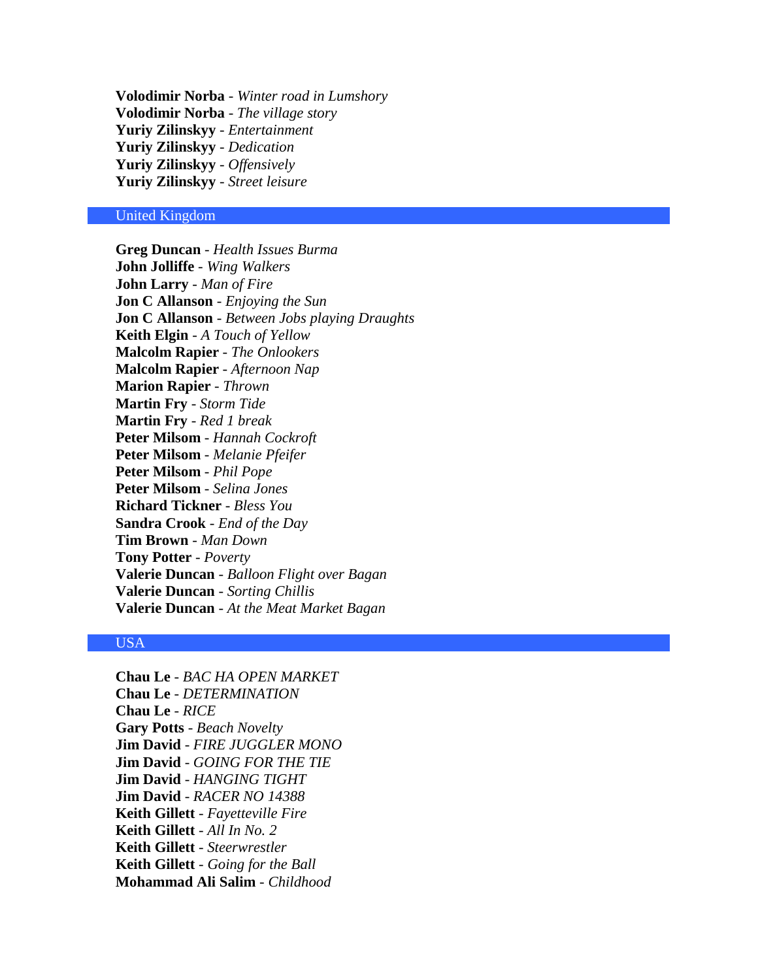**Volodimir Norba** - *Winter road in Lumshory* **Volodimir Norba** - *The village story* **Yuriy Zilinskyy** - *Entertainment* **Yuriy Zilinskyy** - *Dedication* **Yuriy Zilinskyy** - *Offensively* **Yuriy Zilinskyy** - *Street leisure*

## United Kingdom

**Greg Duncan** - *Health Issues Burma* **John Jolliffe** - *Wing Walkers* **John Larry** - *Man of Fire* **Jon C Allanson** - *Enjoying the Sun* **Jon C Allanson** - *Between Jobs playing Draughts* **Keith Elgin** - *A Touch of Yellow* **Malcolm Rapier** - *The Onlookers* **Malcolm Rapier** - *Afternoon Nap* **Marion Rapier** - *Thrown* **Martin Fry** - *Storm Tide* **Martin Fry** - *Red 1 break* **Peter Milsom** - *Hannah Cockroft* **Peter Milsom** - *Melanie Pfeifer* **Peter Milsom** - *Phil Pope* **Peter Milsom** - *Selina Jones* **Richard Tickner** - *Bless You* **Sandra Crook** - *End of the Day* **Tim Brown** - *Man Down* **Tony Potter** - *Poverty* **Valerie Duncan** - *Balloon Flight over Bagan* **Valerie Duncan** - *Sorting Chillis* **Valerie Duncan** - *At the Meat Market Bagan*

# USA

**Chau Le** - *BAC HA OPEN MARKET* **Chau Le** - *DETERMINATION* **Chau Le** - *RICE* **Gary Potts** - *Beach Novelty* **Jim David** - *FIRE JUGGLER MONO* **Jim David** - *GOING FOR THE TIE* **Jim David** - *HANGING TIGHT* **Jim David** - *RACER NO 14388* **Keith Gillett** - *Fayetteville Fire* **Keith Gillett** - *All In No. 2* **Keith Gillett** - *Steerwrestler* **Keith Gillett** - *Going for the Ball* **Mohammad Ali Salim** - *Childhood*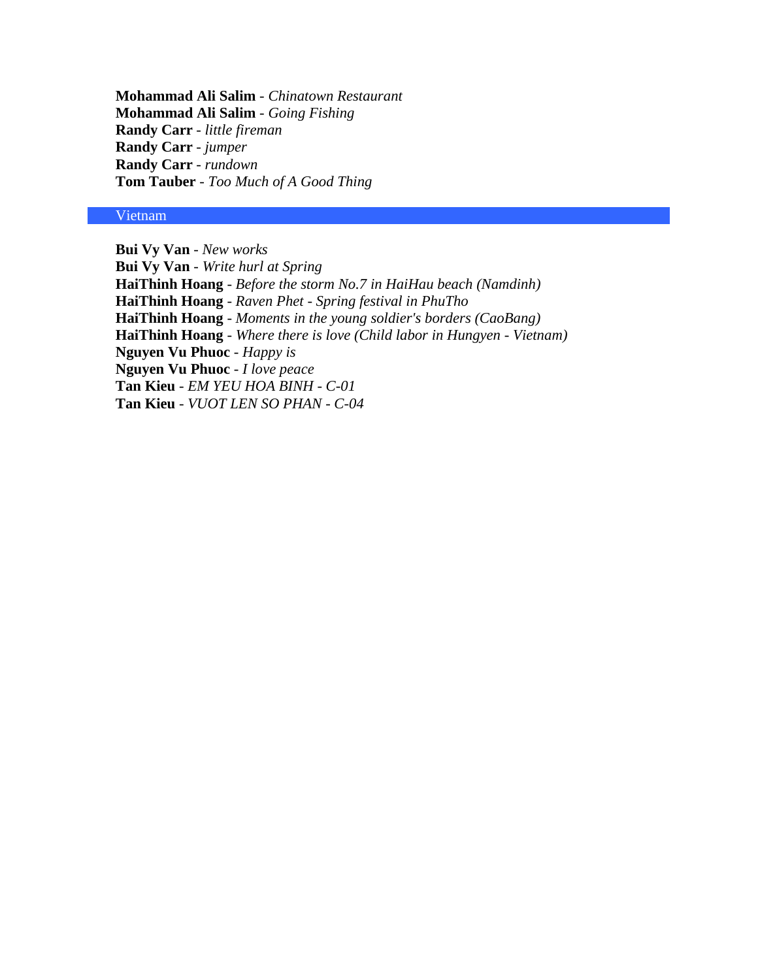**Mohammad Ali Salim** - *Chinatown Restaurant* **Mohammad Ali Salim** - *Going Fishing* **Randy Carr** - *little fireman* **Randy Carr** - *jumper* **Randy Carr** - *rundown* **Tom Tauber** - *Too Much of A Good Thing*

# Vietnam

**Bui Vy Van** - *New works* **Bui Vy Van** - *Write hurl at Spring* **HaiThinh Hoang** - *Before the storm No.7 in HaiHau beach (Namdinh)* **HaiThinh Hoang** - *Raven Phet - Spring festival in PhuTho* **HaiThinh Hoang** - *Moments in the young soldier's borders (CaoBang)* **HaiThinh Hoang** - *Where there is love (Child labor in Hungyen - Vietnam)* **Nguyen Vu Phuoc** - *Happy is* **Nguyen Vu Phuoc** - *I love peace* **Tan Kieu** - *EM YEU HOA BINH - C-01* **Tan Kieu** - *VUOT LEN SO PHAN - C-04*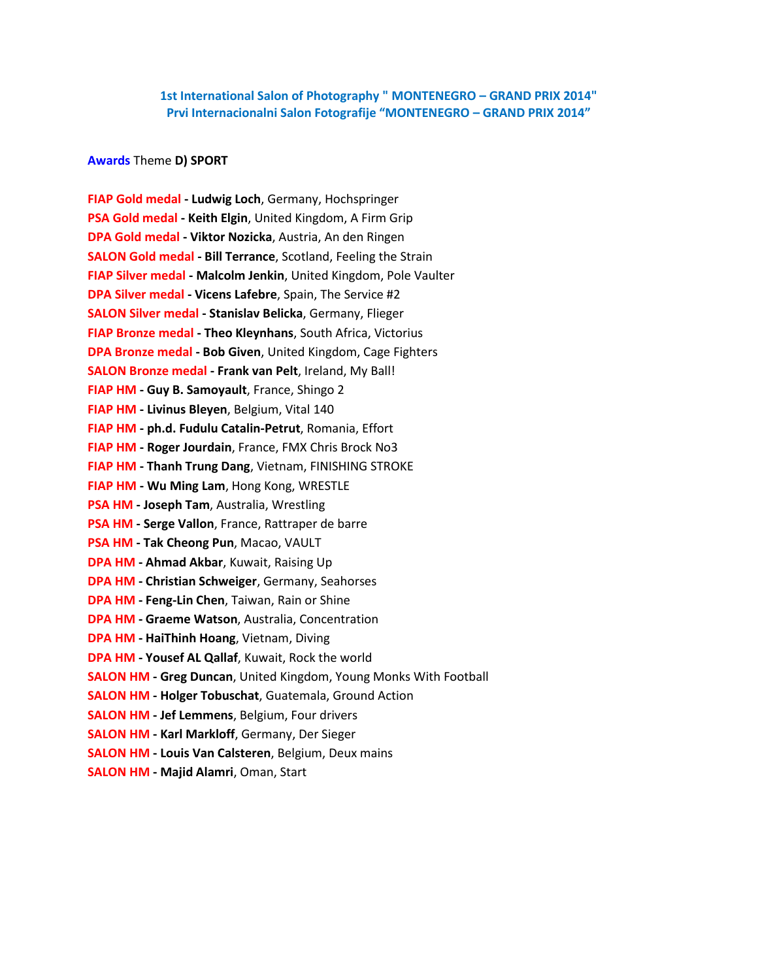# **1st International Salon of Photography " MONTENEGRO – GRAND PRIX 2014" Prvi Internacionalni Salon Fotografije "MONTENEGRO – GRAND PRIX 2014"**

#### **Awards** Theme **D) SPORT**

**FIAP Gold medal - Ludwig Loch**, Germany, Hochspringer **PSA Gold medal - Keith Elgin**, United Kingdom, A Firm Grip **DPA Gold medal - Viktor Nozicka**, Austria, An den Ringen **SALON Gold medal - Bill Terrance**, Scotland, Feeling the Strain **FIAP Silver medal - Malcolm Jenkin**, United Kingdom, Pole Vaulter **DPA Silver medal - Vicens Lafebre**, Spain, The Service #2 **SALON Silver medal - Stanislav Belicka**, Germany, Flieger **FIAP Bronze medal - Theo Kleynhans**, South Africa, Victorius **DPA Bronze medal - Bob Given**, United Kingdom, Cage Fighters **SALON Bronze medal - Frank van Pelt**, Ireland, My Ball! **FIAP HM - Guy B. Samoyault**, France, Shingo 2 **FIAP HM - Livinus Bleyen**, Belgium, Vital 140 **FIAP HM - ph.d. Fudulu Catalin-Petrut**, Romania, Effort **FIAP HM - Roger Jourdain**, France, FMX Chris Brock No3 **FIAP HM - Thanh Trung Dang**, Vietnam, FINISHING STROKE **FIAP HM - Wu Ming Lam**, Hong Kong, WRESTLE **PSA HM - Joseph Tam**, Australia, Wrestling **PSA HM - Serge Vallon**, France, Rattraper de barre **PSA HM - Tak Cheong Pun**, Macao, VAULT **DPA HM - Ahmad Akbar**, Kuwait, Raising Up **DPA HM - Christian Schweiger**, Germany, Seahorses **DPA HM - Feng-Lin Chen**, Taiwan, Rain or Shine **DPA HM - Graeme Watson**, Australia, Concentration **DPA HM - HaiThinh Hoang**, Vietnam, Diving **DPA HM - Yousef AL Qallaf**, Kuwait, Rock the world **SALON HM - Greg Duncan**, United Kingdom, Young Monks With Football **SALON HM - Holger Tobuschat**, Guatemala, Ground Action **SALON HM - Jef Lemmens**, Belgium, Four drivers **SALON HM - Karl Markloff**, Germany, Der Sieger **SALON HM - Louis Van Calsteren**, Belgium, Deux mains **SALON HM - Majid Alamri**, Oman, Start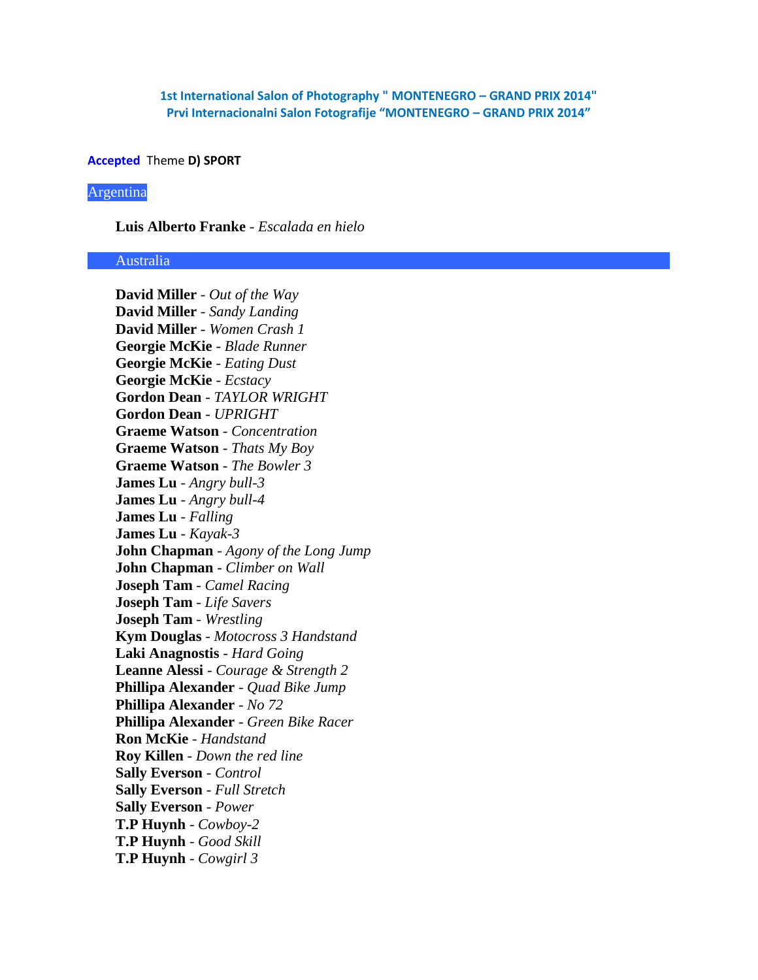# **1st International Salon of Photography " MONTENEGRO – GRAND PRIX 2014" Prvi Internacionalni Salon Fotografije "MONTENEGRO – GRAND PRIX 2014"**

#### **Accepted** Theme **D) SPORT**

#### Argentina

## **Luis Alberto Franke** - *Escalada en hielo*

#### Australia

**David Miller** - *Out of the Way* **David Miller** - *Sandy Landing* **David Miller** - *Women Crash 1* **Georgie McKie** - *Blade Runner* **Georgie McKie** - *Eating Dust* **Georgie McKie** - *Ecstacy* **Gordon Dean** - *TAYLOR WRIGHT* **Gordon Dean** - *UPRIGHT* **Graeme Watson** - *Concentration* **Graeme Watson** - *Thats My Boy* **Graeme Watson** - *The Bowler 3* **James Lu** - *Angry bull-3* **James Lu** - *Angry bull-4* **James Lu** - *Falling* **James Lu** - *Kayak-3* **John Chapman** - *Agony of the Long Jump* **John Chapman** - *Climber on Wall* **Joseph Tam** - *Camel Racing* **Joseph Tam** - *Life Savers* **Joseph Tam** - *Wrestling* **Kym Douglas** - *Motocross 3 Handstand* **Laki Anagnostis** - *Hard Going* **Leanne Alessi** - *Courage & Strength 2* **Phillipa Alexander** - *Quad Bike Jump* **Phillipa Alexander** - *No 72* **Phillipa Alexander** - *Green Bike Racer* **Ron McKie** - *Handstand* **Roy Killen** - *Down the red line* **Sally Everson** - *Control* **Sally Everson** - *Full Stretch* **Sally Everson** - *Power* **T.P Huynh** - *Cowboy-2* **T.P Huynh** - *Good Skill* **T.P Huynh** - *Cowgirl 3*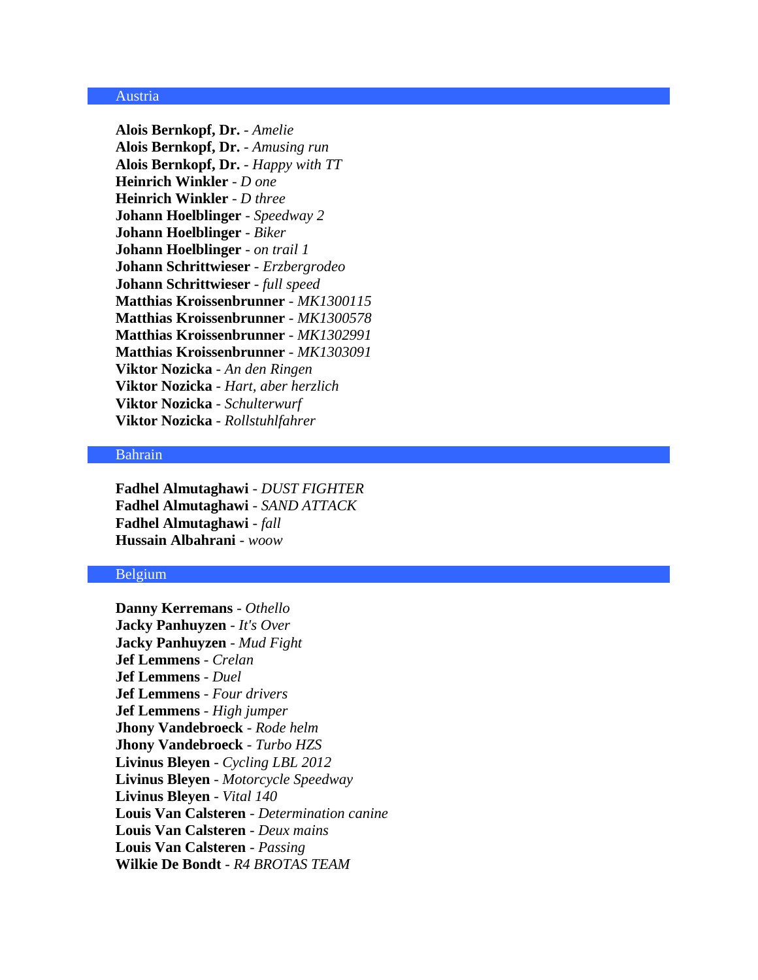# Austria

**Alois Bernkopf, Dr.** - *Amelie* **Alois Bernkopf, Dr.** - *Amusing run* **Alois Bernkopf, Dr.** - *Happy with TT* **Heinrich Winkler** - *D one* **Heinrich Winkler** - *D three* **Johann Hoelblinger** - *Speedway 2* **Johann Hoelblinger** - *Biker* **Johann Hoelblinger** - *on trail 1* **Johann Schrittwieser** - *Erzbergrodeo* **Johann Schrittwieser** - *full speed* **Matthias Kroissenbrunner** - *MK1300115* **Matthias Kroissenbrunner** - *MK1300578* **Matthias Kroissenbrunner** - *MK1302991* **Matthias Kroissenbrunner** - *MK1303091* **Viktor Nozicka** - *An den Ringen* **Viktor Nozicka** - *Hart, aber herzlich* **Viktor Nozicka** - *Schulterwurf* **Viktor Nozicka** - *Rollstuhlfahrer*

## Bahrain

**Fadhel Almutaghawi** - *DUST FIGHTER* **Fadhel Almutaghawi** - *SAND ATTACK* **Fadhel Almutaghawi** - *fall* **Hussain Albahrani** - *woow*

# Belgium

**Danny Kerremans** - *Othello* **Jacky Panhuyzen** - *It's Over* **Jacky Panhuyzen** - *Mud Fight* **Jef Lemmens** - *Crelan* **Jef Lemmens** - *Duel* **Jef Lemmens** - *Four drivers* **Jef Lemmens** - *High jumper* **Jhony Vandebroeck** - *Rode helm* **Jhony Vandebroeck** - *Turbo HZS* **Livinus Bleyen** - *Cycling LBL 2012* **Livinus Bleyen** - *Motorcycle Speedway* **Livinus Bleyen** - *Vital 140* **Louis Van Calsteren** - *Determination canine* **Louis Van Calsteren** - *Deux mains* **Louis Van Calsteren** - *Passing* **Wilkie De Bondt** - *R4 BROTAS TEAM*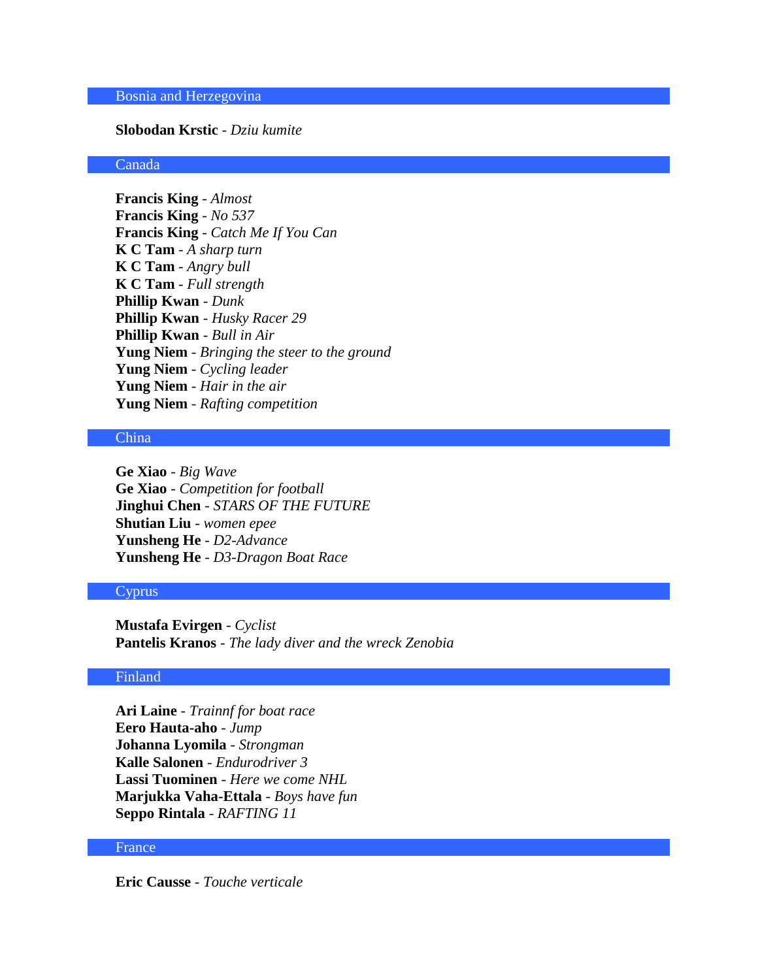# Bosnia and Herzegovina

# **Slobodan Krstic** - *Dziu kumite*

# Canada

**Francis King** - *Almost* **Francis King** - *No 537* **Francis King** - *Catch Me If You Can* **K C Tam** - *A sharp turn* **K C Tam** - *Angry bull* **K C Tam** - *Full strength* **Phillip Kwan** - *Dunk* **Phillip Kwan** - *Husky Racer 29* **Phillip Kwan** - *Bull in Air* **Yung Niem** - *Bringing the steer to the ground* **Yung Niem** - *Cycling leader* **Yung Niem** - *Hair in the air* **Yung Niem** - *Rafting competition*

# China

**Ge Xiao** - *Big Wave* **Ge Xiao** - *Competition for football* **Jinghui Chen** - *STARS OF THE FUTURE* **Shutian Liu** - *women epee* **Yunsheng He** - *D2-Advance* **Yunsheng He** - *D3-Dragon Boat Race*

### **Cyprus**

**Mustafa Evirgen** - *Cyclist* **Pantelis Kranos** - *The lady diver and the wreck Zenobia*

## Finland

**Ari Laine** - *Trainnf for boat race* **Eero Hauta-aho** - *Jump* **Johanna Lyomila** - *Strongman* **Kalle Salonen** - *Endurodriver 3* **Lassi Tuominen** - *Here we come NHL* **Marjukka Vaha-Ettala** - *Boys have fun* **Seppo Rintala** - *RAFTING 11*

## France

**Eric Causse** - *Touche verticale*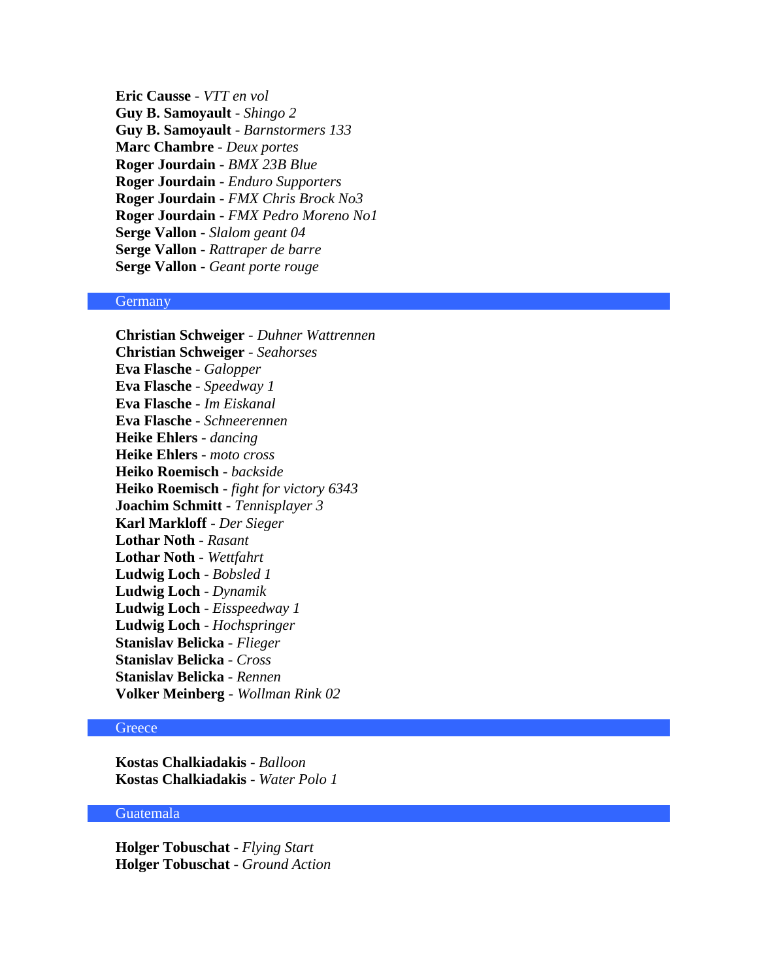**Eric Causse** - *VTT en vol* **Guy B. Samoyault** - *Shingo 2* **Guy B. Samoyault** - *Barnstormers 133* **Marc Chambre** - *Deux portes* **Roger Jourdain** - *BMX 23B Blue* **Roger Jourdain** - *Enduro Supporters* **Roger Jourdain** - *FMX Chris Brock No3* **Roger Jourdain** - *FMX Pedro Moreno No1* **Serge Vallon** - *Slalom geant 04* **Serge Vallon** - *Rattraper de barre* **Serge Vallon** - *Geant porte rouge*

### **Germany**

**Christian Schweiger** - *Duhner Wattrennen* **Christian Schweiger** - *Seahorses* **Eva Flasche** - *Galopper* **Eva Flasche** - *Speedway 1* **Eva Flasche** - *Im Eiskanal* **Eva Flasche** - *Schneerennen* **Heike Ehlers** - *dancing* **Heike Ehlers** - *moto cross* **Heiko Roemisch** - *backside* **Heiko Roemisch** - *fight for victory 6343* **Joachim Schmitt** - *Tennisplayer 3* **Karl Markloff** - *Der Sieger* **Lothar Noth** - *Rasant* **Lothar Noth** - *Wettfahrt* **Ludwig Loch** - *Bobsled 1* **Ludwig Loch** - *Dynamik* **Ludwig Loch** - *Eisspeedway 1* **Ludwig Loch** - *Hochspringer* **Stanislav Belicka** - *Flieger* **Stanislav Belicka** - *Cross* **Stanislav Belicka** - *Rennen* **Volker Meinberg** - *Wollman Rink 02*

### **Greece**

**Kostas Chalkiadakis** - *Balloon* **Kostas Chalkiadakis** - *Water Polo 1*

### Guatemala

**Holger Tobuschat** - *Flying Start* **Holger Tobuschat** - *Ground Action*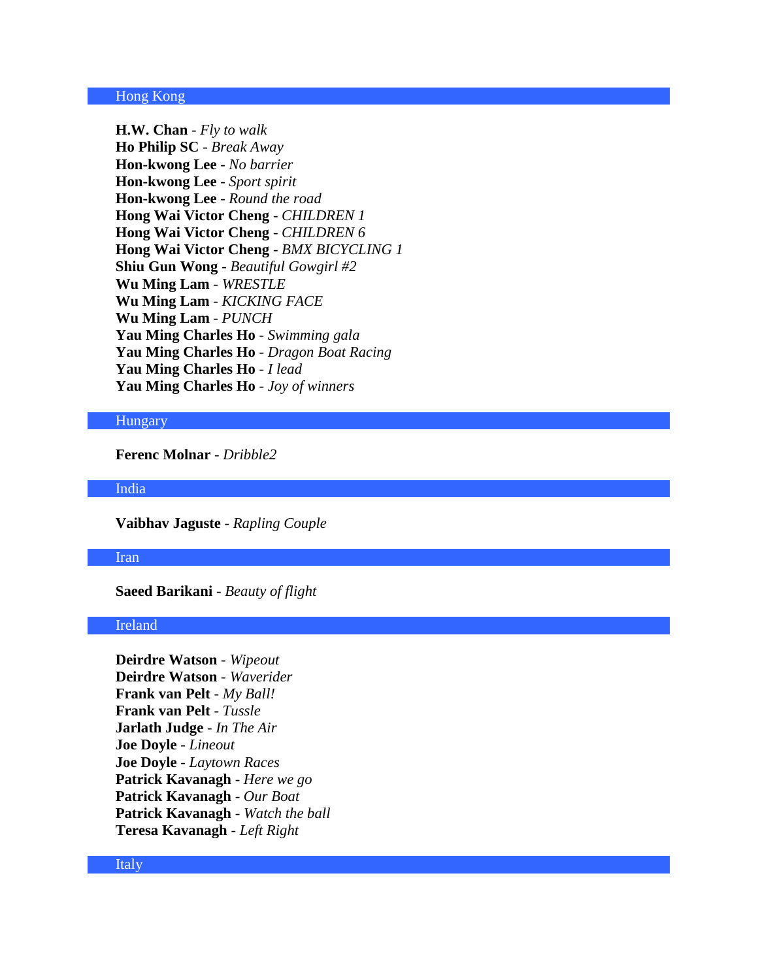# Hong Kong

**H.W. Chan** - *Fly to walk* **Ho Philip SC** - *Break Away* **Hon-kwong Lee** - *No barrier* **Hon-kwong Lee** - *Sport spirit* **Hon-kwong Lee** - *Round the road* **Hong Wai Victor Cheng** - *CHILDREN 1* **Hong Wai Victor Cheng** - *CHILDREN 6* **Hong Wai Victor Cheng** - *BMX BICYCLING 1* **Shiu Gun Wong** - *Beautiful Gowgirl #2* **Wu Ming Lam** - *WRESTLE* **Wu Ming Lam** - *KICKING FACE* **Wu Ming Lam** - *PUNCH* **Yau Ming Charles Ho** - *Swimming gala* **Yau Ming Charles Ho** - *Dragon Boat Racing* **Yau Ming Charles Ho** - *I lead* **Yau Ming Charles Ho** - *Joy of winners*

## Hungary

**Ferenc Molnar** - *Dribble2*

India

**Vaibhav Jaguste** - *Rapling Couple*

### Iran

**Saeed Barikani** - *Beauty of flight*

# Ireland

**Deirdre Watson** - *Wipeout* **Deirdre Watson** - *Waverider* **Frank van Pelt** - *My Ball!* **Frank van Pelt** - *Tussle* **Jarlath Judge** - *In The Air* **Joe Doyle** - *Lineout* **Joe Doyle** - *Laytown Races* **Patrick Kavanagh** - *Here we go* **Patrick Kavanagh** - *Our Boat* **Patrick Kavanagh** - *Watch the ball* **Teresa Kavanagh** - *Left Right*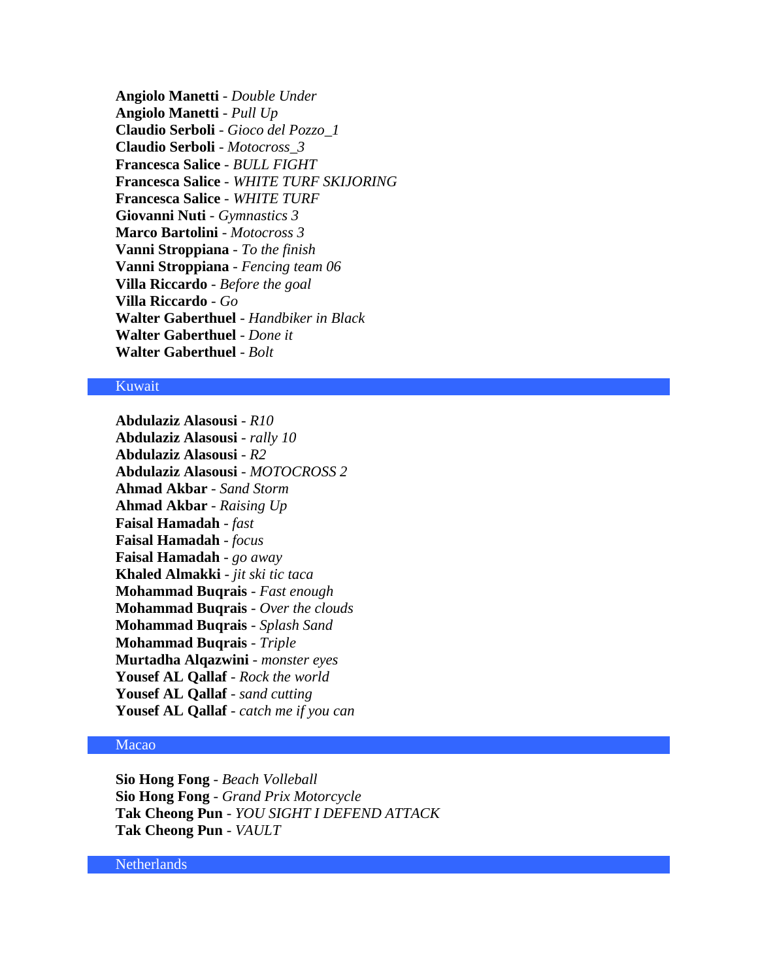**Angiolo Manetti** - *Double Under* **Angiolo Manetti** - *Pull Up* **Claudio Serboli** - *Gioco del Pozzo\_1* **Claudio Serboli** - *Motocross\_3* **Francesca Salice** - *BULL FIGHT* **Francesca Salice** - *WHITE TURF SKIJORING* **Francesca Salice** - *WHITE TURF* **Giovanni Nuti** - *Gymnastics 3* **Marco Bartolini** - *Motocross 3* **Vanni Stroppiana** - *To the finish* **Vanni Stroppiana** - *Fencing team 06* **Villa Riccardo** - *Before the goal* **Villa Riccardo** - *Go* **Walter Gaberthuel** - *Handbiker in Black* **Walter Gaberthuel** - *Done it* **Walter Gaberthuel** - *Bolt*

#### Kuwait

**Abdulaziz Alasousi** - *R10* **Abdulaziz Alasousi** - *rally 10* **Abdulaziz Alasousi** - *R2* **Abdulaziz Alasousi** - *MOTOCROSS 2* **Ahmad Akbar** - *Sand Storm* **Ahmad Akbar** - *Raising Up* **Faisal Hamadah** - *fast* **Faisal Hamadah** - *focus* **Faisal Hamadah** - *go away* **Khaled Almakki** - *jit ski tic taca* **Mohammad Buqrais** - *Fast enough* **Mohammad Buqrais** - *Over the clouds* **Mohammad Buqrais** - *Splash Sand* **Mohammad Buqrais** - *Triple* **Murtadha Alqazwini** - *monster eyes* **Yousef AL Qallaf** - *Rock the world* **Yousef AL Qallaf** - *sand cutting* **Yousef AL Qallaf** - *catch me if you can*

# Macao

**Sio Hong Fong** - *Beach Volleball* **Sio Hong Fong** - *Grand Prix Motorcycle* **Tak Cheong Pun** - *YOU SIGHT I DEFEND ATTACK* **Tak Cheong Pun** - *VAULT*

**Netherlands**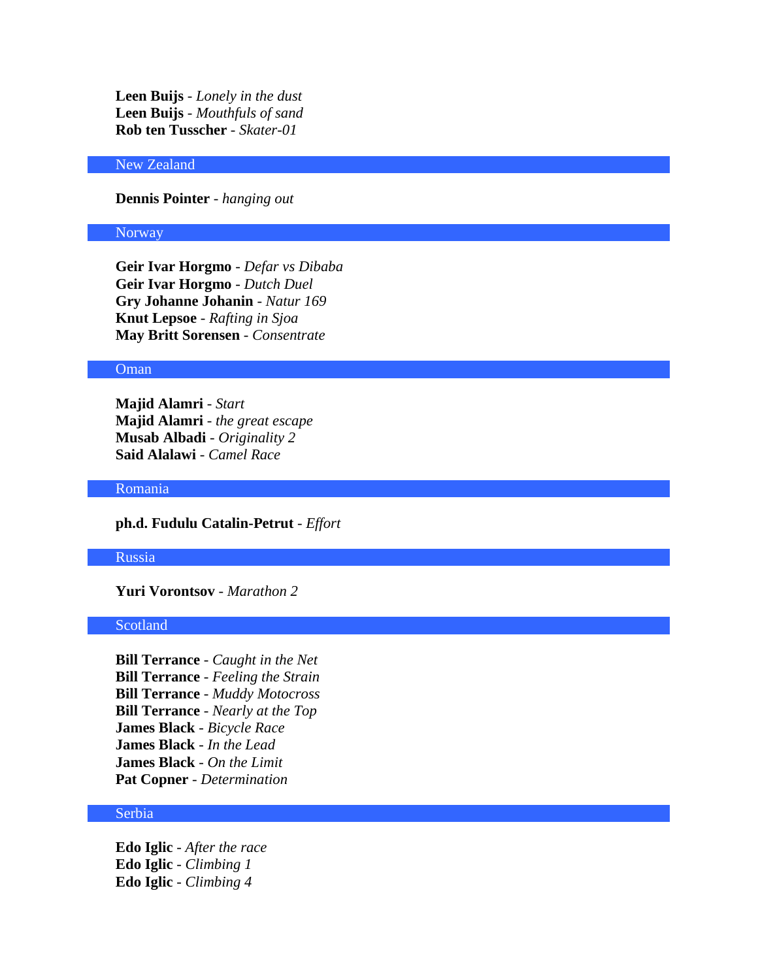**Leen Buijs** - *Lonely in the dust* **Leen Buijs** - *Mouthfuls of sand* **Rob ten Tusscher** - *Skater-01*

# New Zealand

# **Dennis Pointer** - *hanging out*

#### Norway

**Geir Ivar Horgmo** - *Defar vs Dibaba* **Geir Ivar Horgmo** - *Dutch Duel* **Gry Johanne Johanin** - *Natur 169* **Knut Lepsoe** - *Rafting in Sjoa* **May Britt Sorensen** - *Consentrate*

### Oman

**Majid Alamri** - *Start* **Majid Alamri** - *the great escape* **Musab Albadi** - *Originality 2* **Said Alalawi** - *Camel Race*

#### Romania

# **ph.d. Fudulu Catalin-Petrut** - *Effort*

#### Russia

**Yuri Vorontsov** - *Marathon 2*

# Scotland

**Bill Terrance** - *Caught in the Net* **Bill Terrance** - *Feeling the Strain* **Bill Terrance** - *Muddy Motocross* **Bill Terrance** - *Nearly at the Top* **James Black** - *Bicycle Race* **James Black** - *In the Lead* **James Black** - *On the Limit* **Pat Copner** - *Determination*

#### Serbia

**Edo Iglic** - *After the race* **Edo Iglic** - *Climbing 1* **Edo Iglic** - *Climbing 4*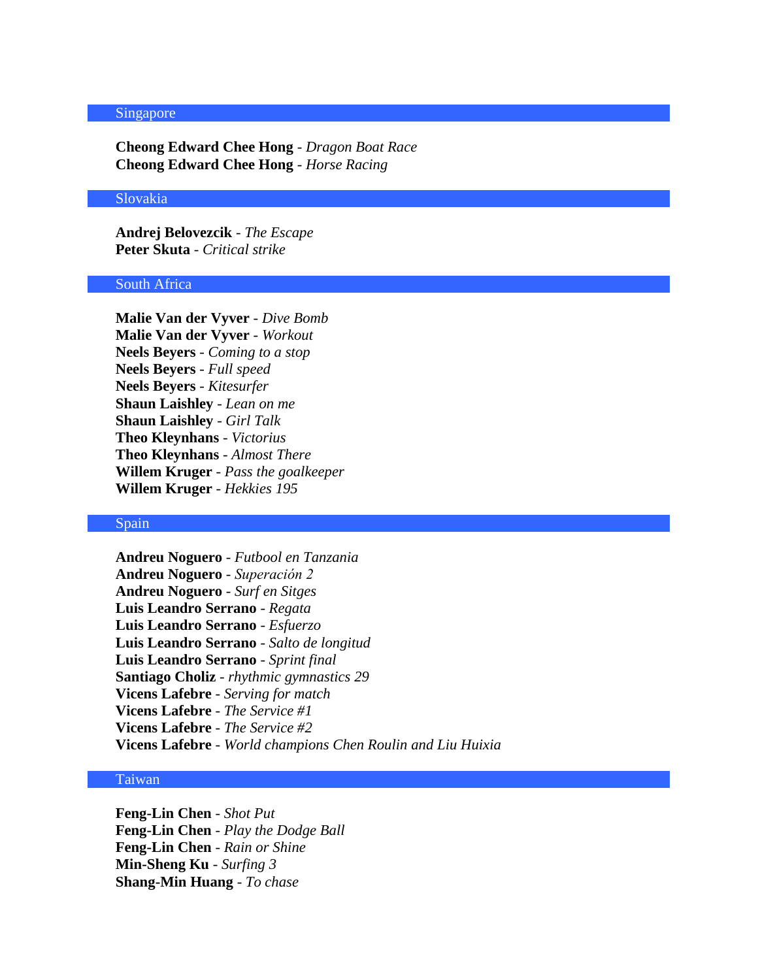#### Singapore

**Cheong Edward Chee Hong** - *Dragon Boat Race* **Cheong Edward Chee Hong** - *Horse Racing*

### Slovakia

**Andrej Belovezcik** - *The Escape* **Peter Skuta** - *Critical strike*

#### South Africa

**Malie Van der Vyver** - *Dive Bomb* **Malie Van der Vyver** - *Workout* **Neels Beyers** - *Coming to a stop* **Neels Beyers** - *Full speed* **Neels Beyers** - *Kitesurfer* **Shaun Laishley** - *Lean on me* **Shaun Laishley** - *Girl Talk* **Theo Kleynhans** - *Victorius* **Theo Kleynhans** - *Almost There* **Willem Kruger** - *Pass the goalkeeper* **Willem Kruger** - *Hekkies 195*

# Spain

**Andreu Noguero** - *Futbool en Tanzania* **Andreu Noguero** - *Superación 2* **Andreu Noguero** - *Surf en Sitges* **Luis Leandro Serrano** - *Regata* **Luis Leandro Serrano** - *Esfuerzo* **Luis Leandro Serrano** - *Salto de longitud* **Luis Leandro Serrano** - *Sprint final* **Santiago Choliz** - *rhythmic gymnastics 29* **Vicens Lafebre** - *Serving for match* **Vicens Lafebre** - *The Service #1* **Vicens Lafebre** - *The Service #2* **Vicens Lafebre** - *World champions Chen Roulin and Liu Huixia*

# Taiwan

**Feng-Lin Chen** - *Shot Put* **Feng-Lin Chen** - *Play the Dodge Ball* **Feng-Lin Chen** - *Rain or Shine* **Min-Sheng Ku** - *Surfing 3* **Shang-Min Huang** - *To chase*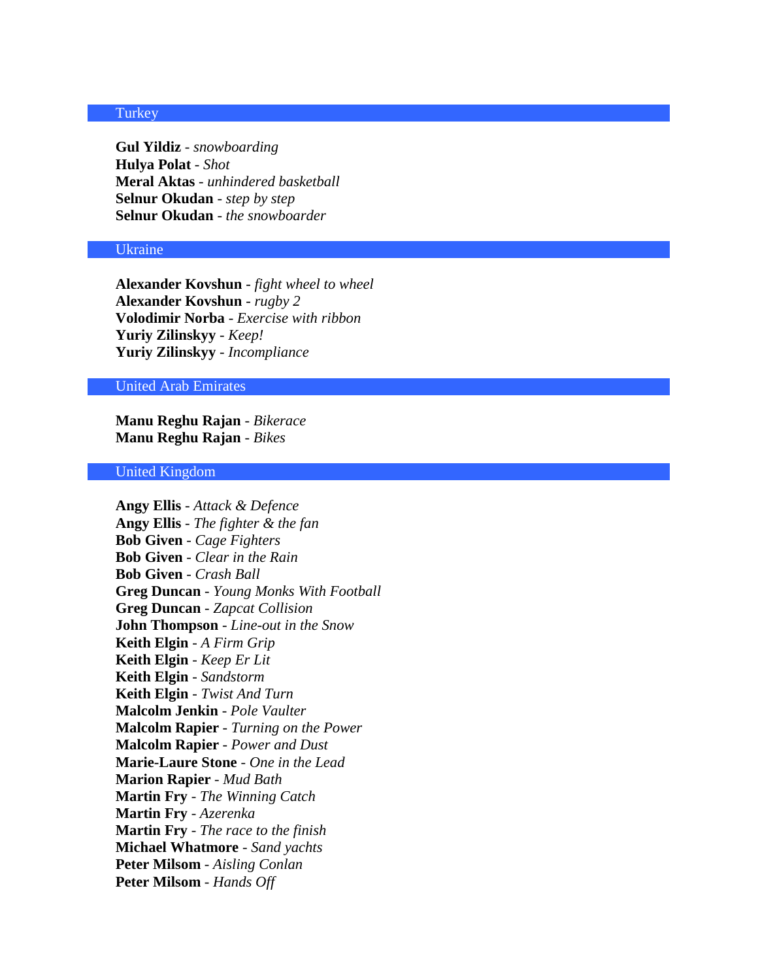#### Turkey

**Gul Yildiz** - *snowboarding* **Hulya Polat** - *Shot* **Meral Aktas** - *unhindered basketball* **Selnur Okudan** - *step by step* **Selnur Okudan** - *the snowboarder*

### Ukraine

**Alexander Kovshun** - *fight wheel to wheel* **Alexander Kovshun** - *rugby 2* **Volodimir Norba** - *Exercise with ribbon* **Yuriy Zilinskyy** - *Keep!* **Yuriy Zilinskyy** - *Incompliance*

## United Arab Emirates

**Manu Reghu Rajan** - *Bikerace* **Manu Reghu Rajan** - *Bikes*

# United Kingdom

**Angy Ellis** - *Attack & Defence* **Angy Ellis** - *The fighter & the fan* **Bob Given** - *Cage Fighters* **Bob Given** - *Clear in the Rain* **Bob Given** - *Crash Ball* **Greg Duncan** - *Young Monks With Football* **Greg Duncan** - *Zapcat Collision* **John Thompson** - *Line-out in the Snow* **Keith Elgin** - *A Firm Grip* **Keith Elgin** - *Keep Er Lit* **Keith Elgin** - *Sandstorm* **Keith Elgin** - *Twist And Turn* **Malcolm Jenkin** - *Pole Vaulter* **Malcolm Rapier** - *Turning on the Power* **Malcolm Rapier** - *Power and Dust* **Marie-Laure Stone** - *One in the Lead* **Marion Rapier** - *Mud Bath* **Martin Fry** - *The Winning Catch* **Martin Fry** - *Azerenka* **Martin Fry** - *The race to the finish* **Michael Whatmore** - *Sand yachts* **Peter Milsom** - *Aisling Conlan* **Peter Milsom** - *Hands Off*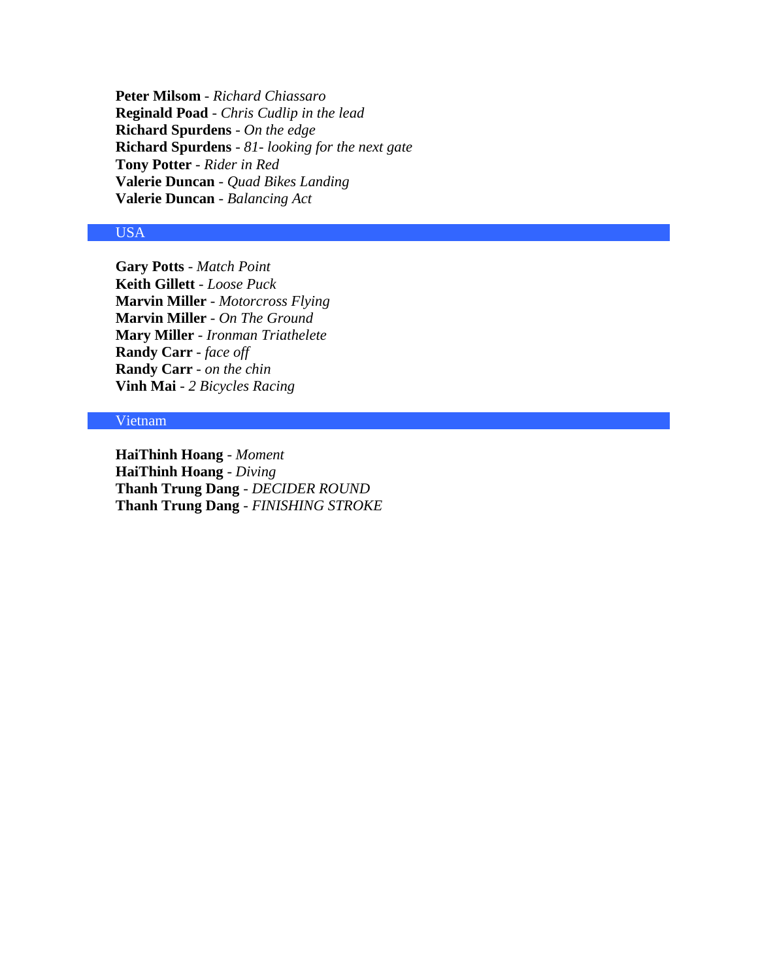**Peter Milsom** - *Richard Chiassaro* **Reginald Poad** - *Chris Cudlip in the lead* **Richard Spurdens** - *On the edge* **Richard Spurdens** - *81- looking for the next gate* **Tony Potter** - *Rider in Red* **Valerie Duncan** - *Quad Bikes Landing* **Valerie Duncan** - *Balancing Act*

# USA

**Gary Potts** - *Match Point* **Keith Gillett** - *Loose Puck* **Marvin Miller** - *Motorcross Flying* **Marvin Miller** - *On The Ground* **Mary Miller** - *Ironman Triathelete* **Randy Carr** - *face off* **Randy Carr** - *on the chin* **Vinh Mai** - *2 Bicycles Racing*

# Vietnam

**HaiThinh Hoang** - *Moment* **HaiThinh Hoang** - *Diving* **Thanh Trung Dang** - *DECIDER ROUND* **Thanh Trung Dang** - *FINISHING STROKE*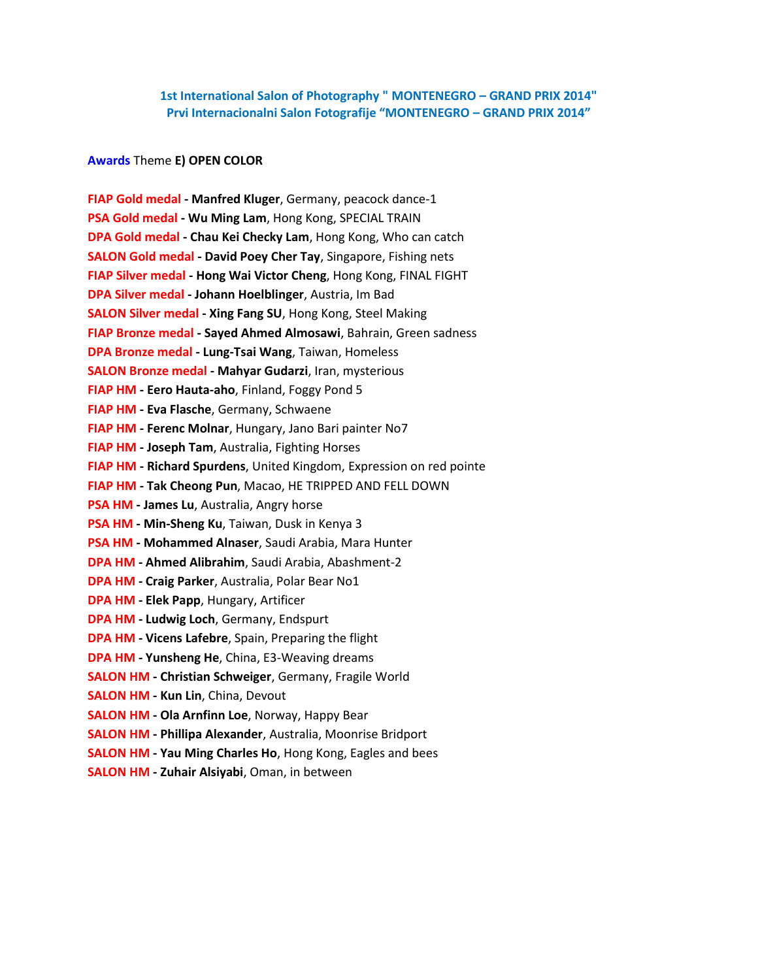# **1st International Salon of Photography " MONTENEGRO – GRAND PRIX 2014" Prvi Internacionalni Salon Fotografije "MONTENEGRO – GRAND PRIX 2014"**

#### **Awards** Theme **E) OPEN COLOR**

**FIAP Gold medal - Manfred Kluger**, Germany, peacock dance-1 **PSA Gold medal - Wu Ming Lam**, Hong Kong, SPECIAL TRAIN **DPA Gold medal - Chau Kei Checky Lam**, Hong Kong, Who can catch **SALON Gold medal - David Poey Cher Tay**, Singapore, Fishing nets **FIAP Silver medal - Hong Wai Victor Cheng**, Hong Kong, FINAL FIGHT **DPA Silver medal - Johann Hoelblinger**, Austria, Im Bad **SALON Silver medal - Xing Fang SU**, Hong Kong, Steel Making **FIAP Bronze medal - Sayed Ahmed Almosawi**, Bahrain, Green sadness **DPA Bronze medal - Lung-Tsai Wang**, Taiwan, Homeless **SALON Bronze medal - Mahyar Gudarzi**, Iran, mysterious **FIAP HM - Eero Hauta-aho**, Finland, Foggy Pond 5 **FIAP HM - Eva Flasche**, Germany, Schwaene **FIAP HM - Ferenc Molnar**, Hungary, Jano Bari painter No7 **FIAP HM - Joseph Tam**, Australia, Fighting Horses **FIAP HM - Richard Spurdens**, United Kingdom, Expression on red pointe **FIAP HM - Tak Cheong Pun**, Macao, HE TRIPPED AND FELL DOWN **PSA HM - James Lu**, Australia, Angry horse **PSA HM - Min-Sheng Ku**, Taiwan, Dusk in Kenya 3 **PSA HM - Mohammed Alnaser**, Saudi Arabia, Mara Hunter **DPA HM - Ahmed Alibrahim**, Saudi Arabia, Abashment-2 **DPA HM - Craig Parker**, Australia, Polar Bear No1 **DPA HM - Elek Papp**, Hungary, Artificer **DPA HM - Ludwig Loch**, Germany, Endspurt **DPA HM - Vicens Lafebre**, Spain, Preparing the flight **DPA HM - Yunsheng He**, China, E3-Weaving dreams **SALON HM - Christian Schweiger**, Germany, Fragile World **SALON HM - Kun Lin**, China, Devout **SALON HM - Ola Arnfinn Loe**, Norway, Happy Bear **SALON HM - Phillipa Alexander**, Australia, Moonrise Bridport **SALON HM - Yau Ming Charles Ho**, Hong Kong, Eagles and bees **SALON HM - Zuhair Alsiyabi**, Oman, in between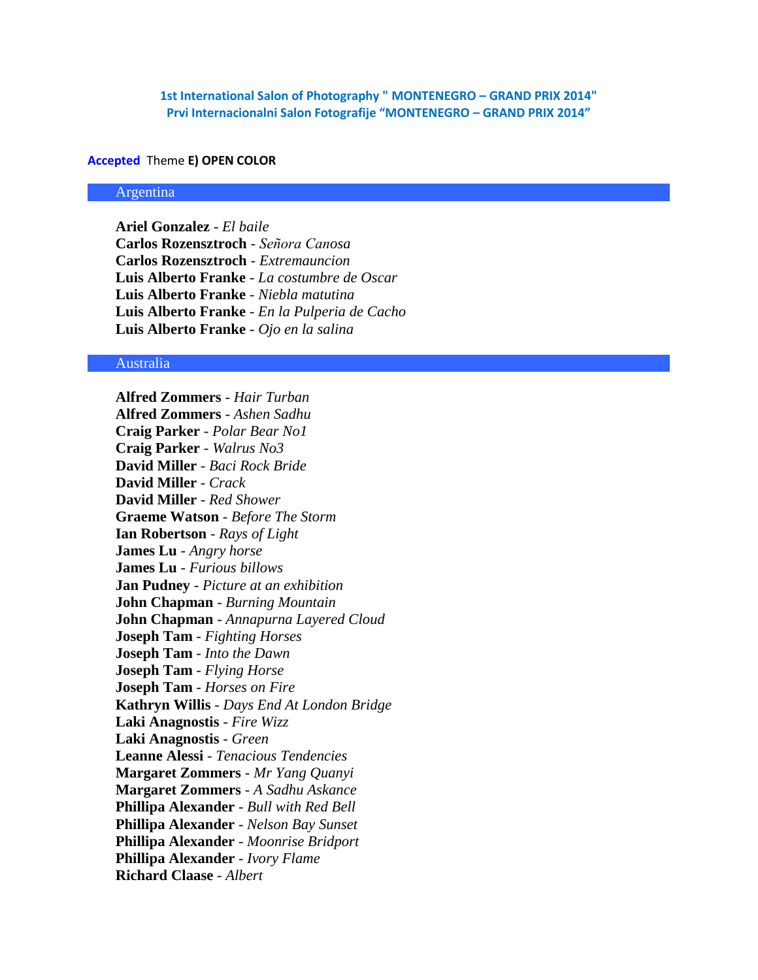**1st International Salon of Photography " MONTENEGRO – GRAND PRIX 2014" Prvi Internacionalni Salon Fotografije "MONTENEGRO – GRAND PRIX 2014"**

#### **Accepted** Theme **E) OPEN COLOR**

#### Argentina

**Ariel Gonzalez** - *El baile* **Carlos Rozensztroch** - *Señora Canosa* **Carlos Rozensztroch** - *Extremauncion* **Luis Alberto Franke** - *La costumbre de Oscar* **Luis Alberto Franke** - *Niebla matutina* **Luis Alberto Franke** - *En la Pulperia de Cacho* **Luis Alberto Franke** - *Ojo en la salina*

#### Australia

**Alfred Zommers** - *Hair Turban* **Alfred Zommers** - *Ashen Sadhu* **Craig Parker** - *Polar Bear No1* **Craig Parker** - *Walrus No3* **David Miller** - *Baci Rock Bride* **David Miller** - *Crack* **David Miller** - *Red Shower* **Graeme Watson** - *Before The Storm* **Ian Robertson** - *Rays of Light* **James Lu** - *Angry horse* **James Lu** - *Furious billows* **Jan Pudney** - *Picture at an exhibition* **John Chapman** - *Burning Mountain* **John Chapman** - *Annapurna Layered Cloud* **Joseph Tam** - *Fighting Horses* **Joseph Tam** - *Into the Dawn* **Joseph Tam** - *Flying Horse* **Joseph Tam** - *Horses on Fire* **Kathryn Willis** - *Days End At London Bridge* **Laki Anagnostis** - *Fire Wizz* **Laki Anagnostis** - *Green* **Leanne Alessi** - *Tenacious Tendencies* **Margaret Zommers** - *Mr Yang Quanyi* **Margaret Zommers** - *A Sadhu Askance* **Phillipa Alexander** - *Bull with Red Bell* **Phillipa Alexander** - *Nelson Bay Sunset* **Phillipa Alexander** - *Moonrise Bridport* **Phillipa Alexander** - *Ivory Flame* **Richard Claase** - *Albert*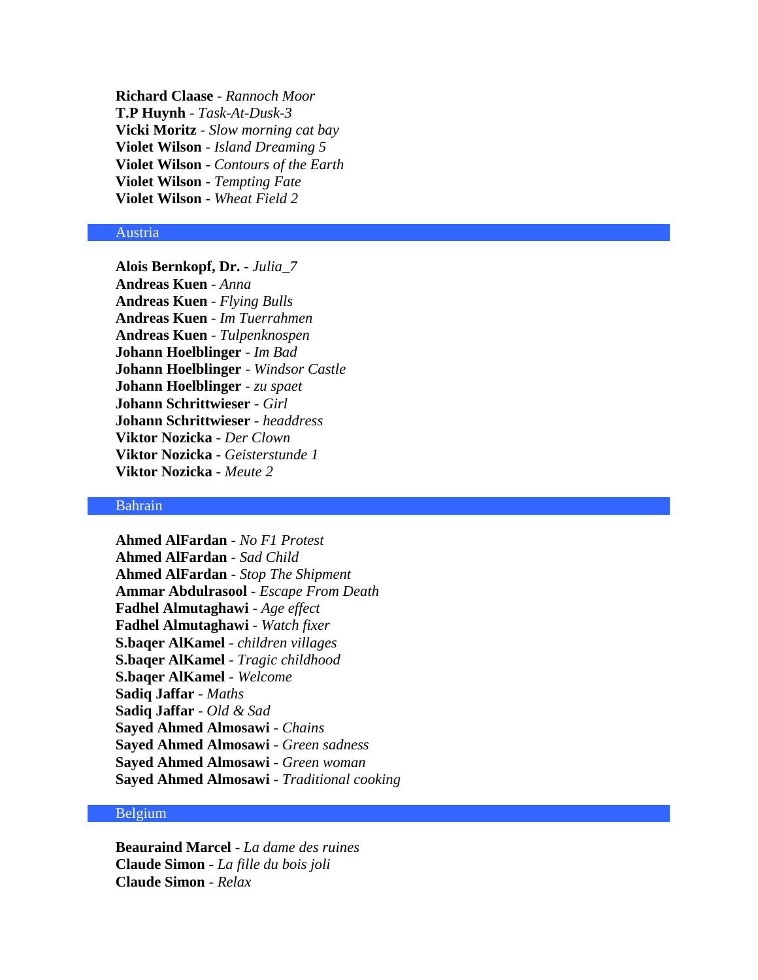**Richard Claase** - *Rannoch Moor* **T.P Huynh** - *Task-At-Dusk-3* **Vicki Moritz** - *Slow morning cat bay* **Violet Wilson** - *Island Dreaming 5* **Violet Wilson** - *Contours of the Earth* **Violet Wilson** - *Tempting Fate* **Violet Wilson** - *Wheat Field 2*

# Austria

**Alois Bernkopf, Dr.** - *Julia\_7* **Andreas Kuen** - *Anna* **Andreas Kuen** - *Flying Bulls* **Andreas Kuen** - *Im Tuerrahmen* **Andreas Kuen** - *Tulpenknospen* **Johann Hoelblinger** - *Im Bad* **Johann Hoelblinger** - *Windsor Castle* **Johann Hoelblinger** - *zu spaet* **Johann Schrittwieser** - *Girl* **Johann Schrittwieser** - *headdress* **Viktor Nozicka** - *Der Clown* **Viktor Nozicka** - *Geisterstunde 1* **Viktor Nozicka** - *Meute 2*

#### Bahrain

**Ahmed AlFardan** - *No F1 Protest* **Ahmed AlFardan** - *Sad Child* **Ahmed AlFardan** - *Stop The Shipment* **Ammar Abdulrasool** - *Escape From Death* **Fadhel Almutaghawi** - *Age effect* **Fadhel Almutaghawi** - *Watch fixer* **S.baqer AlKamel** - *children villages* **S.baqer AlKamel** - *Tragic childhood* **S.baqer AlKamel** - *Welcome* **Sadiq Jaffar** - *Maths* **Sadiq Jaffar** - *Old & Sad* **Sayed Ahmed Almosawi** - *Chains* **Sayed Ahmed Almosawi** - *Green sadness* **Sayed Ahmed Almosawi** - *Green woman* **Sayed Ahmed Almosawi** - *Traditional cooking*

### Belgium

**Beauraind Marcel** - *La dame des ruines* **Claude Simon** - *La fille du bois joli* **Claude Simon** - *Relax*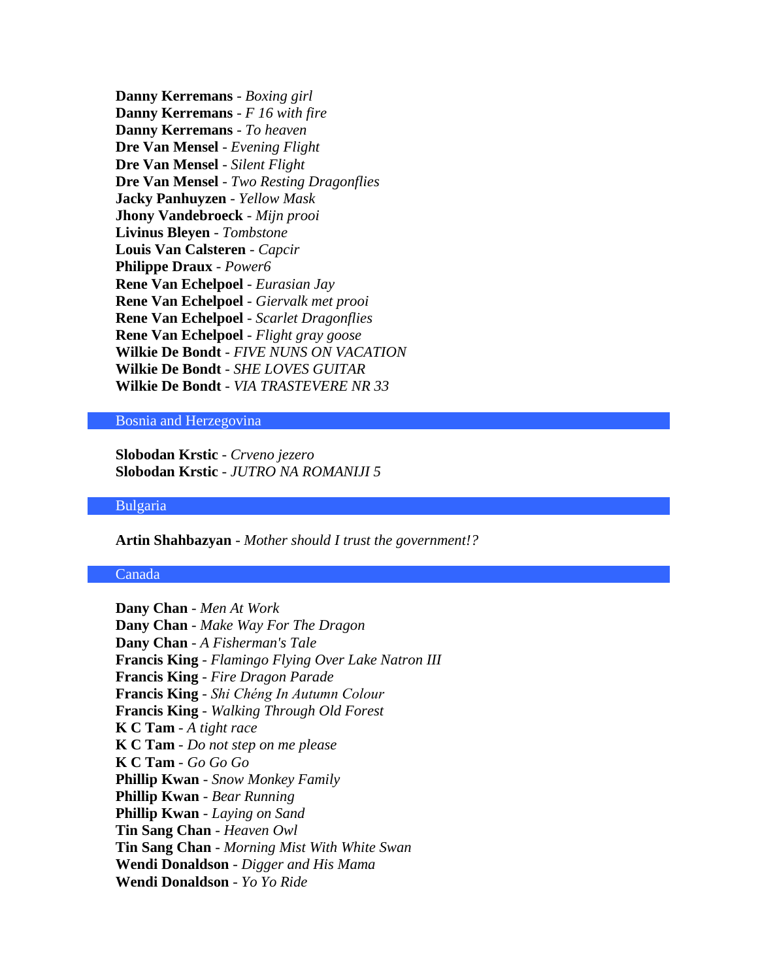**Danny Kerremans** - *Boxing girl* **Danny Kerremans** - *F 16 with fire* **Danny Kerremans** - *To heaven* **Dre Van Mensel** - *Evening Flight* **Dre Van Mensel** - *Silent Flight* **Dre Van Mensel** - *Two Resting Dragonflies* **Jacky Panhuyzen** - *Yellow Mask* **Jhony Vandebroeck** - *Mijn prooi* **Livinus Bleyen** - *Tombstone* **Louis Van Calsteren** - *Capcir* **Philippe Draux** - *Power6* **Rene Van Echelpoel** - *Eurasian Jay* **Rene Van Echelpoel** - *Giervalk met prooi* **Rene Van Echelpoel** - *Scarlet Dragonflies* **Rene Van Echelpoel** - *Flight gray goose* **Wilkie De Bondt** - *FIVE NUNS ON VACATION* **Wilkie De Bondt** - *SHE LOVES GUITAR* **Wilkie De Bondt** - *VIA TRASTEVERE NR 33*

### Bosnia and Herzegovina

**Slobodan Krstic** - *Crveno jezero* **Slobodan Krstic** - *JUTRO NA ROMANIJI 5*

#### Bulgaria

**Artin Shahbazyan** - *Mother should I trust the government!?*

## Canada

**Dany Chan** - *Men At Work* **Dany Chan** - *Make Way For The Dragon* **Dany Chan** - *A Fisherman's Tale* **Francis King** - *Flamingo Flying Over Lake Natron III* **Francis King** - *Fire Dragon Parade* **Francis King** - *Shi Chéng In Autumn Colour* **Francis King** - *Walking Through Old Forest* **K C Tam** - *A tight race* **K C Tam** - *Do not step on me please* **K C Tam** - *Go Go Go* **Phillip Kwan** - *Snow Monkey Family* **Phillip Kwan** - *Bear Running* **Phillip Kwan** - *Laying on Sand* **Tin Sang Chan** - *Heaven Owl* **Tin Sang Chan** - *Morning Mist With White Swan* **Wendi Donaldson** - *Digger and His Mama* **Wendi Donaldson** - *Yo Yo Ride*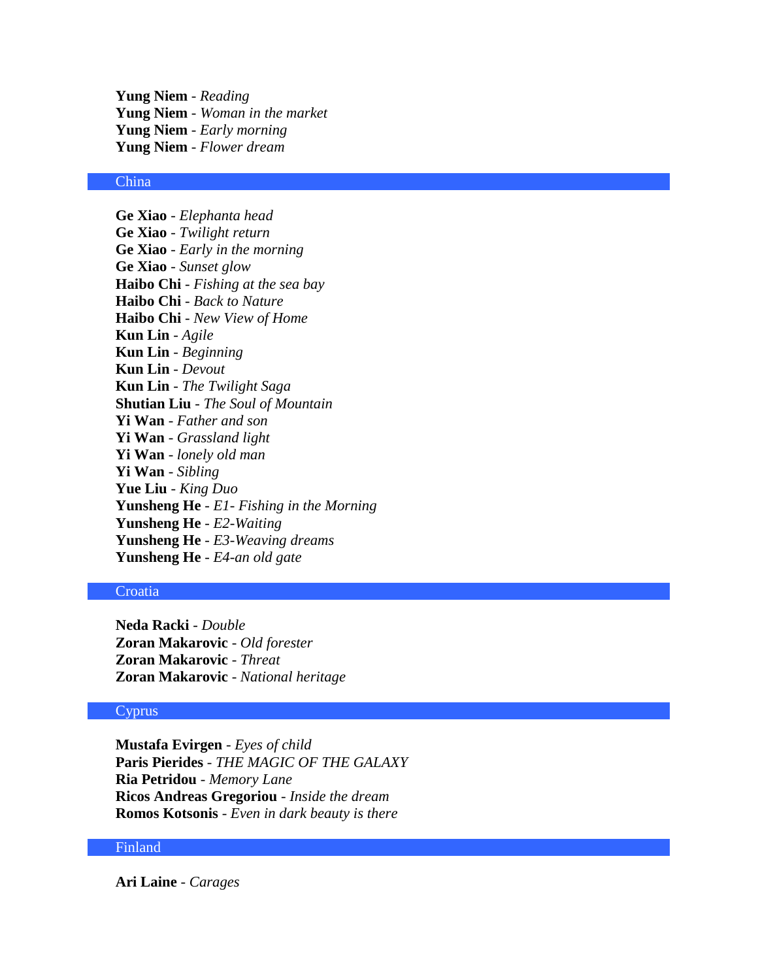**Yung Niem** - *Reading* **Yung Niem** - *Woman in the market* **Yung Niem** - *Early morning* **Yung Niem** - *Flower dream*

### China

**Ge Xiao** - *Elephanta head* **Ge Xiao** - *Twilight return* **Ge Xiao** - *Early in the morning* **Ge Xiao** - *Sunset glow* **Haibo Chi** - *Fishing at the sea bay* **Haibo Chi** - *Back to Nature* **Haibo Chi** - *New View of Home* **Kun Lin** - *Agile* **Kun Lin** - *Beginning* **Kun Lin** - *Devout* **Kun Lin** - *The Twilight Saga* **Shutian Liu** - *The Soul of Mountain* **Yi Wan** - *Father and son* **Yi Wan** - *Grassland light* **Yi Wan** - *lonely old man* **Yi Wan** - *Sibling* **Yue Liu** - *King Duo* **Yunsheng He** - *E1- Fishing in the Morning* **Yunsheng He** - *E2-Waiting* **Yunsheng He** - *E3-Weaving dreams* **Yunsheng He** - *E4-an old gate*

# **Croatia**

**Neda Racki** - *Double* **Zoran Makarovic** - *Old forester* **Zoran Makarovic** - *Threat* **Zoran Makarovic** - *National heritage*

### **Cyprus**

**Mustafa Evirgen** - *Eyes of child* **Paris Pierides** - *THE MAGIC OF THE GALAXY* **Ria Petridou** - *Memory Lane* **Ricos Andreas Gregoriou** - *Inside the dream* **Romos Kotsonis** - *Even in dark beauty is there*

# Finland

**Ari Laine** - *Carages*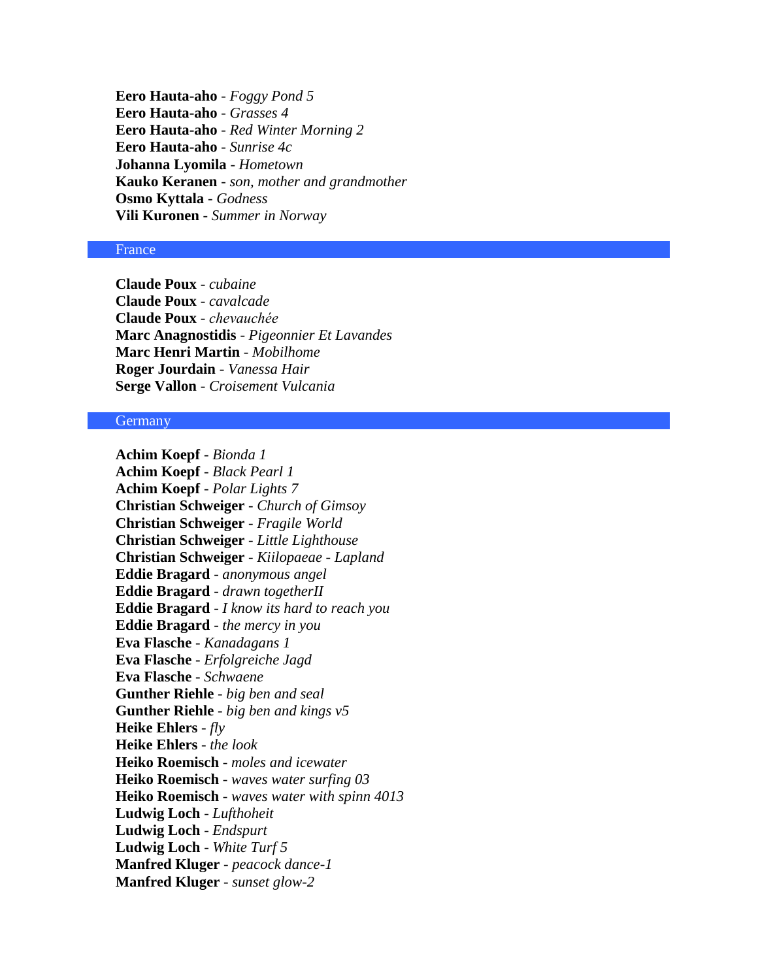**Eero Hauta-aho** - *Foggy Pond 5* **Eero Hauta-aho** - *Grasses 4* **Eero Hauta-aho** - *Red Winter Morning 2* **Eero Hauta-aho** - *Sunrise 4c* **Johanna Lyomila** - *Hometown* **Kauko Keranen** - *son, mother and grandmother* **Osmo Kyttala** - *Godness* **Vili Kuronen** - *Summer in Norway*

#### France

**Claude Poux** - *cubaine* **Claude Poux** - *cavalcade* **Claude Poux** - *chevauchée* **Marc Anagnostidis** - *Pigeonnier Et Lavandes* **Marc Henri Martin** - *Mobilhome* **Roger Jourdain** - *Vanessa Hair* **Serge Vallon** - *Croisement Vulcania*

# **Germany**

**Achim Koepf** - *Bionda 1* **Achim Koepf** - *Black Pearl 1* **Achim Koepf** - *Polar Lights 7* **Christian Schweiger** - *Church of Gimsoy* **Christian Schweiger** - *Fragile World* **Christian Schweiger** - *Little Lighthouse* **Christian Schweiger** - *Kiilopaeae - Lapland* **Eddie Bragard** - *anonymous angel* **Eddie Bragard** - *drawn togetherII* **Eddie Bragard** - *I know its hard to reach you* **Eddie Bragard** - *the mercy in you* **Eva Flasche** - *Kanadagans 1* **Eva Flasche** - *Erfolgreiche Jagd* **Eva Flasche** - *Schwaene* **Gunther Riehle** - *big ben and seal* **Gunther Riehle** - *big ben and kings v5* **Heike Ehlers** - *fly* **Heike Ehlers** - *the look* **Heiko Roemisch** - *moles and icewater* **Heiko Roemisch** - *waves water surfing 03* **Heiko Roemisch** - *waves water with spinn 4013* **Ludwig Loch** - *Lufthoheit* **Ludwig Loch** - *Endspurt* **Ludwig Loch** - *White Turf 5* **Manfred Kluger** - *peacock dance-1* **Manfred Kluger** - *sunset glow-2*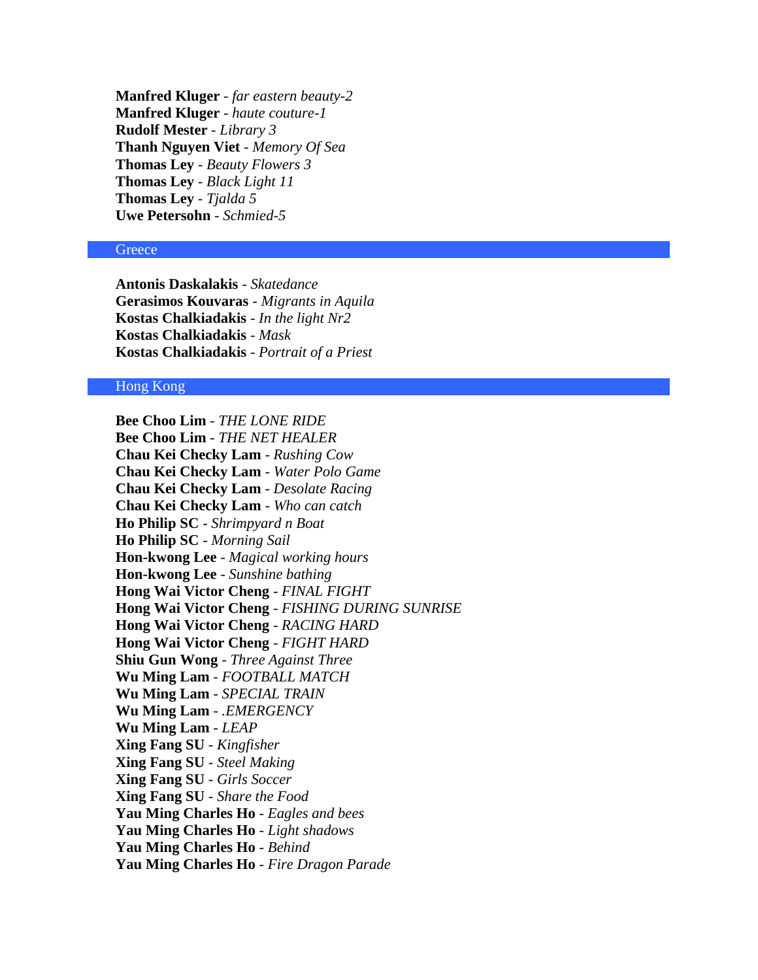**Manfred Kluger** - *far eastern beauty-2* **Manfred Kluger** - *haute couture-1* **Rudolf Mester** - *Library 3* **Thanh Nguyen Viet** - *Memory Of Sea* **Thomas Ley** - *Beauty Flowers 3* **Thomas Ley** - *Black Light 11* **Thomas Ley** - *Tjalda 5* **Uwe Petersohn** - *Schmied-5*

#### **Greece**

**Antonis Daskalakis** - *Skatedance* **Gerasimos Kouvaras** - *Migrants in Aquila* **Kostas Chalkiadakis** - *In the light Nr2* **Kostas Chalkiadakis** - *Mask* **Kostas Chalkiadakis** - *Portrait of a Priest*

# Hong Kong

**Bee Choo Lim** - *THE LONE RIDE* **Bee Choo Lim** - *THE NET HEALER* **Chau Kei Checky Lam** - *Rushing Cow* **Chau Kei Checky Lam** - *Water Polo Game* **Chau Kei Checky Lam** - *Desolate Racing* **Chau Kei Checky Lam** - *Who can catch* **Ho Philip SC** - *Shrimpyard n Boat* **Ho Philip SC** - *Morning Sail* **Hon-kwong Lee** - *Magical working hours* **Hon-kwong Lee** - *Sunshine bathing* **Hong Wai Victor Cheng** - *FINAL FIGHT* **Hong Wai Victor Cheng** - *FISHING DURING SUNRISE* **Hong Wai Victor Cheng** - *RACING HARD* **Hong Wai Victor Cheng** - *FIGHT HARD* **Shiu Gun Wong** - *Three Against Three* **Wu Ming Lam** - *FOOTBALL MATCH* **Wu Ming Lam** - *SPECIAL TRAIN* **Wu Ming Lam** - *.EMERGENCY* **Wu Ming Lam** - *LEAP* **Xing Fang SU** - *Kingfisher* **Xing Fang SU** - *Steel Making* **Xing Fang SU** - *Girls Soccer* **Xing Fang SU** - *Share the Food* **Yau Ming Charles Ho** - *Eagles and bees* **Yau Ming Charles Ho** - *Light shadows* **Yau Ming Charles Ho** - *Behind* **Yau Ming Charles Ho** - *Fire Dragon Parade*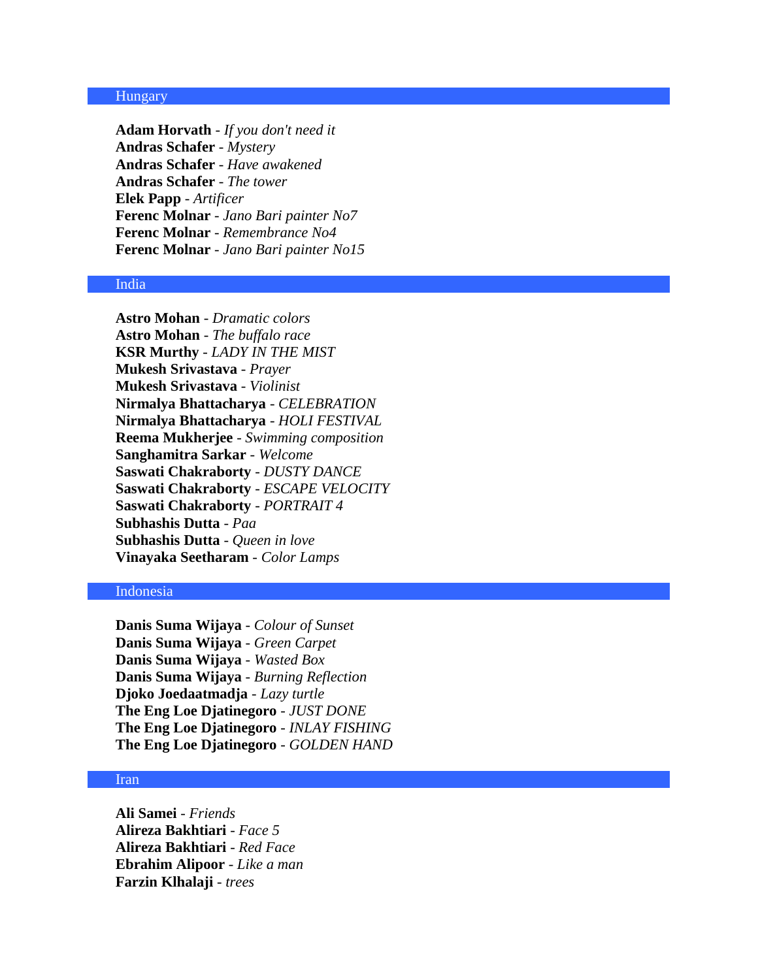## Hungary

**Adam Horvath** - *If you don't need it* **Andras Schafer** - *Mystery* **Andras Schafer** - *Have awakened* **Andras Schafer** - *The tower* **Elek Papp** - *Artificer* **Ferenc Molnar** - *Jano Bari painter No7* **Ferenc Molnar** - *Remembrance No4* **Ferenc Molnar** - *Jano Bari painter No15*

#### India

**Astro Mohan** - *Dramatic colors* **Astro Mohan** - *The buffalo race* **KSR Murthy** - *LADY IN THE MIST* **Mukesh Srivastava** - *Prayer* **Mukesh Srivastava** - *Violinist* **Nirmalya Bhattacharya** - *CELEBRATION* **Nirmalya Bhattacharya** - *HOLI FESTIVAL* **Reema Mukherjee** - *Swimming composition* **Sanghamitra Sarkar** - *Welcome* **Saswati Chakraborty** - *DUSTY DANCE* **Saswati Chakraborty** - *ESCAPE VELOCITY* **Saswati Chakraborty** - *PORTRAIT 4* **Subhashis Dutta** - *Paa* **Subhashis Dutta** - *Queen in love* **Vinayaka Seetharam** - *Color Lamps*

# Indonesia

**Danis Suma Wijaya** - *Colour of Sunset* **Danis Suma Wijaya** - *Green Carpet* **Danis Suma Wijaya** - *Wasted Box* **Danis Suma Wijaya** - *Burning Reflection* **Djoko Joedaatmadja** - *Lazy turtle* **The Eng Loe Djatinegoro** - *JUST DONE* **The Eng Loe Djatinegoro** - *INLAY FISHING* **The Eng Loe Djatinegoro** - *GOLDEN HAND*

#### Iran

**Ali Samei** - *Friends* **Alireza Bakhtiari** - *Face 5* **Alireza Bakhtiari** - *Red Face* **Ebrahim Alipoor** - *Like a man* **Farzin Klhalaji** - *trees*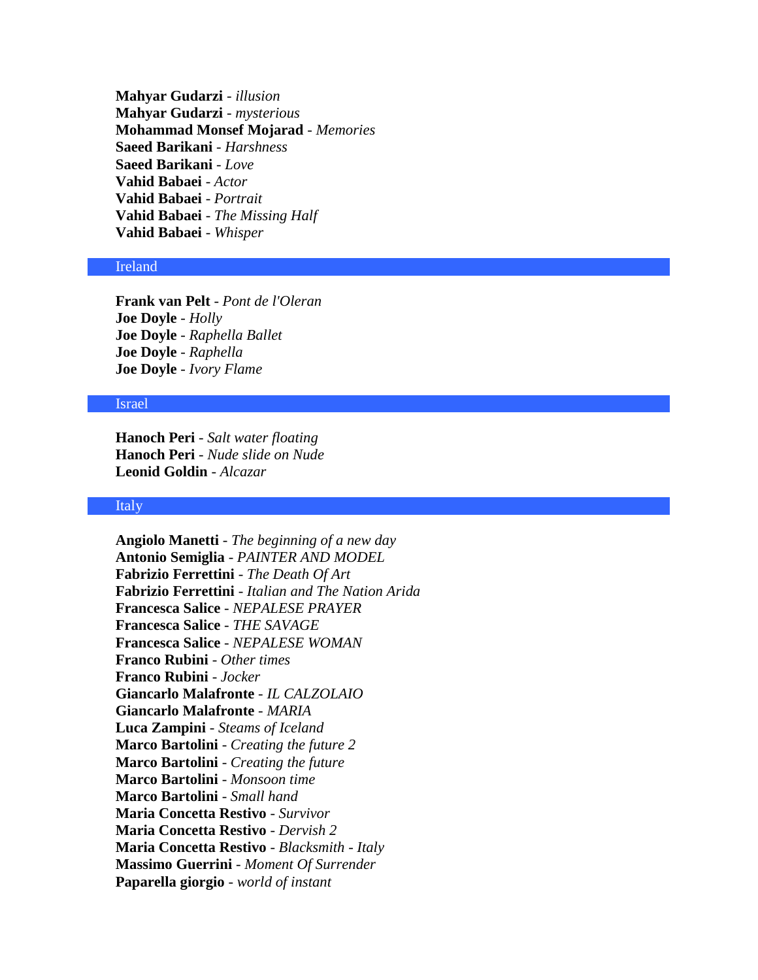**Mahyar Gudarzi** - *illusion* **Mahyar Gudarzi** - *mysterious* **Mohammad Monsef Mojarad** - *Memories* **Saeed Barikani** - *Harshness* **Saeed Barikani** - *Love* **Vahid Babaei** - *Actor* **Vahid Babaei** - *Portrait* **Vahid Babaei** - *The Missing Half* **Vahid Babaei** - *Whisper*

# Ireland

**Frank van Pelt** - *Pont de l'Oleran* **Joe Doyle** - *Holly* **Joe Doyle** - *Raphella Ballet* **Joe Doyle** - *Raphella* **Joe Doyle** - *Ivory Flame*

# Israel

**Hanoch Peri** - *Salt water floating* **Hanoch Peri** - *Nude slide on Nude* **Leonid Goldin** - *Alcazar*

#### **Italy**

**Angiolo Manetti** - *The beginning of a new day* **Antonio Semiglia** - *PAINTER AND MODEL* **Fabrizio Ferrettini** - *The Death Of Art* **Fabrizio Ferrettini** - *Italian and The Nation Arida* **Francesca Salice** - *NEPALESE PRAYER* **Francesca Salice** - *THE SAVAGE* **Francesca Salice** - *NEPALESE WOMAN* **Franco Rubini** - *Other times* **Franco Rubini** - *Jocker* **Giancarlo Malafronte** - *IL CALZOLAIO* **Giancarlo Malafronte** - *MARIA* **Luca Zampini** - *Steams of Iceland* **Marco Bartolini** - *Creating the future 2* **Marco Bartolini** - *Creating the future* **Marco Bartolini** - *Monsoon time* **Marco Bartolini** - *Small hand* **Maria Concetta Restivo** - *Survivor* **Maria Concetta Restivo** - *Dervish 2* **Maria Concetta Restivo** - *Blacksmith - Italy* **Massimo Guerrini** - *Moment Of Surrender* **Paparella giorgio** - *world of instant*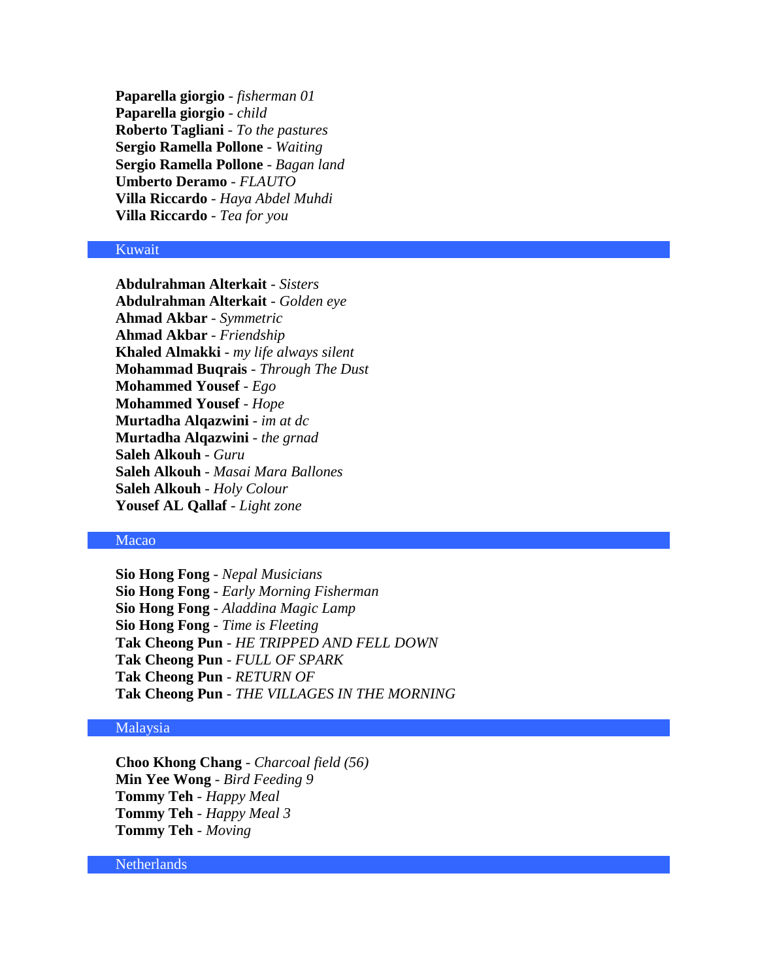**Paparella giorgio** - *fisherman 01* **Paparella giorgio** - *child* **Roberto Tagliani** - *To the pastures* **Sergio Ramella Pollone** - *Waiting* **Sergio Ramella Pollone** - *Bagan land* **Umberto Deramo** - *FLAUTO* **Villa Riccardo** - *Haya Abdel Muhdi* **Villa Riccardo** - *Tea for you*

# Kuwait

**Abdulrahman Alterkait** - *Sisters* **Abdulrahman Alterkait** - *Golden eye* **Ahmad Akbar** - *Symmetric* **Ahmad Akbar** - *Friendship* **Khaled Almakki** - *my life always silent* **Mohammad Buqrais** - *Through The Dust* **Mohammed Yousef** - *Ego* **Mohammed Yousef** - *Hope* **Murtadha Alqazwini** - *im at dc* **Murtadha Alqazwini** - *the grnad* **Saleh Alkouh** - *Guru* **Saleh Alkouh** - *Masai Mara Ballones* **Saleh Alkouh** - *Holy Colour* **Yousef AL Qallaf** - *Light zone*

# Macao

**Sio Hong Fong** - *Nepal Musicians* **Sio Hong Fong** - *Early Morning Fisherman* **Sio Hong Fong** - *Aladdina Magic Lamp* **Sio Hong Fong** - *Time is Fleeting* **Tak Cheong Pun** - *HE TRIPPED AND FELL DOWN* **Tak Cheong Pun** - *FULL OF SPARK* **Tak Cheong Pun** - *RETURN OF* **Tak Cheong Pun** - *THE VILLAGES IN THE MORNING*

# Malaysia

**Choo Khong Chang** - *Charcoal field (56)* **Min Yee Wong** - *Bird Feeding 9* **Tommy Teh** - *Happy Meal* **Tommy Teh** - *Happy Meal 3* **Tommy Teh** - *Moving*

**Netherlands**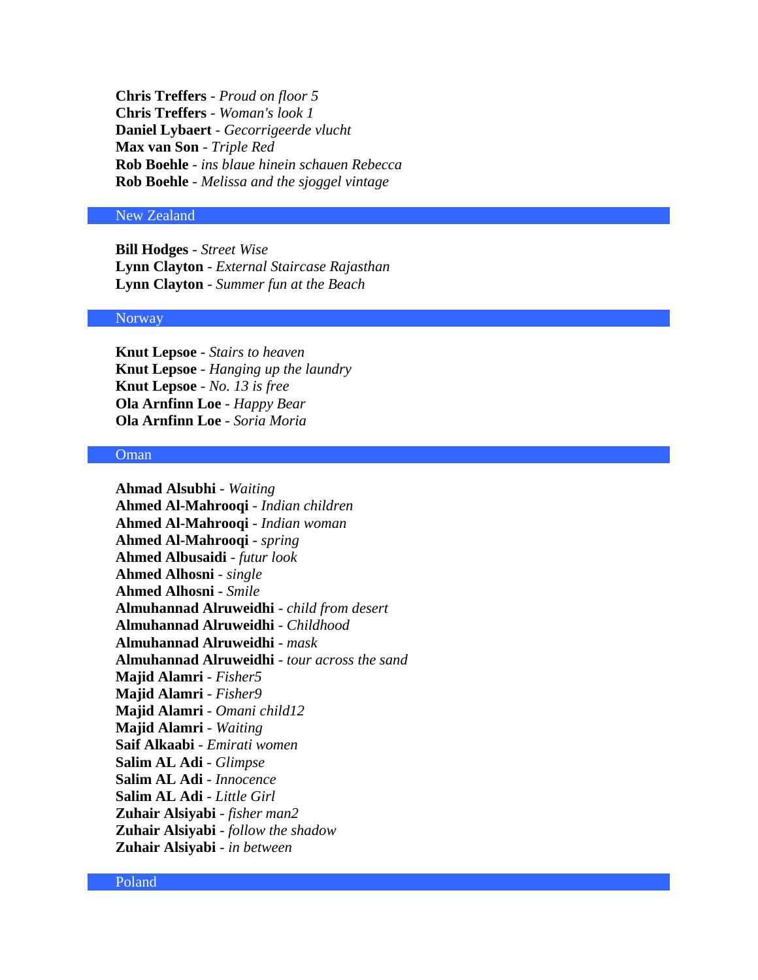**Chris Treffers** - *Proud on floor 5* **Chris Treffers** - *Woman's look 1* **Daniel Lybaert** - *Gecorrigeerde vlucht* **Max van Son** - *Triple Red* **Rob Boehle** - *ins blaue hinein schauen Rebecca* **Rob Boehle** - *Melissa and the sjoggel vintage*

# New Zealand

**Bill Hodges** - *Street Wise* **Lynn Clayton** - *External Staircase Rajasthan* **Lynn Clayton** - *Summer fun at the Beach*

### Norway

**Knut Lepsoe** - *Stairs to heaven* **Knut Lepsoe** - *Hanging up the laundry* **Knut Lepsoe** - *No. 13 is free* **Ola Arnfinn Loe** - *Happy Bear* **Ola Arnfinn Loe** - *Soria Moria*

## Oman

**Ahmad Alsubhi** - *Waiting* **Ahmed Al-Mahrooqi** - *Indian children* **Ahmed Al-Mahrooqi** - *Indian woman* **Ahmed Al-Mahrooqi** - *spring* **Ahmed Albusaidi** - *futur look* **Ahmed Alhosni** - *single* **Ahmed Alhosni** - *Smile* **Almuhannad Alruweidhi** - *child from desert* **Almuhannad Alruweidhi** - *Childhood* **Almuhannad Alruweidhi** - *mask* **Almuhannad Alruweidhi** - *tour across the sand* **Majid Alamri** - *Fisher5* **Majid Alamri** - *Fisher9* **Majid Alamri** - *Omani child12* **Majid Alamri** - *Waiting* **Saif Alkaabi** - *Emirati women* **Salim AL Adi** - *Glimpse* **Salim AL Adi** - *Innocence* **Salim AL Adi** - *Little Girl* **Zuhair Alsiyabi** - *fisher man2* **Zuhair Alsiyabi** - *follow the shadow* **Zuhair Alsiyabi** - *in between*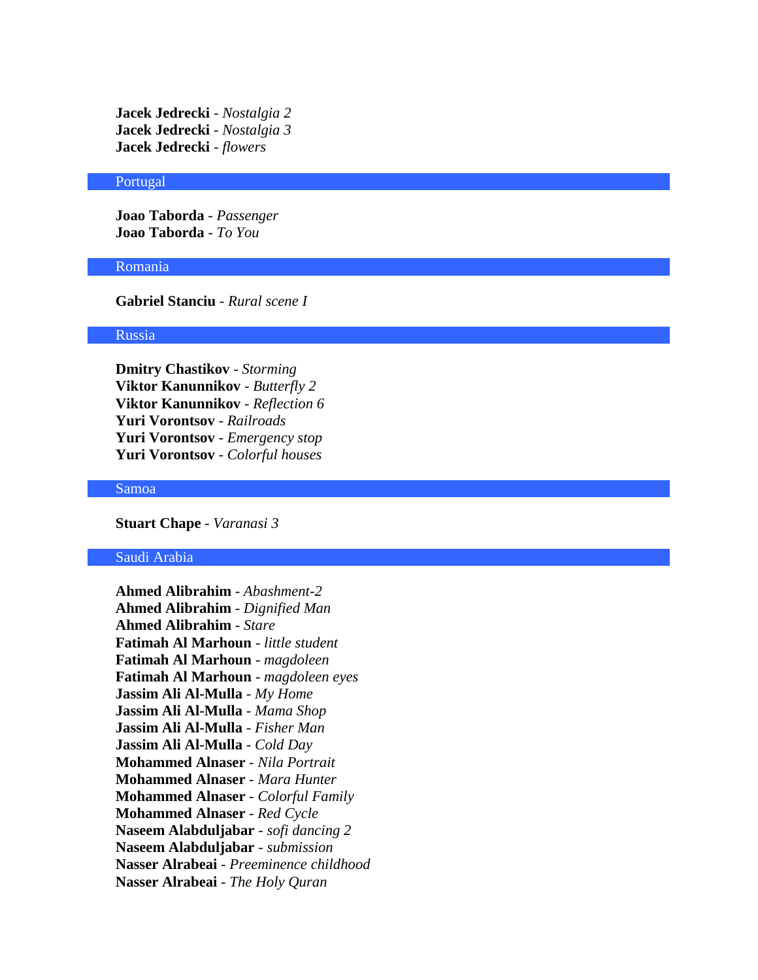**Jacek Jedrecki** - *Nostalgia 2* **Jacek Jedrecki** - *Nostalgia 3* **Jacek Jedrecki** - *flowers*

#### Portugal

**Joao Taborda** - *Passenger* **Joao Taborda** - *To You*

### Romania

**Gabriel Stanciu** - *Rural scene I*

## Russia

**Dmitry Chastikov** - *Storming* **Viktor Kanunnikov** - *Butterfly 2* **Viktor Kanunnikov** - *Reflection 6* **Yuri Vorontsov** - *Railroads* **Yuri Vorontsov** - *Emergency stop* **Yuri Vorontsov** - *Colorful houses*

#### Samoa

# **Stuart Chape** - *Varanasi 3*

# Saudi Arabia

**Ahmed Alibrahim** - *Abashment-2* **Ahmed Alibrahim** - *Dignified Man* **Ahmed Alibrahim** - *Stare* **Fatimah Al Marhoun** - *little student* **Fatimah Al Marhoun** - *magdoleen* **Fatimah Al Marhoun** - *magdoleen eyes* **Jassim Ali Al-Mulla** - *My Home* **Jassim Ali Al-Mulla** - *Mama Shop* **Jassim Ali Al-Mulla** - *Fisher Man* **Jassim Ali Al-Mulla** - *Cold Day* **Mohammed Alnaser** - *Nila Portrait* **Mohammed Alnaser** - *Mara Hunter* **Mohammed Alnaser** - *Colorful Family* **Mohammed Alnaser** - *Red Cycle* **Naseem Alabduljabar** - *sofi dancing 2* **Naseem Alabduljabar** - *submission* **Nasser Alrabeai** - *Preeminence childhood* **Nasser Alrabeai** - *The Holy Quran*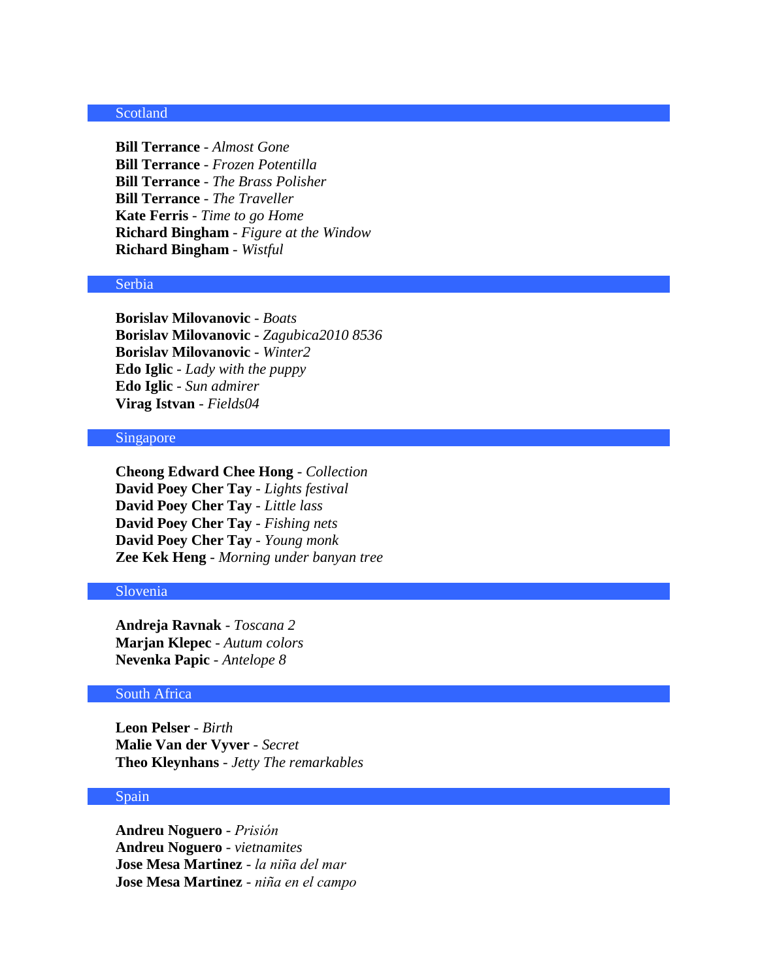## Scotland

**Bill Terrance** - *Almost Gone* **Bill Terrance** - *Frozen Potentilla* **Bill Terrance** - *The Brass Polisher* **Bill Terrance** - *The Traveller* **Kate Ferris** - *Time to go Home* **Richard Bingham** - *Figure at the Window* **Richard Bingham** - *Wistful*

#### Serbia

**Borislav Milovanovic** - *Boats* **Borislav Milovanovic** - *Zagubica2010 8536* **Borislav Milovanovic** - *Winter2* **Edo Iglic** - *Lady with the puppy* **Edo Iglic** - *Sun admirer* **Virag Istvan** - *Fields04*

### Singapore

**Cheong Edward Chee Hong** - *Collection* **David Poey Cher Tay** - *Lights festival* **David Poey Cher Tay** - *Little lass* **David Poey Cher Tay** - *Fishing nets* **David Poey Cher Tay** - *Young monk* **Zee Kek Heng** - *Morning under banyan tree*

### Slovenia

**Andreja Ravnak** - *Toscana 2* **Marjan Klepec** - *Autum colors* **Nevenka Papic** - *Antelope 8*

# South Africa

**Leon Pelser** - *Birth* **Malie Van der Vyver** - *Secret* **Theo Kleynhans** - *Jetty The remarkables*

### Spain

**Andreu Noguero** - *Prisión* **Andreu Noguero** - *vietnamites* **Jose Mesa Martinez** - *la niña del mar* **Jose Mesa Martinez** - *niña en el campo*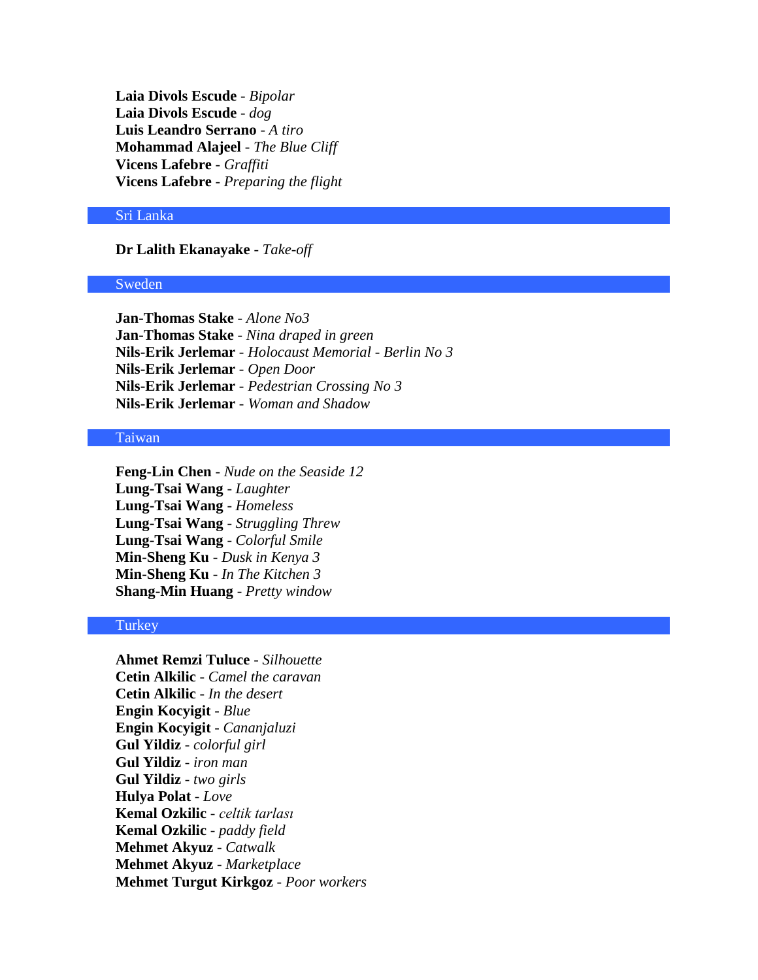**Laia Divols Escude** - *Bipolar* **Laia Divols Escude** - *dog* **Luis Leandro Serrano** - *A tiro* **Mohammad Alajeel** - *The Blue Cliff* **Vicens Lafebre** - *Graffiti* **Vicens Lafebre** - *Preparing the flight*

# Sri Lanka

# **Dr Lalith Ekanayake** - *Take-off*

#### Sweden

**Jan-Thomas Stake** - *Alone No3* **Jan-Thomas Stake** - *Nina draped in green* **Nils-Erik Jerlemar** - *Holocaust Memorial - Berlin No 3* **Nils-Erik Jerlemar** - *Open Door* **Nils-Erik Jerlemar** - *Pedestrian Crossing No 3* **Nils-Erik Jerlemar** - *Woman and Shadow*

# Taiwan

**Feng-Lin Chen** - *Nude on the Seaside 12* **Lung-Tsai Wang** - *Laughter* **Lung-Tsai Wang** - *Homeless* **Lung-Tsai Wang** - *Struggling Threw* **Lung-Tsai Wang** - *Colorful Smile* **Min-Sheng Ku** - *Dusk in Kenya 3* **Min-Sheng Ku** - *In The Kitchen 3* **Shang-Min Huang** - *Pretty window*

# **Turkey**

**Ahmet Remzi Tuluce** - *Silhouette* **Cetin Alkilic** - *Camel the caravan* **Cetin Alkilic** - *In the desert* **Engin Kocyigit** - *Blue* **Engin Kocyigit** - *Cananjaluzi* **Gul Yildiz** - *colorful girl* **Gul Yildiz** - *iron man* **Gul Yildiz** - *two girls* **Hulya Polat** - *Love* **Kemal Ozkilic** - *celtik tarlası* **Kemal Ozkilic** - *paddy field* **Mehmet Akyuz** - *Catwalk* **Mehmet Akyuz** - *Marketplace* **Mehmet Turgut Kirkgoz** - *Poor workers*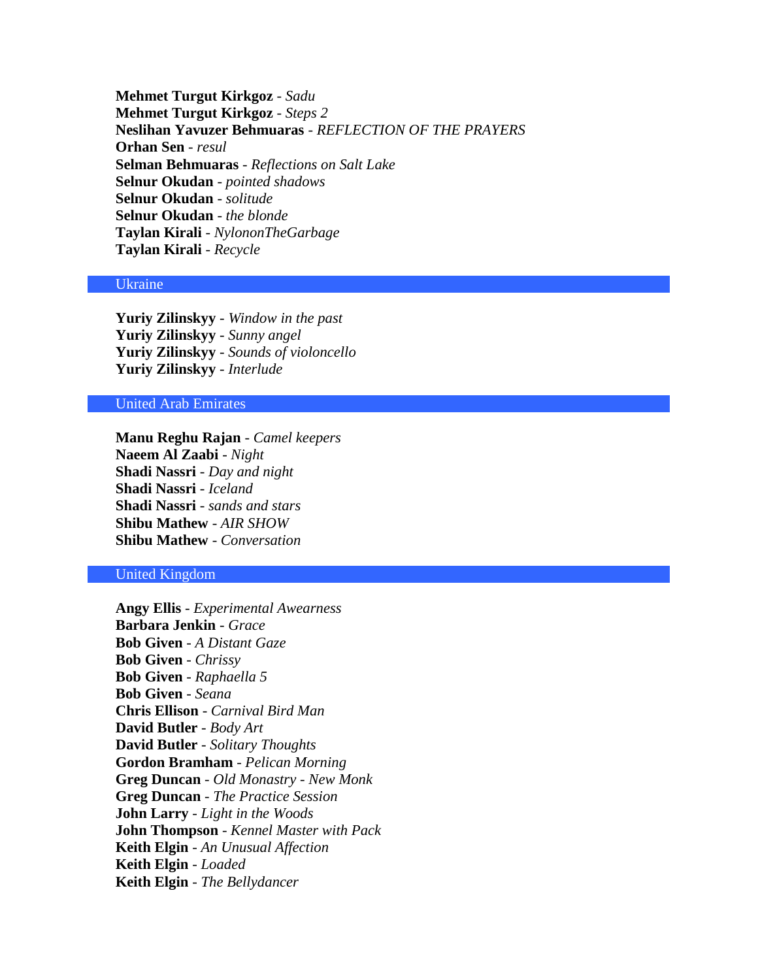**Mehmet Turgut Kirkgoz** - *Sadu* **Mehmet Turgut Kirkgoz** - *Steps 2* **Neslihan Yavuzer Behmuaras** - *REFLECTION OF THE PRAYERS* **Orhan Sen** - *resul* **Selman Behmuaras** - *Reflections on Salt Lake* **Selnur Okudan** - *pointed shadows* **Selnur Okudan** - *solitude* **Selnur Okudan** - *the blonde* **Taylan Kirali** - *NylononTheGarbage* **Taylan Kirali** - *Recycle*

#### Ukraine

**Yuriy Zilinskyy** - *Window in the past* **Yuriy Zilinskyy** - *Sunny angel* **Yuriy Zilinskyy** - *Sounds of violoncello* **Yuriy Zilinskyy** - *Interlude*

# United Arab Emirates

**Manu Reghu Rajan** - *Camel keepers* **Naeem Al Zaabi** - *Night* **Shadi Nassri** - *Day and night* **Shadi Nassri** - *Iceland* **Shadi Nassri** - *sands and stars* **Shibu Mathew** - *AIR SHOW* **Shibu Mathew** - *Conversation*

# United Kingdom

**Angy Ellis** - *Experimental Awearness* **Barbara Jenkin** - *Grace* **Bob Given** - *A Distant Gaze* **Bob Given** - *Chrissy* **Bob Given** - *Raphaella 5* **Bob Given** - *Seana* **Chris Ellison** - *Carnival Bird Man* **David Butler** - *Body Art* **David Butler** - *Solitary Thoughts* **Gordon Bramham** - *Pelican Morning* **Greg Duncan** - *Old Monastry - New Monk* **Greg Duncan** - *The Practice Session* **John Larry** - *Light in the Woods* **John Thompson** - *Kennel Master with Pack* **Keith Elgin** - *An Unusual Affection* **Keith Elgin** - *Loaded* **Keith Elgin** - *The Bellydancer*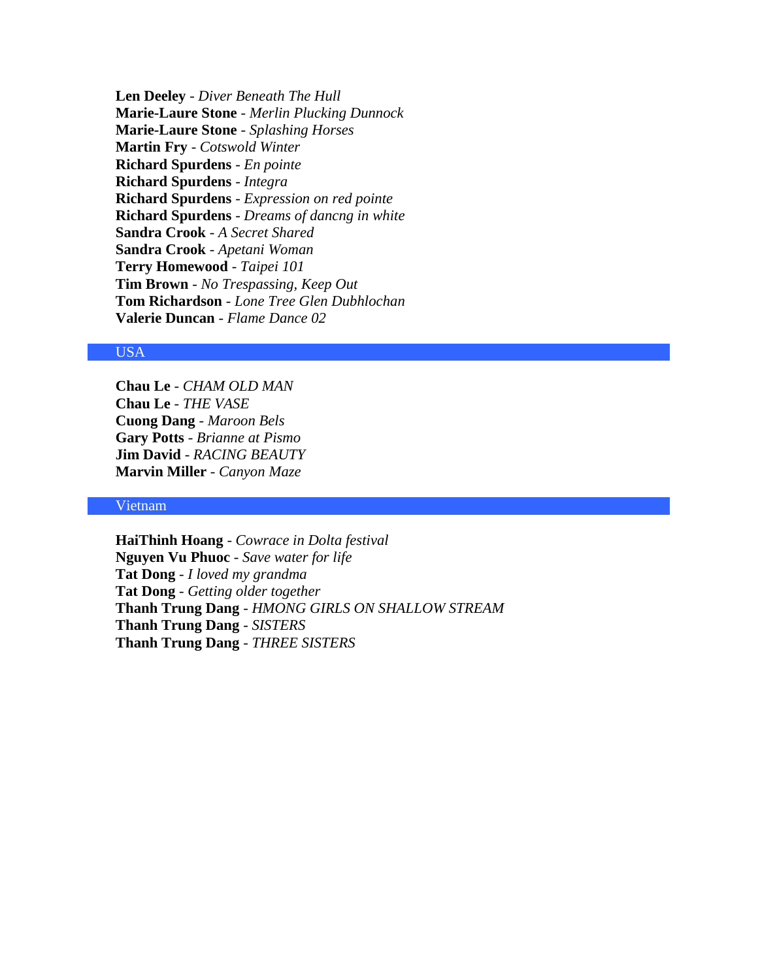**Len Deeley** - *Diver Beneath The Hull* **Marie-Laure Stone** - *Merlin Plucking Dunnock* **Marie-Laure Stone** - *Splashing Horses* **Martin Fry** - *Cotswold Winter* **Richard Spurdens** - *En pointe* **Richard Spurdens** - *Integra* **Richard Spurdens** - *Expression on red pointe* **Richard Spurdens** - *Dreams of dancng in white* **Sandra Crook** - *A Secret Shared* **Sandra Crook** - *Apetani Woman* **Terry Homewood** - *Taipei 101* **Tim Brown** - *No Trespassing, Keep Out* **Tom Richardson** - *Lone Tree Glen Dubhlochan* **Valerie Duncan** - *Flame Dance 02*

# USA

**Chau Le** - *CHAM OLD MAN* **Chau Le** - *THE VASE* **Cuong Dang** - *Maroon Bels* **Gary Potts** - *Brianne at Pismo* **Jim David** - *RACING BEAUTY* **Marvin Miller** - *Canyon Maze*

### Vietnam

**HaiThinh Hoang** - *Cowrace in Dolta festival* **Nguyen Vu Phuoc** - *Save water for life* **Tat Dong** - *I loved my grandma* **Tat Dong** - *Getting older together* **Thanh Trung Dang** - *HMONG GIRLS ON SHALLOW STREAM* **Thanh Trung Dang** - *SISTERS* **Thanh Trung Dang** - *THREE SISTERS*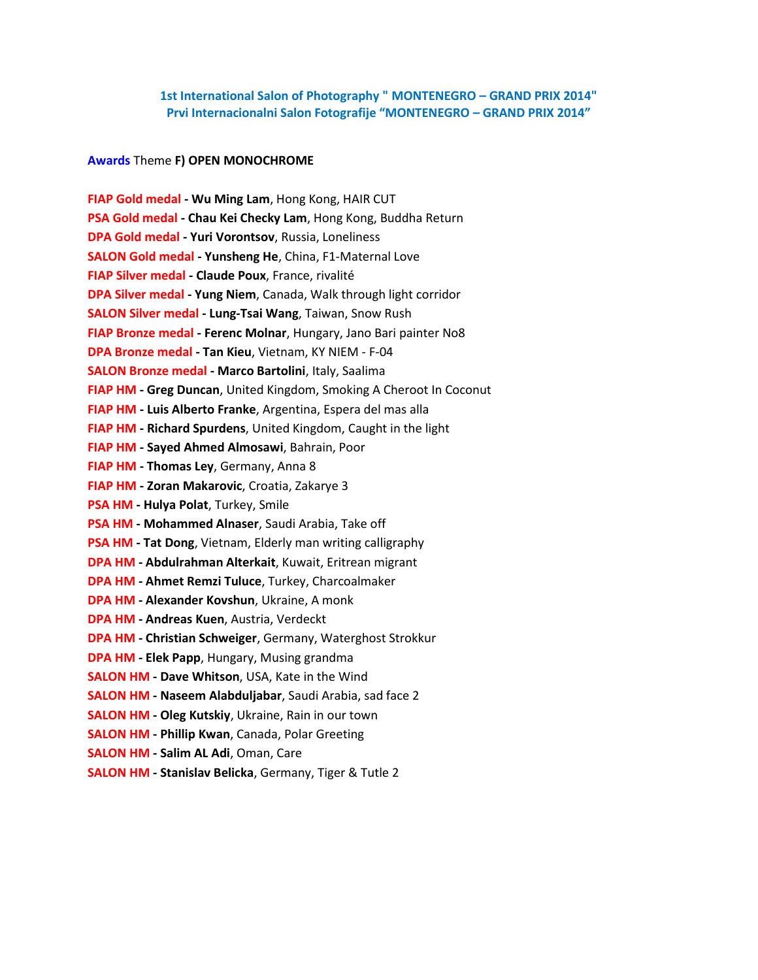# **1st International Salon of Photography " MONTENEGRO – GRAND PRIX 2014" Prvi Internacionalni Salon Fotografije "MONTENEGRO – GRAND PRIX 2014"**

# **Awards** Theme **F) OPEN MONOCHROME**

| FIAP Gold medal - Wu Ming Lam, Hong Kong, HAIR CUT                  |
|---------------------------------------------------------------------|
| PSA Gold medal - Chau Kei Checky Lam, Hong Kong, Buddha Return      |
| DPA Gold medal - Yuri Vorontsov, Russia, Loneliness                 |
| <b>SALON Gold medal - Yunsheng He, China, F1-Maternal Love</b>      |
| FIAP Silver medal - Claude Poux, France, rivalité                   |
| DPA Silver medal - Yung Niem, Canada, Walk through light corridor   |
| <b>SALON Silver medal - Lung-Tsai Wang</b> , Taiwan, Snow Rush      |
| FIAP Bronze medal - Ferenc Molnar, Hungary, Jano Bari painter No8   |
| DPA Bronze medal - Tan Kieu, Vietnam, KY NIEM - F-04                |
| <b>SALON Bronze medal - Marco Bartolini</b> , Italy, Saalima        |
| FIAP HM - Greg Duncan, United Kingdom, Smoking A Cheroot In Coconut |
| FIAP HM - Luis Alberto Franke, Argentina, Espera del mas alla       |
| FIAP HM - Richard Spurdens, United Kingdom, Caught in the light     |
| FIAP HM - Sayed Ahmed Almosawi, Bahrain, Poor                       |
| FIAP HM - Thomas Ley, Germany, Anna 8                               |
| FIAP HM - Zoran Makarovic, Croatia, Zakarye 3                       |
| PSA HM - Hulya Polat, Turkey, Smile                                 |
| PSA HM - Mohammed Alnaser, Saudi Arabia, Take off                   |
| PSA HM - Tat Dong, Vietnam, Elderly man writing calligraphy         |
| DPA HM - Abdulrahman Alterkait, Kuwait, Eritrean migrant            |
| <b>DPA HM - Ahmet Remzi Tuluce, Turkey, Charcoalmaker</b>           |
| DPA HM - Alexander Kovshun, Ukraine, A monk                         |
| DPA HM - Andreas Kuen, Austria, Verdeckt                            |
| <b>DPA HM - Christian Schweiger, Germany, Waterghost Strokkur</b>   |
| <b>DPA HM - Elek Papp</b> , Hungary, Musing grandma                 |
| <b>SALON HM - Dave Whitson, USA, Kate in the Wind</b>               |
| <b>SALON HM - Naseem Alabduljabar</b> , Saudi Arabia, sad face 2    |
| <b>SALON HM - Oleg Kutskiy, Ukraine, Rain in our town</b>           |
| <b>SALON HM - Phillip Kwan, Canada, Polar Greeting</b>              |
| <b>SALON HM - Salim AL Adi, Oman, Care</b>                          |
| <b>SALON HM - Stanislav Belicka, Germany, Tiger &amp; Tutle 2</b>   |
|                                                                     |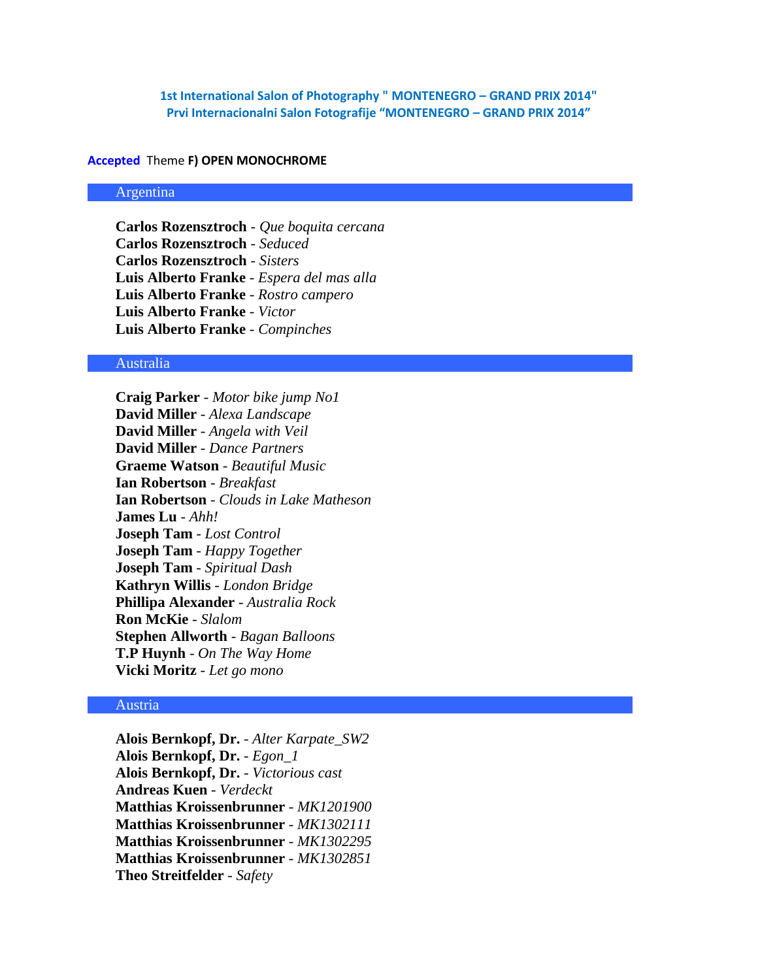**1st International Salon of Photography " MONTENEGRO – GRAND PRIX 2014" Prvi Internacionalni Salon Fotografije "MONTENEGRO – GRAND PRIX 2014"**

#### **Accepted** Theme **F) OPEN MONOCHROME**

### Argentina

**Carlos Rozensztroch** - *Que boquita cercana* **Carlos Rozensztroch** - *Seduced* **Carlos Rozensztroch** - *Sisters* **Luis Alberto Franke** - *Espera del mas alla* **Luis Alberto Franke** - *Rostro campero* **Luis Alberto Franke** - *Victor* **Luis Alberto Franke** - *Compinches*

#### Australia

**Craig Parker** - *Motor bike jump No1* **David Miller** - *Alexa Landscape* **David Miller** - *Angela with Veil* **David Miller** - *Dance Partners* **Graeme Watson** - *Beautiful Music* **Ian Robertson** - *Breakfast* **Ian Robertson** - *Clouds in Lake Matheson* **James Lu** - *Ahh!* **Joseph Tam** - *Lost Control* **Joseph Tam** - *Happy Together* **Joseph Tam** - *Spiritual Dash* **Kathryn Willis** - *London Bridge* **Phillipa Alexander** - *Australia Rock* **Ron McKie** - *Slalom* **Stephen Allworth** - *Bagan Balloons* **T.P Huynh** - *On The Way Home* **Vicki Moritz** - *Let go mono*

#### Austria

**Alois Bernkopf, Dr.** - *Alter Karpate\_SW2* **Alois Bernkopf, Dr.** - *Egon\_1* **Alois Bernkopf, Dr.** - *Victorious cast* **Andreas Kuen** - *Verdeckt* **Matthias Kroissenbrunner** - *MK1201900* **Matthias Kroissenbrunner** - *MK1302111* **Matthias Kroissenbrunner** - *MK1302295* **Matthias Kroissenbrunner** - *MK1302851* **Theo Streitfelder** - *Safety*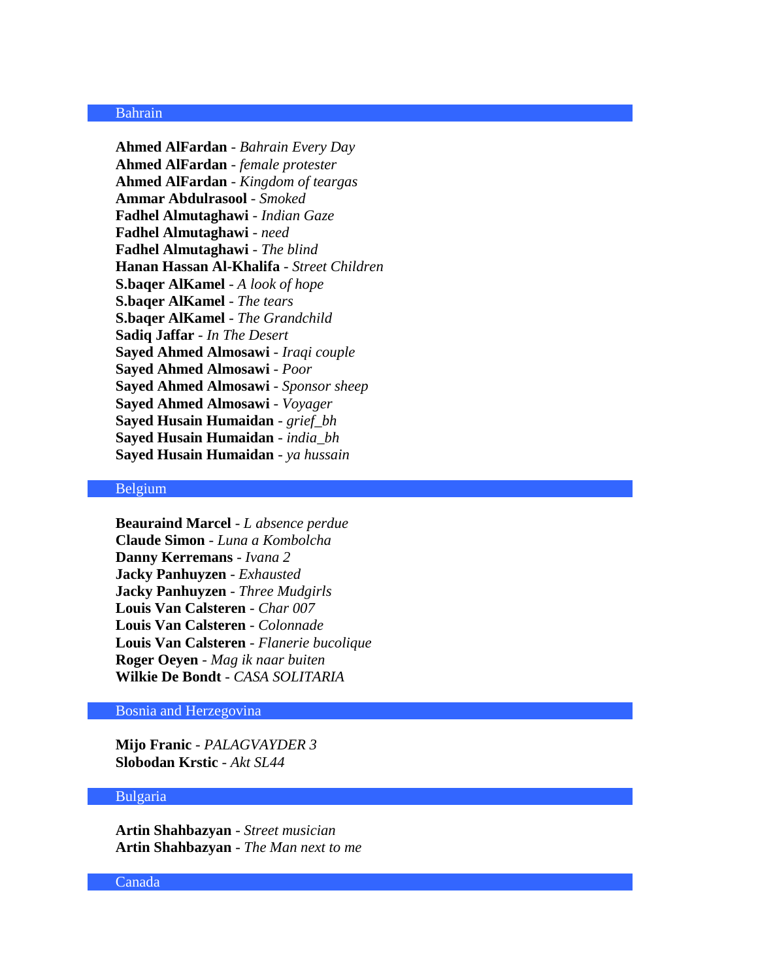#### Bahrain

**Ahmed AlFardan** - *Bahrain Every Day* **Ahmed AlFardan** - *female protester* **Ahmed AlFardan** - *Kingdom of teargas* **Ammar Abdulrasool** - *Smoked* **Fadhel Almutaghawi** - *Indian Gaze* **Fadhel Almutaghawi** - *need* **Fadhel Almutaghawi** - *The blind* **Hanan Hassan Al-Khalifa** - *Street Children* **S.baqer AlKamel** - *A look of hope* **S.baqer AlKamel** - *The tears* **S.baqer AlKamel** - *The Grandchild* **Sadiq Jaffar** - *In The Desert* **Sayed Ahmed Almosawi** - *Iraqi couple* **Sayed Ahmed Almosawi** - *Poor* **Sayed Ahmed Almosawi** - *Sponsor sheep* **Sayed Ahmed Almosawi** - *Voyager* **Sayed Husain Humaidan** - *grief\_bh* **Sayed Husain Humaidan** - *india\_bh* **Sayed Husain Humaidan** - *ya hussain*

# Belgium

**Beauraind Marcel** - *L absence perdue* **Claude Simon** - *Luna a Kombolcha* **Danny Kerremans** - *Ivana 2* **Jacky Panhuyzen** - *Exhausted* **Jacky Panhuyzen** - *Three Mudgirls* **Louis Van Calsteren** - *Char 007* **Louis Van Calsteren** - *Colonnade* **Louis Van Calsteren** - *Flanerie bucolique* **Roger Oeyen** - *Mag ik naar buiten* **Wilkie De Bondt** - *CASA SOLITARIA*

# Bosnia and Herzegovina

**Mijo Franic** - *PALAGVAYDER 3* **Slobodan Krstic** - *Akt SL44*

## Bulgaria

**Artin Shahbazyan** - *Street musician* **Artin Shahbazyan** - *The Man next to me*

Canada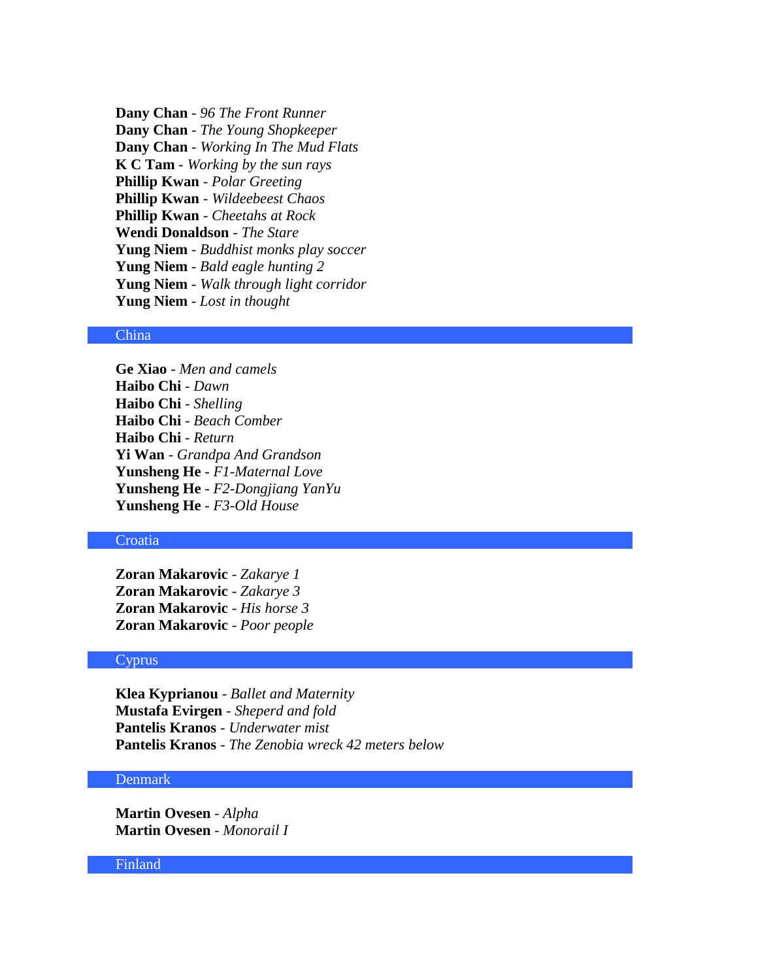**Dany Chan** - *96 The Front Runner* **Dany Chan** - *The Young Shopkeeper* **Dany Chan** - *Working In The Mud Flats* **K C Tam** - *Working by the sun rays* **Phillip Kwan** - *Polar Greeting* **Phillip Kwan** - *Wildeebeest Chaos* **Phillip Kwan** - *Cheetahs at Rock* **Wendi Donaldson** - *The Stare* **Yung Niem** - *Buddhist monks play soccer* **Yung Niem** - *Bald eagle hunting 2* **Yung Niem** - *Walk through light corridor* **Yung Niem** - *Lost in thought*

# China

**Ge Xiao** - *Men and camels* **Haibo Chi** - *Dawn* **Haibo Chi** - *Shelling* **Haibo Chi** - *Beach Comber* **Haibo Chi** - *Return* **Yi Wan** - *Grandpa And Grandson* **Yunsheng He** - *F1-Maternal Love* **Yunsheng He** - *F2-Dongjiang YanYu* **Yunsheng He** - *F3-Old House*

# **Croatia**

**Zoran Makarovic** - *Zakarye 1* **Zoran Makarovic** - *Zakarye 3* **Zoran Makarovic** - *His horse 3* **Zoran Makarovic** - *Poor people*

#### **Cyprus**

**Klea Kyprianou** - *Ballet and Maternity* **Mustafa Evirgen** - *Sheperd and fold* **Pantelis Kranos** - *Underwater mist* **Pantelis Kranos** - *The Zenobia wreck 42 meters below*

### Denmark

**Martin Ovesen** - *Alpha* **Martin Ovesen** - *Monorail I*

#### Finland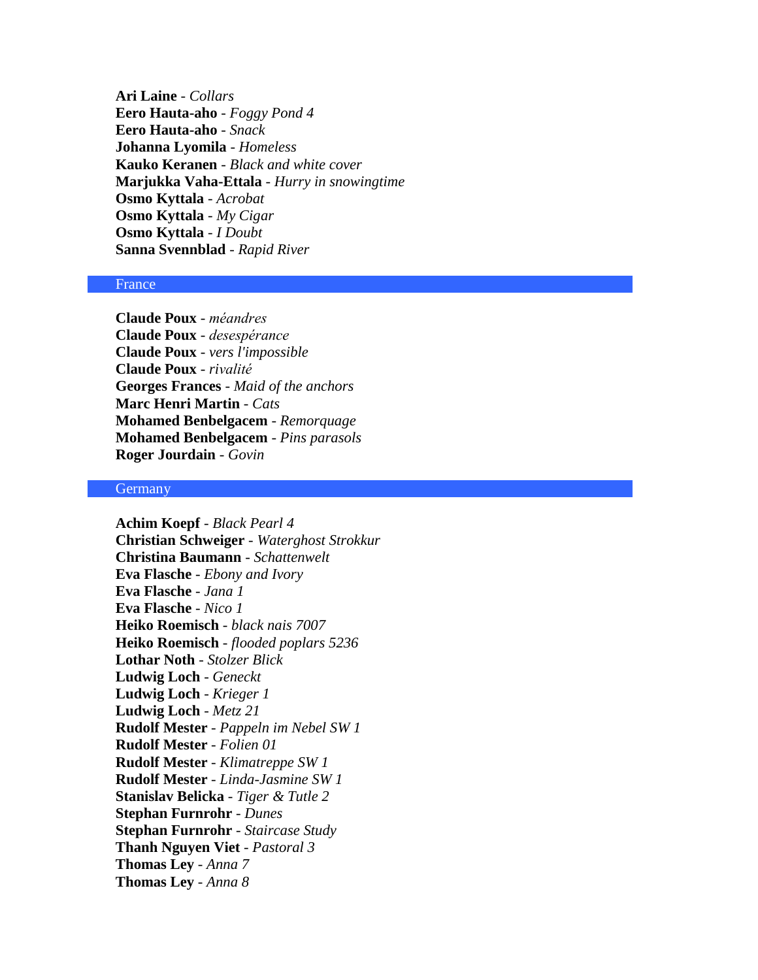**Ari Laine** - *Collars* **Eero Hauta-aho** - *Foggy Pond 4* **Eero Hauta-aho** - *Snack* **Johanna Lyomila** - *Homeless* **Kauko Keranen** - *Black and white cover* **Marjukka Vaha-Ettala** - *Hurry in snowingtime* **Osmo Kyttala** - *Acrobat* **Osmo Kyttala** - *My Cigar* **Osmo Kyttala** - *I Doubt* **Sanna Svennblad** - *Rapid River*

#### France

**Claude Poux** - *méandres* **Claude Poux** - *desespérance* **Claude Poux** - *vers l'impossible* **Claude Poux** - *rivalité* **Georges Frances** - *Maid of the anchors* **Marc Henri Martin** - *Cats* **Mohamed Benbelgacem** - *Remorquage* **Mohamed Benbelgacem** - *Pins parasols* **Roger Jourdain** - *Govin*

## **Germany**

**Achim Koepf** - *Black Pearl 4* **Christian Schweiger** - *Waterghost Strokkur* **Christina Baumann** - *Schattenwelt* **Eva Flasche** - *Ebony and Ivory* **Eva Flasche** - *Jana 1* **Eva Flasche** - *Nico 1* **Heiko Roemisch** - *black nais 7007* **Heiko Roemisch** - *flooded poplars 5236* **Lothar Noth** - *Stolzer Blick* **Ludwig Loch** - *Geneckt* **Ludwig Loch** - *Krieger 1* **Ludwig Loch** - *Metz 21* **Rudolf Mester** - *Pappeln im Nebel SW 1* **Rudolf Mester** - *Folien 01* **Rudolf Mester** - *Klimatreppe SW 1* **Rudolf Mester** - *Linda-Jasmine SW 1* **Stanislav Belicka** - *Tiger & Tutle 2* **Stephan Furnrohr** - *Dunes* **Stephan Furnrohr** - *Staircase Study* **Thanh Nguyen Viet** - *Pastoral 3* **Thomas Ley** - *Anna 7* **Thomas Ley** - *Anna 8*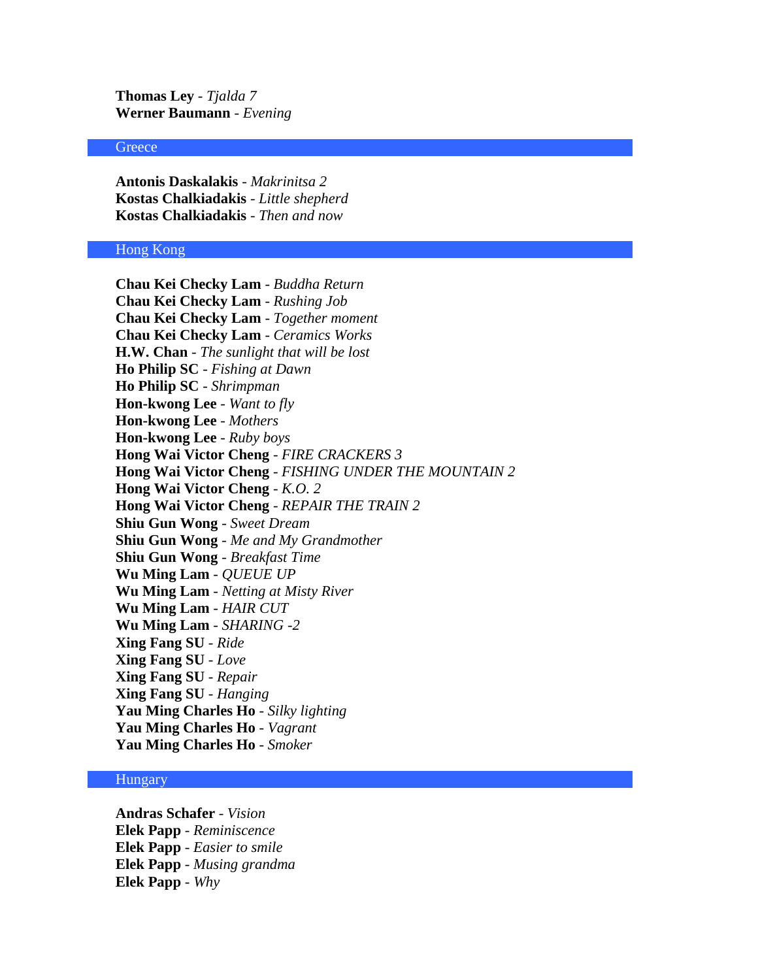**Thomas Ley** - *Tjalda 7* **Werner Baumann** - *Evening*

#### **Greece**

**Antonis Daskalakis** - *Makrinitsa 2* **Kostas Chalkiadakis** - *Little shepherd* **Kostas Chalkiadakis** - *Then and now*

### Hong Kong

**Chau Kei Checky Lam** - *Buddha Return* **Chau Kei Checky Lam** - *Rushing Job* **Chau Kei Checky Lam** - *Together moment* **Chau Kei Checky Lam** - *Ceramics Works* **H.W. Chan** - *The sunlight that will be lost* **Ho Philip SC** - *Fishing at Dawn* **Ho Philip SC** - *Shrimpman* **Hon-kwong Lee** - *Want to fly* **Hon-kwong Lee** - *Mothers* **Hon-kwong Lee** - *Ruby boys* **Hong Wai Victor Cheng** - *FIRE CRACKERS 3* **Hong Wai Victor Cheng** - *FISHING UNDER THE MOUNTAIN 2* **Hong Wai Victor Cheng** - *K.O. 2* **Hong Wai Victor Cheng** - *REPAIR THE TRAIN 2* **Shiu Gun Wong** - *Sweet Dream* **Shiu Gun Wong** - *Me and My Grandmother* **Shiu Gun Wong** - *Breakfast Time* **Wu Ming Lam** - *QUEUE UP* **Wu Ming Lam** - *Netting at Misty River* **Wu Ming Lam** - *HAIR CUT* **Wu Ming Lam** - *SHARING -2* **Xing Fang SU** - *Ride* **Xing Fang SU** - *Love* **Xing Fang SU** - *Repair* **Xing Fang SU** - *Hanging* **Yau Ming Charles Ho** - *Silky lighting* **Yau Ming Charles Ho** - *Vagrant* **Yau Ming Charles Ho** - *Smoker*

### Hungary

**Andras Schafer** - *Vision* **Elek Papp** - *Reminiscence* **Elek Papp** - *Easier to smile* **Elek Papp** - *Musing grandma* **Elek Papp** - *Why*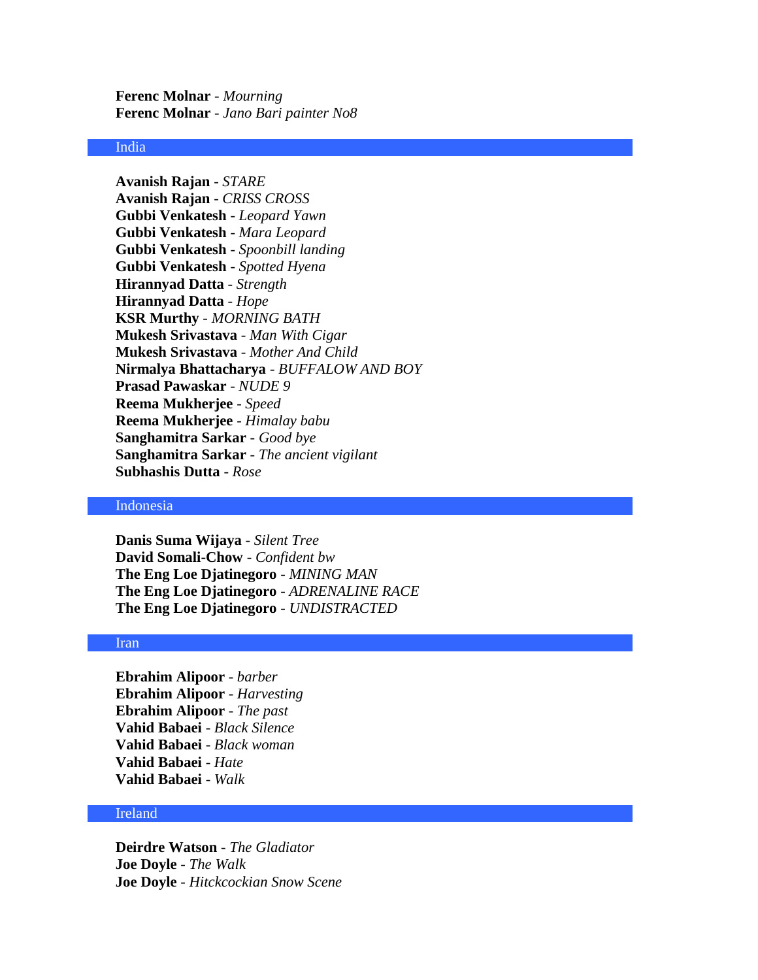**Ferenc Molnar** - *Mourning* **Ferenc Molnar** - *Jano Bari painter No8*

#### India

**Avanish Rajan** - *STARE* **Avanish Rajan** - *CRISS CROSS* **Gubbi Venkatesh** - *Leopard Yawn* **Gubbi Venkatesh** - *Mara Leopard* **Gubbi Venkatesh** - *Spoonbill landing* **Gubbi Venkatesh** - *Spotted Hyena* **Hirannyad Datta** - *Strength* **Hirannyad Datta** - *Hope* **KSR Murthy** - *MORNING BATH* **Mukesh Srivastava** - *Man With Cigar* **Mukesh Srivastava** - *Mother And Child* **Nirmalya Bhattacharya** - *BUFFALOW AND BOY* **Prasad Pawaskar** - *NUDE 9* **Reema Mukherjee** - *Speed* **Reema Mukherjee** - *Himalay babu* **Sanghamitra Sarkar** - *Good bye* **Sanghamitra Sarkar** - *The ancient vigilant* **Subhashis Dutta** - *Rose*

#### Indonesia

**Danis Suma Wijaya** - *Silent Tree* **David Somali-Chow** - *Confident bw* **The Eng Loe Djatinegoro** - *MINING MAN* **The Eng Loe Djatinegoro** - *ADRENALINE RACE* **The Eng Loe Djatinegoro** - *UNDISTRACTED*

#### Iran

**Ebrahim Alipoor** - *barber* **Ebrahim Alipoor** - *Harvesting* **Ebrahim Alipoor** - *The past* **Vahid Babaei** - *Black Silence* **Vahid Babaei** - *Black woman* **Vahid Babaei** - *Hate* **Vahid Babaei** - *Walk*

#### Ireland

**Deirdre Watson** - *The Gladiator* **Joe Doyle** - *The Walk* **Joe Doyle** - *Hitckcockian Snow Scene*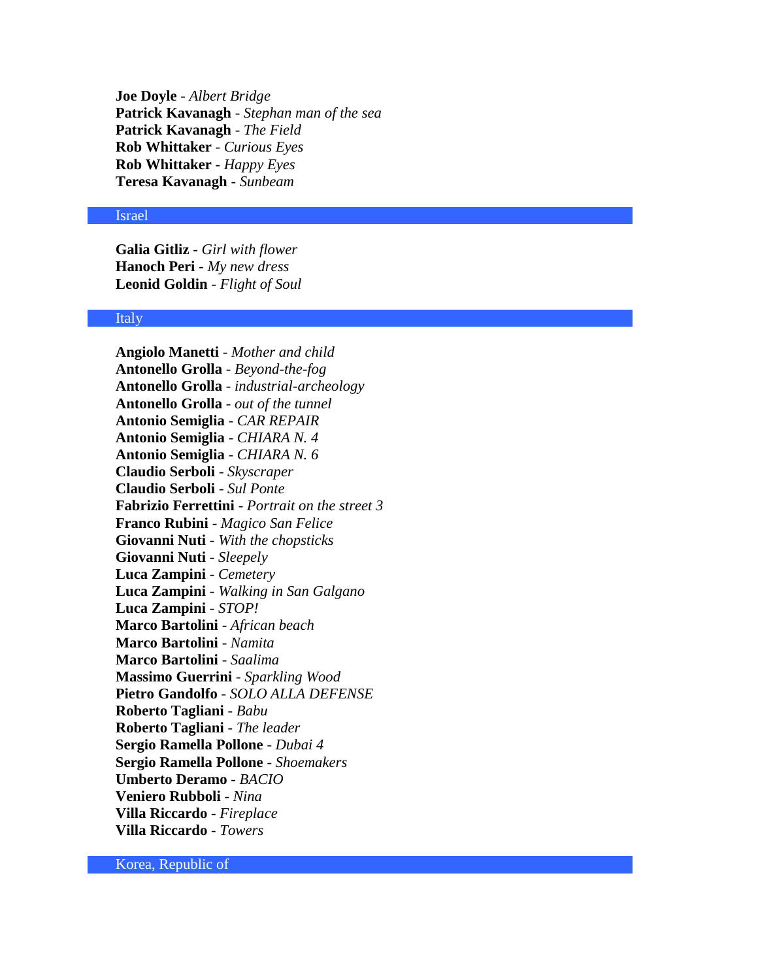**Joe Doyle** - *Albert Bridge* **Patrick Kavanagh** - *Stephan man of the sea* **Patrick Kavanagh** - *The Field* **Rob Whittaker** - *Curious Eyes* **Rob Whittaker** - *Happy Eyes* **Teresa Kavanagh** - *Sunbeam*

# Israel

**Galia Gitliz** - *Girl with flower* **Hanoch Peri** - *My new dress* **Leonid Goldin** - *Flight of Soul*

#### Italy

**Angiolo Manetti** - *Mother and child* **Antonello Grolla** - *Beyond-the-fog* **Antonello Grolla** - *industrial-archeology* **Antonello Grolla** - *out of the tunnel* **Antonio Semiglia** - *CAR REPAIR* **Antonio Semiglia** - *CHIARA N. 4* **Antonio Semiglia** - *CHIARA N. 6* **Claudio Serboli** - *Skyscraper* **Claudio Serboli** - *Sul Ponte* **Fabrizio Ferrettini** - *Portrait on the street 3* **Franco Rubini** - *Magico San Felice* **Giovanni Nuti** - *With the chopsticks* **Giovanni Nuti** - *Sleepely* **Luca Zampini** - *Cemetery* **Luca Zampini** - *Walking in San Galgano* **Luca Zampini** - *STOP!* **Marco Bartolini** - *African beach* **Marco Bartolini** - *Namita* **Marco Bartolini** - *Saalima* **Massimo Guerrini** - *Sparkling Wood* **Pietro Gandolfo** - *SOLO ALLA DEFENSE* **Roberto Tagliani** - *Babu* **Roberto Tagliani** - *The leader* **Sergio Ramella Pollone** - *Dubai 4* **Sergio Ramella Pollone** - *Shoemakers* **Umberto Deramo** - *BACIO* **Veniero Rubboli** - *Nina* **Villa Riccardo** - *Fireplace* **Villa Riccardo** - *Towers*

Korea, Republic of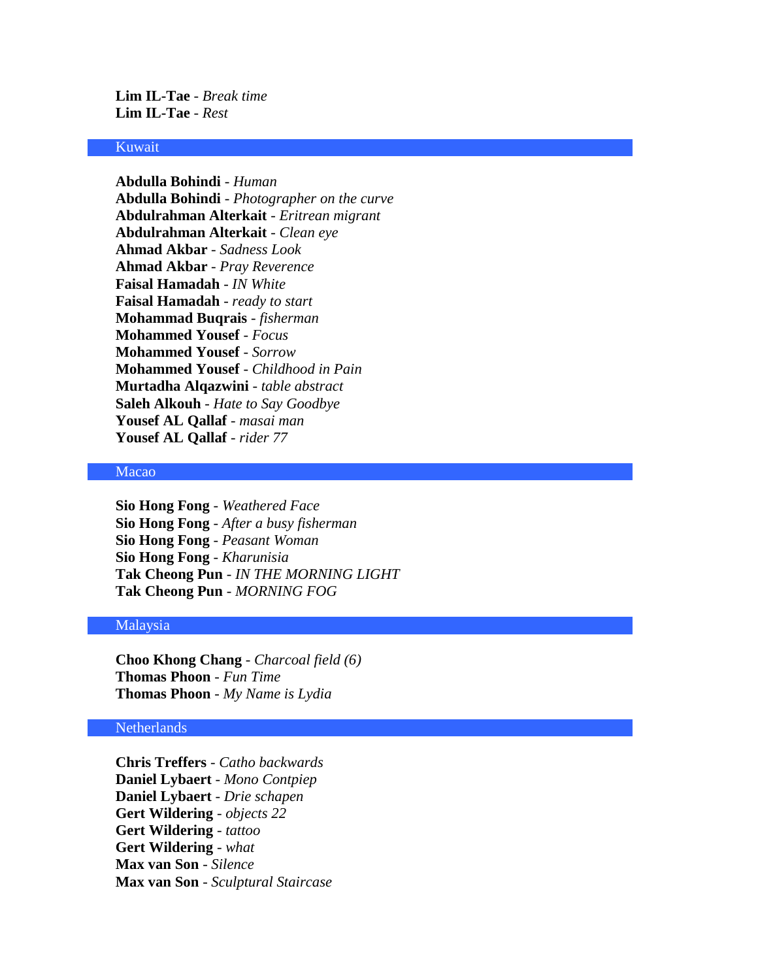**Lim IL-Tae** - *Break time* **Lim IL-Tae** - *Rest*

#### Kuwait

**Abdulla Bohindi** - *Human* **Abdulla Bohindi** - *Photographer on the curve* **Abdulrahman Alterkait** - *Eritrean migrant* **Abdulrahman Alterkait** - *Clean eye* **Ahmad Akbar** - *Sadness Look* **Ahmad Akbar** - *Pray Reverence* **Faisal Hamadah** - *IN White* **Faisal Hamadah** - *ready to start* **Mohammad Buqrais** - *fisherman* **Mohammed Yousef** - *Focus* **Mohammed Yousef** - *Sorrow* **Mohammed Yousef** - *Childhood in Pain* **Murtadha Alqazwini** - *table abstract* **Saleh Alkouh** - *Hate to Say Goodbye* **Yousef AL Qallaf** - *masai man* **Yousef AL Qallaf** - *rider 77*

### Macao

**Sio Hong Fong** - *Weathered Face* **Sio Hong Fong** - *After a busy fisherman* **Sio Hong Fong** - *Peasant Woman* **Sio Hong Fong** - *Kharunisia* **Tak Cheong Pun** - *IN THE MORNING LIGHT* **Tak Cheong Pun** - *MORNING FOG*

# Malaysia

**Choo Khong Chang** - *Charcoal field (6)* **Thomas Phoon** - *Fun Time* **Thomas Phoon** - *My Name is Lydia*

#### Netherlands

**Chris Treffers** - *Catho backwards* **Daniel Lybaert** - *Mono Contpiep* **Daniel Lybaert** - *Drie schapen* **Gert Wildering** - *objects 22* **Gert Wildering** - *tattoo* **Gert Wildering** - *what* **Max van Son** - *Silence* **Max van Son** - *Sculptural Staircase*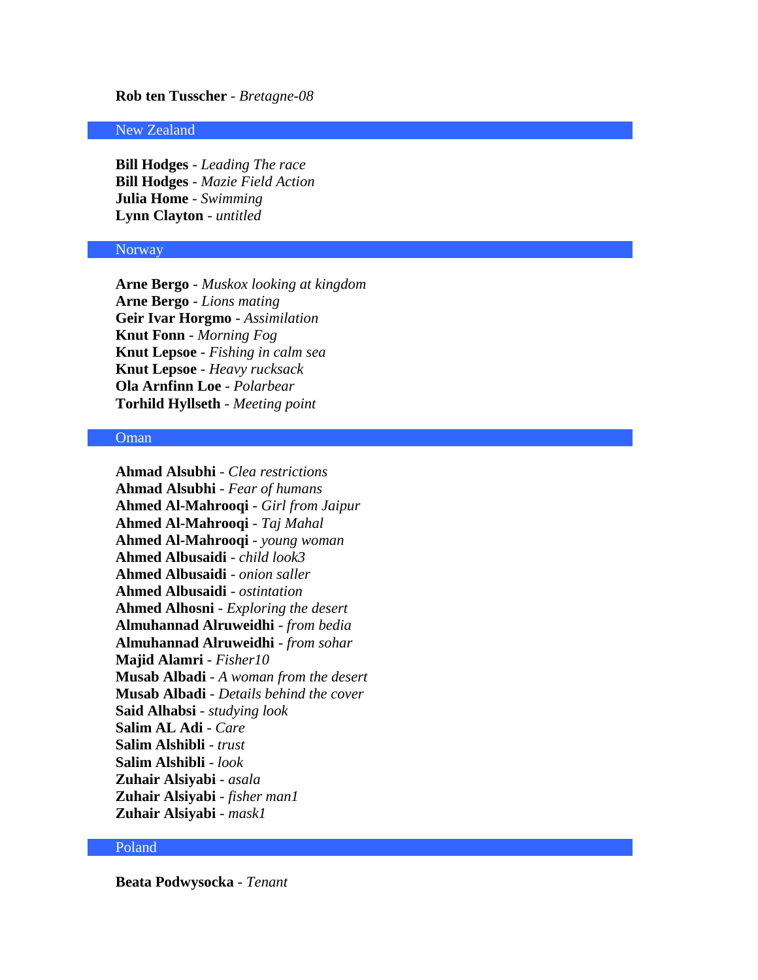### **Rob ten Tusscher** - *Bretagne-08*

### New Zealand

**Bill Hodges** - *Leading The race* **Bill Hodges** - *Mazie Field Action* **Julia Home** - *Swimming* **Lynn Clayton** - *untitled*

### Norway

**Arne Bergo** - *Muskox looking at kingdom* **Arne Bergo** - *Lions mating* **Geir Ivar Horgmo** - *Assimilation* **Knut Fonn** - *Morning Fog* **Knut Lepsoe** - *Fishing in calm sea* **Knut Lepsoe** - *Heavy rucksack* **Ola Arnfinn Loe** - *Polarbear* **Torhild Hyllseth** - *Meeting point*

# Oman

**Ahmad Alsubhi** - *Clea restrictions* **Ahmad Alsubhi** - *Fear of humans* **Ahmed Al-Mahrooqi** - *Girl from Jaipur* **Ahmed Al-Mahrooqi** - *Taj Mahal* **Ahmed Al-Mahrooqi** - *young woman* **Ahmed Albusaidi** - *child look3* **Ahmed Albusaidi** - *onion saller* **Ahmed Albusaidi** - *ostintation* **Ahmed Alhosni** - *Exploring the desert* **Almuhannad Alruweidhi** - *from bedia* **Almuhannad Alruweidhi** - *from sohar* **Majid Alamri** - *Fisher10* **Musab Albadi** - *A woman from the desert* **Musab Albadi** - *Details behind the cover* **Said Alhabsi** - *studying look* **Salim AL Adi** - *Care* **Salim Alshibli** - *trust* **Salim Alshibli** - *look* **Zuhair Alsiyabi** - *asala* **Zuhair Alsiyabi** - *fisher man1* **Zuhair Alsiyabi** - *mask1*

# Poland

**Beata Podwysocka** - *Tenant*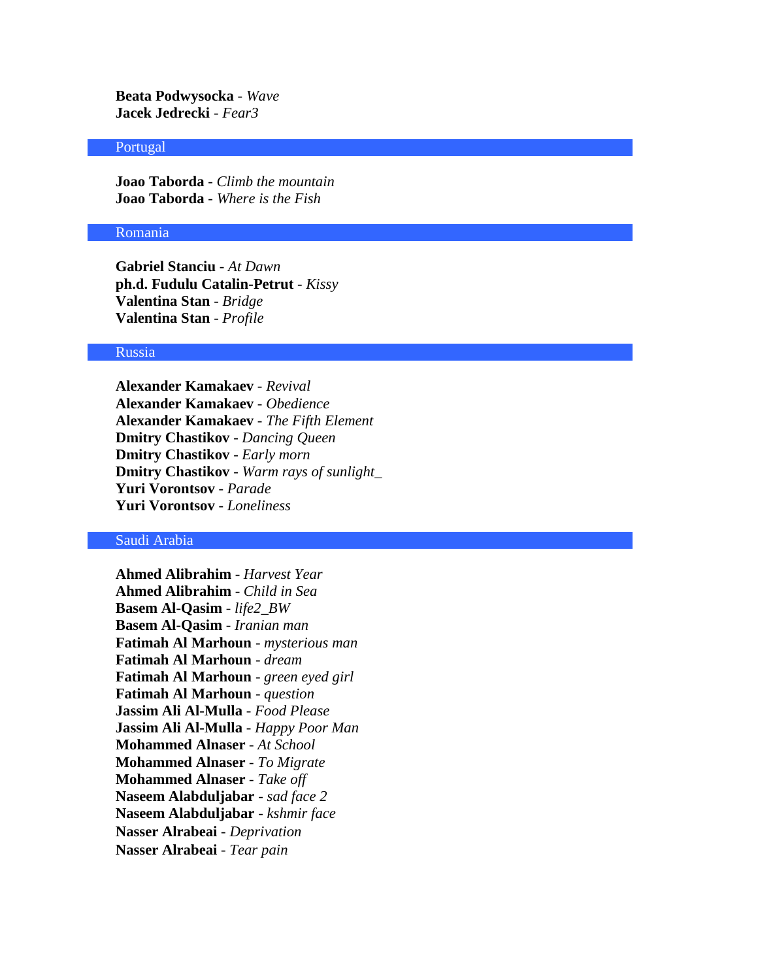**Beata Podwysocka** - *Wave* **Jacek Jedrecki** - *Fear3*

#### Portugal

**Joao Taborda** - *Climb the mountain* **Joao Taborda** - *Where is the Fish*

#### Romania

**Gabriel Stanciu** - *At Dawn* **ph.d. Fudulu Catalin-Petrut** - *Kissy* **Valentina Stan** - *Bridge* **Valentina Stan** - *Profile*

#### Russia

**Alexander Kamakaev** - *Revival* **Alexander Kamakaev** - *Obedience* **Alexander Kamakaev** - *The Fifth Element* **Dmitry Chastikov** - *Dancing Queen* **Dmitry Chastikov** - *Early morn* **Dmitry Chastikov** - *Warm rays of sunlight\_* **Yuri Vorontsov** - *Parade* **Yuri Vorontsov** - *Loneliness*

### Saudi Arabia

**Ahmed Alibrahim** - *Harvest Year* **Ahmed Alibrahim** - *Child in Sea* **Basem Al-Qasim** - *life2\_BW* **Basem Al-Qasim** - *Iranian man* **Fatimah Al Marhoun** - *mysterious man* **Fatimah Al Marhoun** - *dream* **Fatimah Al Marhoun** - *green eyed girl* **Fatimah Al Marhoun** - *question* **Jassim Ali Al-Mulla** - *Food Please* **Jassim Ali Al-Mulla** - *Happy Poor Man* **Mohammed Alnaser** - *At School* **Mohammed Alnaser** - *To Migrate* **Mohammed Alnaser** - *Take off* **Naseem Alabduljabar** - *sad face 2* **Naseem Alabduljabar** - *kshmir face* **Nasser Alrabeai** - *Deprivation*  **Nasser Alrabeai** - *Tear pain*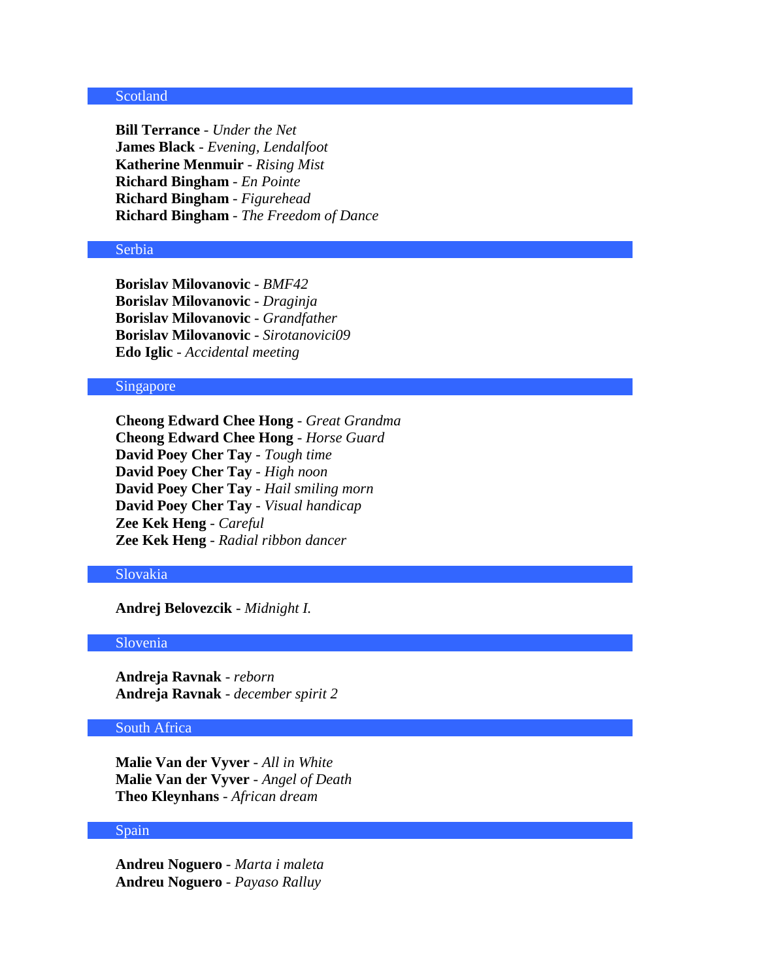# Scotland

**Bill Terrance** - *Under the Net* **James Black** - *Evening, Lendalfoot* **Katherine Menmuir** - *Rising Mist* **Richard Bingham** - *En Pointe* **Richard Bingham** - *Figurehead* **Richard Bingham** - *The Freedom of Dance*

### Serbia

**Borislav Milovanovic** - *BMF42* **Borislav Milovanovic** - *Draginja* **Borislav Milovanovic** - *Grandfather* **Borislav Milovanovic** - *Sirotanovici09* **Edo Iglic** - *Accidental meeting*

### Singapore

**Cheong Edward Chee Hong** - *Great Grandma* **Cheong Edward Chee Hong** - *Horse Guard* **David Poey Cher Tay** - *Tough time* **David Poey Cher Tay** - *High noon* **David Poey Cher Tay** - *Hail smiling morn* **David Poey Cher Tay** - *Visual handicap* **Zee Kek Heng** - *Careful* **Zee Kek Heng** - *Radial ribbon dancer*

### Slovakia

**Andrej Belovezcik** - *Midnight I.*

#### Slovenia

**Andreja Ravnak** - *reborn* **Andreja Ravnak** - *december spirit 2*

#### South Africa

**Malie Van der Vyver** - *All in White* **Malie Van der Vyver** - *Angel of Death* **Theo Kleynhans** - *African dream*

#### Spain

**Andreu Noguero** - *Marta i maleta* **Andreu Noguero** - *Payaso Ralluy*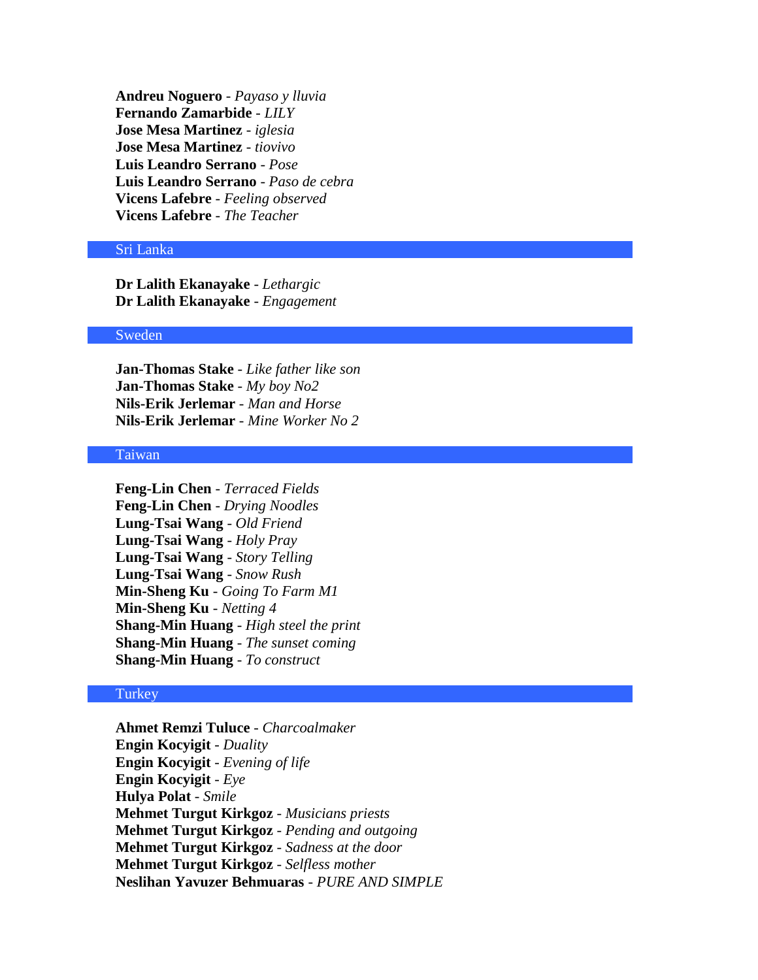**Andreu Noguero** - *Payaso y lluvia* **Fernando Zamarbide** - *LILY* **Jose Mesa Martinez** - *iglesia* **Jose Mesa Martinez** - *tiovivo* **Luis Leandro Serrano** - *Pose* **Luis Leandro Serrano** - *Paso de cebra* **Vicens Lafebre** - *Feeling observed* **Vicens Lafebre** - *The Teacher*

### Sri Lanka

**Dr Lalith Ekanayake** - *Lethargic* **Dr Lalith Ekanayake** - *Engagement*

### Sweden

**Jan-Thomas Stake** - *Like father like son* **Jan-Thomas Stake** - *My boy No2* **Nils-Erik Jerlemar** - *Man and Horse* **Nils-Erik Jerlemar** - *Mine Worker No 2*

### Taiwan

**Feng-Lin Chen** - *Terraced Fields* **Feng-Lin Chen** - *Drying Noodles* **Lung-Tsai Wang** - *Old Friend* **Lung-Tsai Wang** - *Holy Pray* **Lung-Tsai Wang** - *Story Telling* **Lung-Tsai Wang** - *Snow Rush* **Min-Sheng Ku** - *Going To Farm M1* **Min-Sheng Ku** - *Netting 4* **Shang-Min Huang** - *High steel the print* **Shang-Min Huang** - *The sunset coming* **Shang-Min Huang** - *To construct*

#### **Turkey**

**Ahmet Remzi Tuluce** - *Charcoalmaker* **Engin Kocyigit** - *Duality* **Engin Kocyigit** - *Evening of life* **Engin Kocyigit** - *Eye* **Hulya Polat** - *Smile* **Mehmet Turgut Kirkgoz** - *Musicians priests* **Mehmet Turgut Kirkgoz** - *Pending and outgoing* **Mehmet Turgut Kirkgoz** - *Sadness at the door* **Mehmet Turgut Kirkgoz** - *Selfless mother* **Neslihan Yavuzer Behmuaras** - *PURE AND SIMPLE*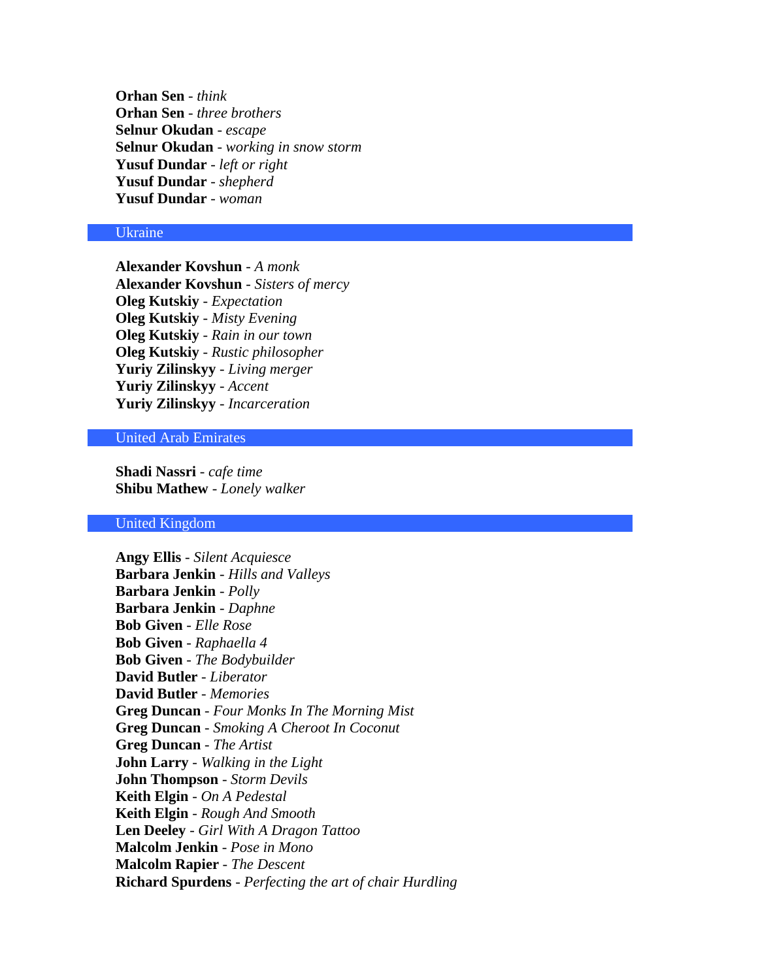**Orhan Sen** - *think* **Orhan Sen** - *three brothers* **Selnur Okudan** - *escape* **Selnur Okudan** - *working in snow storm* **Yusuf Dundar** - *left or right* **Yusuf Dundar** - *shepherd* **Yusuf Dundar** - *woman*

### Ukraine

**Alexander Kovshun** - *A monk* **Alexander Kovshun** - *Sisters of mercy* **Oleg Kutskiy** - *Expectation* **Oleg Kutskiy** - *Misty Evening* **Oleg Kutskiy** - *Rain in our town* **Oleg Kutskiy** - *Rustic philosopher* **Yuriy Zilinskyy** - *Living merger* **Yuriy Zilinskyy** - *Accent* **Yuriy Zilinskyy** - *Incarceration*

# United Arab Emirates

**Shadi Nassri** - *cafe time* **Shibu Mathew** - *Lonely walker*

### United Kingdom

**Angy Ellis** - *Silent Acquiesce* **Barbara Jenkin** - *Hills and Valleys* **Barbara Jenkin** - *Polly* **Barbara Jenkin** - *Daphne* **Bob Given** - *Elle Rose* **Bob Given** - *Raphaella 4* **Bob Given** - *The Bodybuilder* **David Butler** - *Liberator* **David Butler** - *Memories* **Greg Duncan** - *Four Monks In The Morning Mist* **Greg Duncan** - *Smoking A Cheroot In Coconut* **Greg Duncan** - *The Artist* **John Larry** - *Walking in the Light* **John Thompson** - *Storm Devils* **Keith Elgin** - *On A Pedestal* **Keith Elgin** - *Rough And Smooth* **Len Deeley** - *Girl With A Dragon Tattoo* **Malcolm Jenkin** - *Pose in Mono* **Malcolm Rapier** - *The Descent* **Richard Spurdens** - *Perfecting the art of chair Hurdling*